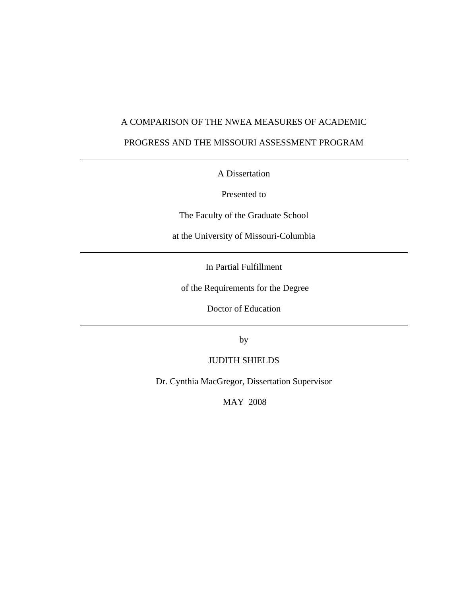# A COMPARISON OF THE NWEA MEASURES OF ACADEMIC

# PROGRESS AND THE MISSOURI ASSESSMENT PROGRAM

A Dissertation

Presented to

The Faculty of the Graduate School

at the University of Missouri-Columbia

In Partial Fulfillment

of the Requirements for the Degree

Doctor of Education

by

JUDITH SHIELDS

Dr. Cynthia MacGregor, Dissertation Supervisor

MAY 2008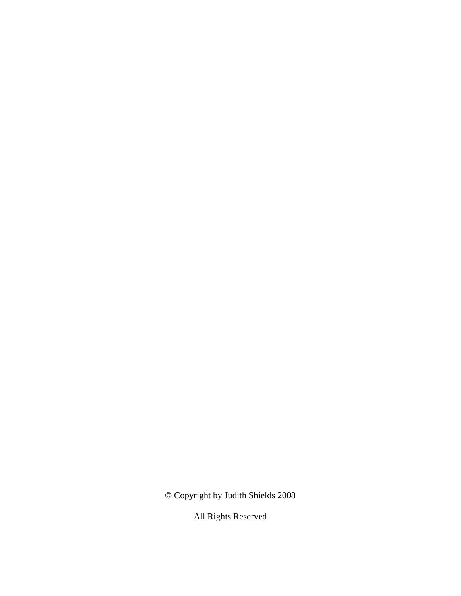© Copyright by Judith Shields 2008

All Rights Reserved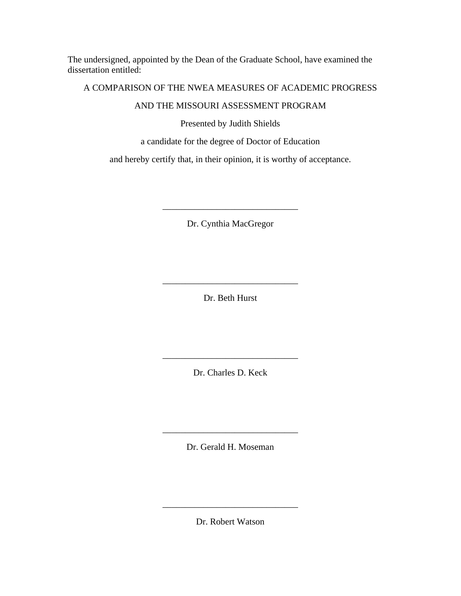The undersigned, appointed by the Dean of the Graduate School, have examined the dissertation entitled:

# A COMPARISON OF THE NWEA MEASURES OF ACADEMIC PROGRESS

# AND THE MISSOURI ASSESSMENT PROGRAM

Presented by Judith Shields

# a candidate for the degree of Doctor of Education

and hereby certify that, in their opinion, it is worthy of acceptance.

Dr. Cynthia MacGregor

\_\_\_\_\_\_\_\_\_\_\_\_\_\_\_\_\_\_\_\_\_\_\_\_\_\_\_\_\_\_

Dr. Beth Hurst

\_\_\_\_\_\_\_\_\_\_\_\_\_\_\_\_\_\_\_\_\_\_\_\_\_\_\_\_\_\_

Dr. Charles D. Keck

\_\_\_\_\_\_\_\_\_\_\_\_\_\_\_\_\_\_\_\_\_\_\_\_\_\_\_\_\_\_

Dr. Gerald H. Moseman

\_\_\_\_\_\_\_\_\_\_\_\_\_\_\_\_\_\_\_\_\_\_\_\_\_\_\_\_\_\_

Dr. Robert Watson

\_\_\_\_\_\_\_\_\_\_\_\_\_\_\_\_\_\_\_\_\_\_\_\_\_\_\_\_\_\_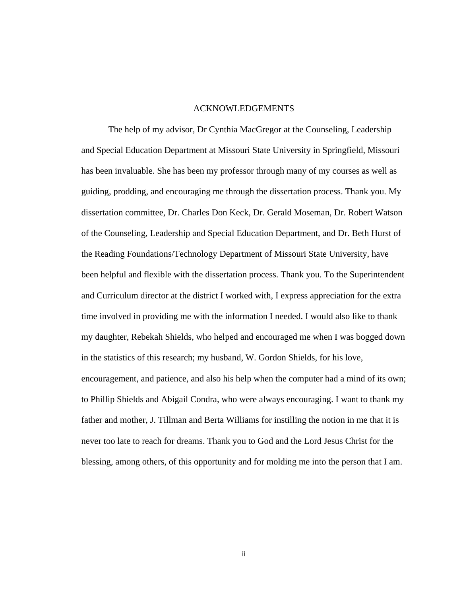## ACKNOWLEDGEMENTS

 The help of my advisor, Dr Cynthia MacGregor at the Counseling, Leadership and Special Education Department at Missouri State University in Springfield, Missouri has been invaluable. She has been my professor through many of my courses as well as guiding, prodding, and encouraging me through the dissertation process. Thank you. My dissertation committee, Dr. Charles Don Keck, Dr. Gerald Moseman, Dr. Robert Watson of the Counseling, Leadership and Special Education Department, and Dr. Beth Hurst of the Reading Foundations/Technology Department of Missouri State University, have been helpful and flexible with the dissertation process. Thank you. To the Superintendent and Curriculum director at the district I worked with, I express appreciation for the extra time involved in providing me with the information I needed. I would also like to thank my daughter, Rebekah Shields, who helped and encouraged me when I was bogged down in the statistics of this research; my husband, W. Gordon Shields, for his love, encouragement, and patience, and also his help when the computer had a mind of its own; to Phillip Shields and Abigail Condra, who were always encouraging. I want to thank my father and mother, J. Tillman and Berta Williams for instilling the notion in me that it is never too late to reach for dreams. Thank you to God and the Lord Jesus Christ for the blessing, among others, of this opportunity and for molding me into the person that I am.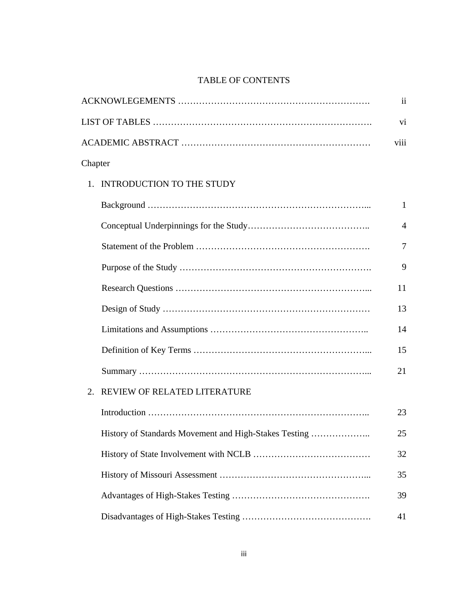# TABLE OF CONTENTS

|                  |                                                       | $\mathbf{ii}$  |
|------------------|-------------------------------------------------------|----------------|
|                  |                                                       | vi             |
|                  |                                                       | viii           |
| Chapter          |                                                       |                |
|                  | 1. INTRODUCTION TO THE STUDY                          |                |
|                  |                                                       | 1              |
|                  |                                                       | $\overline{4}$ |
|                  |                                                       | 7              |
|                  |                                                       | 9              |
|                  |                                                       | 11             |
|                  |                                                       | 13             |
|                  |                                                       | 14             |
|                  |                                                       | 15             |
|                  |                                                       | 21             |
| $\overline{2}$ . | REVIEW OF RELATED LITERATURE                          |                |
|                  |                                                       | 23             |
|                  | History of Standards Movement and High-Stakes Testing | 25             |
|                  |                                                       | 32             |
|                  |                                                       | 35             |
|                  |                                                       | 39             |
|                  |                                                       | 41             |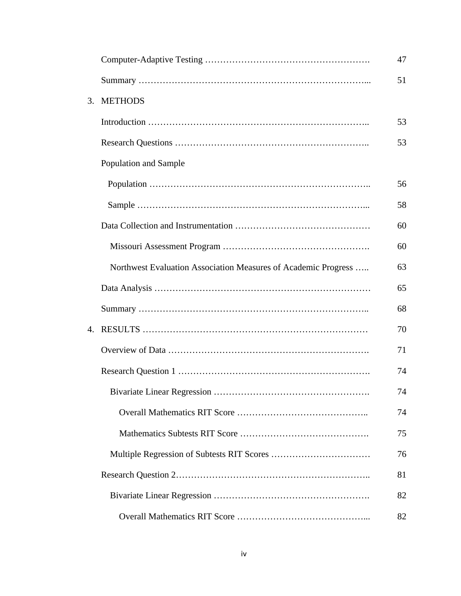|    |                                                                | 47 |
|----|----------------------------------------------------------------|----|
|    |                                                                | 51 |
| 3. | <b>METHODS</b>                                                 |    |
|    |                                                                | 53 |
|    |                                                                | 53 |
|    | Population and Sample                                          |    |
|    |                                                                | 56 |
|    |                                                                | 58 |
|    |                                                                | 60 |
|    |                                                                | 60 |
|    | Northwest Evaluation Association Measures of Academic Progress | 63 |
|    |                                                                | 65 |
|    |                                                                | 68 |
| 4. |                                                                | 70 |
|    |                                                                | 71 |
|    |                                                                | 74 |
|    |                                                                | 74 |
|    |                                                                | 74 |
|    |                                                                | 75 |
|    |                                                                | 76 |
|    |                                                                | 81 |
|    |                                                                | 82 |
|    |                                                                | 82 |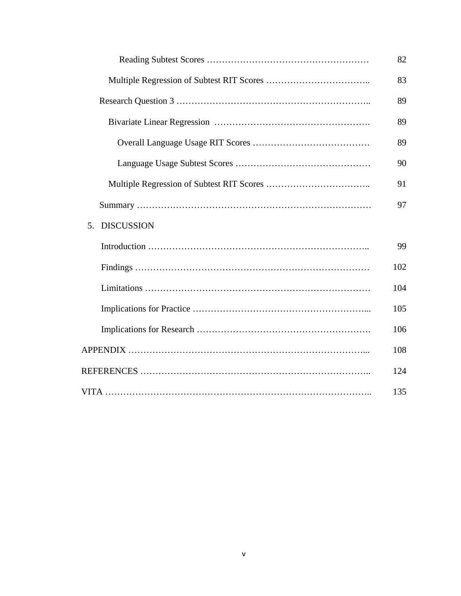|                                     | 82  |  |
|-------------------------------------|-----|--|
|                                     | 83  |  |
|                                     |     |  |
|                                     | 89  |  |
|                                     | 89  |  |
|                                     | 90  |  |
|                                     | 91  |  |
|                                     | 97  |  |
| <b>DISCUSSION</b><br>5 <sub>1</sub> |     |  |
|                                     | 99  |  |
|                                     | 102 |  |
|                                     | 104 |  |
|                                     | 105 |  |
|                                     | 106 |  |
|                                     | 108 |  |
|                                     | 124 |  |
|                                     | 135 |  |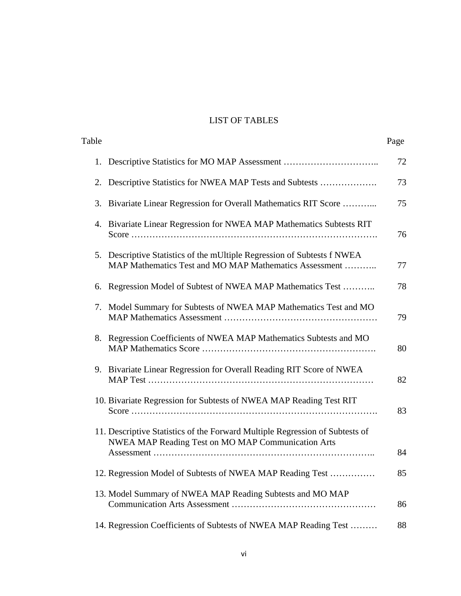# LIST OF TABLES

| Table |                                                                                                                                    | Page |
|-------|------------------------------------------------------------------------------------------------------------------------------------|------|
| 1.    |                                                                                                                                    | 72   |
| 2.    | Descriptive Statistics for NWEA MAP Tests and Subtests                                                                             | 73   |
| 3.    | Bivariate Linear Regression for Overall Mathematics RIT Score                                                                      | 75   |
| 4.    | Bivariate Linear Regression for NWEA MAP Mathematics Subtests RIT                                                                  | 76   |
|       | 5. Descriptive Statistics of the mUltiple Regression of Subtests f NWEA<br>MAP Mathematics Test and MO MAP Mathematics Assessment  | 77   |
| 6.    | Regression Model of Subtest of NWEA MAP Mathematics Test                                                                           | 78   |
|       | 7. Model Summary for Subtests of NWEA MAP Mathematics Test and MO                                                                  | 79   |
| 8.    | Regression Coefficients of NWEA MAP Mathematics Subtests and MO                                                                    | 80   |
|       | 9. Bivariate Linear Regression for Overall Reading RIT Score of NWEA                                                               | 82   |
|       | 10. Bivariate Regression for Subtests of NWEA MAP Reading Test RIT                                                                 | 83   |
|       | 11. Descriptive Statistics of the Forward Multiple Regression of Subtests of<br>NWEA MAP Reading Test on MO MAP Communication Arts | 84   |
|       | 12. Regression Model of Subtests of NWEA MAP Reading Test                                                                          | 85   |
|       | 13. Model Summary of NWEA MAP Reading Subtests and MO MAP                                                                          | 86   |
|       | 14. Regression Coefficients of Subtests of NWEA MAP Reading Test                                                                   | 88   |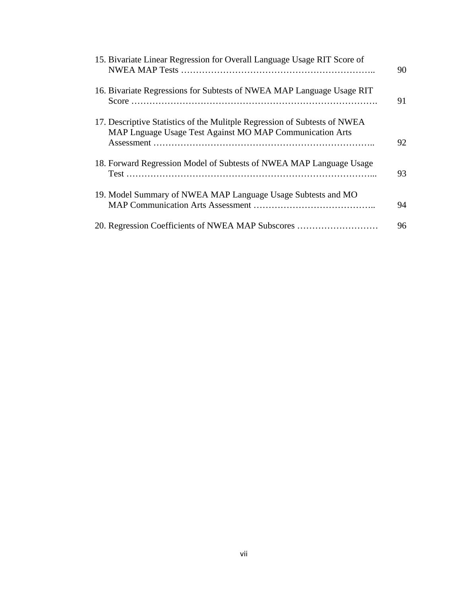| 15. Bivariate Linear Regression for Overall Language Usage RIT Score of                                                               | 90 |
|---------------------------------------------------------------------------------------------------------------------------------------|----|
| 16. Bivariate Regressions for Subtests of NWEA MAP Language Usage RIT                                                                 | 91 |
| 17. Descriptive Statistics of the Mulitple Regression of Subtests of NWEA<br>MAP Lnguage Usage Test Against MO MAP Communication Arts | 92 |
| 18. Forward Regression Model of Subtests of NWEA MAP Language Usage                                                                   | 93 |
| 19. Model Summary of NWEA MAP Language Usage Subtests and MO                                                                          | 94 |
| 20. Regression Coefficients of NWEA MAP Subscores                                                                                     | 96 |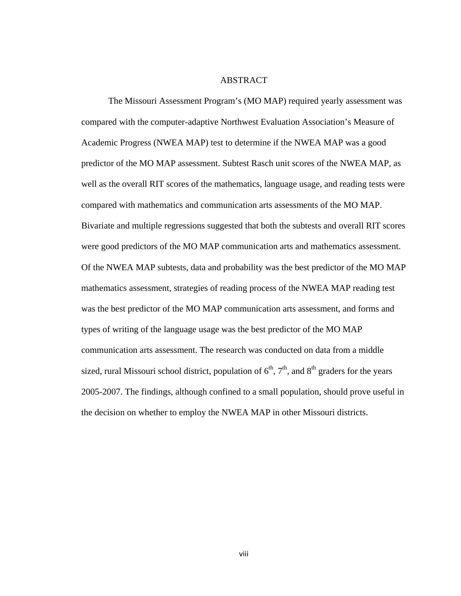### ABSTRACT

 The Missouri Assessment Program's (MO MAP) required yearly assessment was compared with the computer-adaptive Northwest Evaluation Association's Measure of Academic Progress (NWEA MAP) test to determine if the NWEA MAP was a good predictor of the MO MAP assessment. Subtest Rasch unit scores of the NWEA MAP, as well as the overall RIT scores of the mathematics, language usage, and reading tests were compared with mathematics and communication arts assessments of the MO MAP. Bivariate and multiple regressions suggested that both the subtests and overall RIT scores were good predictors of the MO MAP communication arts and mathematics assessment. Of the NWEA MAP subtests, data and probability was the best predictor of the MO MAP mathematics assessment, strategies of reading process of the NWEA MAP reading test was the best predictor of the MO MAP communication arts assessment, and forms and types of writing of the language usage was the best predictor of the MO MAP communication arts assessment. The research was conducted on data from a middle sized, rural Missouri school district, population of  $6<sup>th</sup>$ ,  $7<sup>th</sup>$ , and  $8<sup>th</sup>$  graders for the years 2005-2007. The findings, although confined to a small population, should prove useful in the decision on whether to employ the NWEA MAP in other Missouri districts.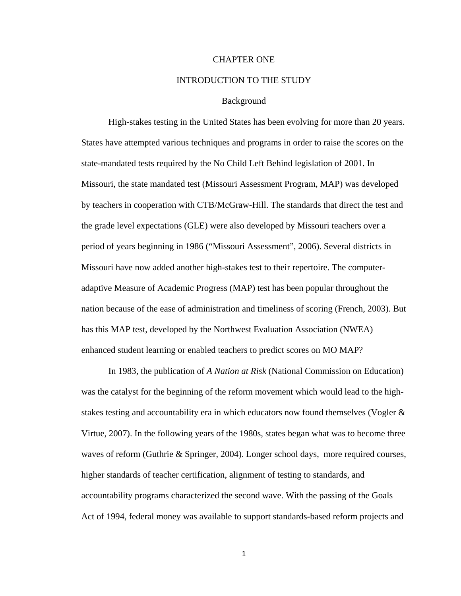# CHAPTER ONE

#### INTRODUCTION TO THE STUDY

#### Background

 High-stakes testing in the United States has been evolving for more than 20 years. States have attempted various techniques and programs in order to raise the scores on the state-mandated tests required by the No Child Left Behind legislation of 2001. In Missouri, the state mandated test (Missouri Assessment Program, MAP) was developed by teachers in cooperation with CTB/McGraw-Hill. The standards that direct the test and the grade level expectations (GLE) were also developed by Missouri teachers over a period of years beginning in 1986 ("Missouri Assessment", 2006). Several districts in Missouri have now added another high-stakes test to their repertoire. The computeradaptive Measure of Academic Progress (MAP) test has been popular throughout the nation because of the ease of administration and timeliness of scoring (French, 2003). But has this MAP test, developed by the Northwest Evaluation Association (NWEA) enhanced student learning or enabled teachers to predict scores on MO MAP?

 In 1983, the publication of *A Nation at Risk* (National Commission on Education) was the catalyst for the beginning of the reform movement which would lead to the highstakes testing and accountability era in which educators now found themselves (Vogler & Virtue, 2007). In the following years of the 1980s, states began what was to become three waves of reform (Guthrie & Springer, 2004). Longer school days, more required courses, higher standards of teacher certification, alignment of testing to standards, and accountability programs characterized the second wave. With the passing of the Goals Act of 1994, federal money was available to support standards-based reform projects and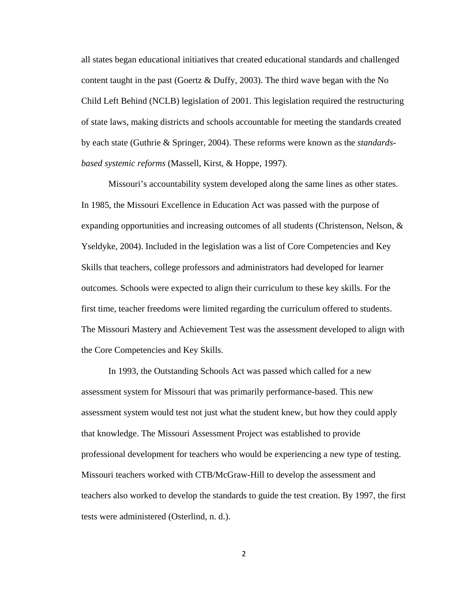all states began educational initiatives that created educational standards and challenged content taught in the past (Goertz & Duffy, 2003). The third wave began with the No Child Left Behind (NCLB) legislation of 2001. This legislation required the restructuring of state laws, making districts and schools accountable for meeting the standards created by each state (Guthrie & Springer, 2004). These reforms were known as the *standardsbased systemic reforms* (Massell, Kirst, & Hoppe, 1997).

 Missouri's accountability system developed along the same lines as other states. In 1985, the Missouri Excellence in Education Act was passed with the purpose of expanding opportunities and increasing outcomes of all students (Christenson, Nelson,  $\&$ Yseldyke, 2004). Included in the legislation was a list of Core Competencies and Key Skills that teachers, college professors and administrators had developed for learner outcomes. Schools were expected to align their curriculum to these key skills. For the first time, teacher freedoms were limited regarding the curriculum offered to students. The Missouri Mastery and Achievement Test was the assessment developed to align with the Core Competencies and Key Skills.

 In 1993, the Outstanding Schools Act was passed which called for a new assessment system for Missouri that was primarily performance-based. This new assessment system would test not just what the student knew, but how they could apply that knowledge. The Missouri Assessment Project was established to provide professional development for teachers who would be experiencing a new type of testing. Missouri teachers worked with CTB/McGraw-Hill to develop the assessment and teachers also worked to develop the standards to guide the test creation. By 1997, the first tests were administered (Osterlind, n. d.).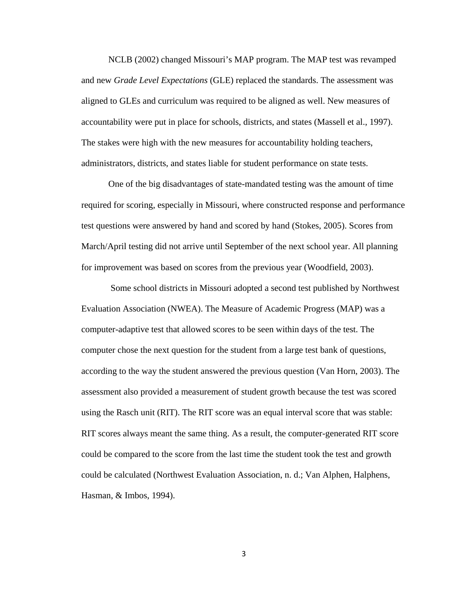NCLB (2002) changed Missouri's MAP program. The MAP test was revamped and new *Grade Level Expectations* (GLE) replaced the standards. The assessment was aligned to GLEs and curriculum was required to be aligned as well. New measures of accountability were put in place for schools, districts, and states (Massell et al., 1997). The stakes were high with the new measures for accountability holding teachers, administrators, districts, and states liable for student performance on state tests.

 One of the big disadvantages of state-mandated testing was the amount of time required for scoring, especially in Missouri, where constructed response and performance test questions were answered by hand and scored by hand (Stokes, 2005). Scores from March/April testing did not arrive until September of the next school year. All planning for improvement was based on scores from the previous year (Woodfield, 2003).

 Some school districts in Missouri adopted a second test published by Northwest Evaluation Association (NWEA). The Measure of Academic Progress (MAP) was a computer-adaptive test that allowed scores to be seen within days of the test. The computer chose the next question for the student from a large test bank of questions, according to the way the student answered the previous question (Van Horn, 2003). The assessment also provided a measurement of student growth because the test was scored using the Rasch unit (RIT). The RIT score was an equal interval score that was stable: RIT scores always meant the same thing. As a result, the computer-generated RIT score could be compared to the score from the last time the student took the test and growth could be calculated (Northwest Evaluation Association, n. d.; Van Alphen, Halphens, Hasman, & Imbos, 1994).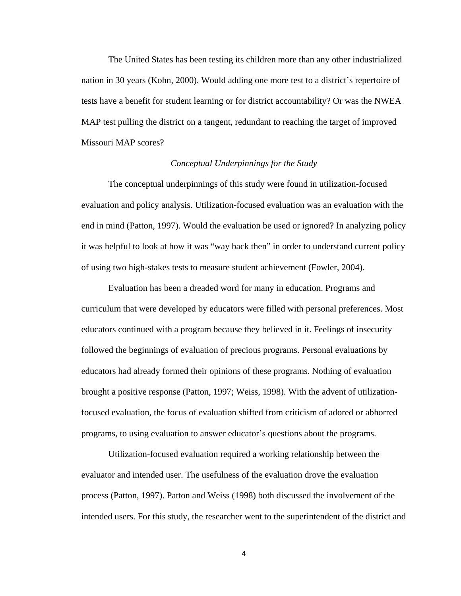The United States has been testing its children more than any other industrialized nation in 30 years (Kohn, 2000). Would adding one more test to a district's repertoire of tests have a benefit for student learning or for district accountability? Or was the NWEA MAP test pulling the district on a tangent, redundant to reaching the target of improved Missouri MAP scores?

# *Conceptual Underpinnings for the Study*

 The conceptual underpinnings of this study were found in utilization-focused evaluation and policy analysis. Utilization-focused evaluation was an evaluation with the end in mind (Patton, 1997). Would the evaluation be used or ignored? In analyzing policy it was helpful to look at how it was "way back then" in order to understand current policy of using two high-stakes tests to measure student achievement (Fowler, 2004).

 Evaluation has been a dreaded word for many in education. Programs and curriculum that were developed by educators were filled with personal preferences. Most educators continued with a program because they believed in it. Feelings of insecurity followed the beginnings of evaluation of precious programs. Personal evaluations by educators had already formed their opinions of these programs. Nothing of evaluation brought a positive response (Patton, 1997; Weiss, 1998). With the advent of utilizationfocused evaluation, the focus of evaluation shifted from criticism of adored or abhorred programs, to using evaluation to answer educator's questions about the programs.

 Utilization-focused evaluation required a working relationship between the evaluator and intended user. The usefulness of the evaluation drove the evaluation process (Patton, 1997). Patton and Weiss (1998) both discussed the involvement of the intended users. For this study, the researcher went to the superintendent of the district and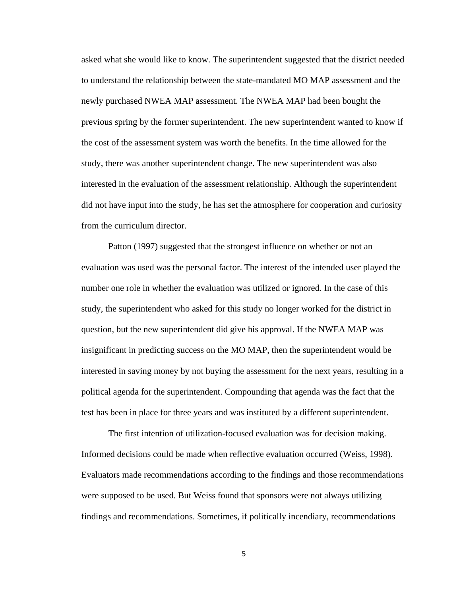asked what she would like to know. The superintendent suggested that the district needed to understand the relationship between the state-mandated MO MAP assessment and the newly purchased NWEA MAP assessment. The NWEA MAP had been bought the previous spring by the former superintendent. The new superintendent wanted to know if the cost of the assessment system was worth the benefits. In the time allowed for the study, there was another superintendent change. The new superintendent was also interested in the evaluation of the assessment relationship. Although the superintendent did not have input into the study, he has set the atmosphere for cooperation and curiosity from the curriculum director.

 Patton (1997) suggested that the strongest influence on whether or not an evaluation was used was the personal factor. The interest of the intended user played the number one role in whether the evaluation was utilized or ignored. In the case of this study, the superintendent who asked for this study no longer worked for the district in question, but the new superintendent did give his approval. If the NWEA MAP was insignificant in predicting success on the MO MAP, then the superintendent would be interested in saving money by not buying the assessment for the next years, resulting in a political agenda for the superintendent. Compounding that agenda was the fact that the test has been in place for three years and was instituted by a different superintendent.

 The first intention of utilization-focused evaluation was for decision making. Informed decisions could be made when reflective evaluation occurred (Weiss, 1998). Evaluators made recommendations according to the findings and those recommendations were supposed to be used. But Weiss found that sponsors were not always utilizing findings and recommendations. Sometimes, if politically incendiary, recommendations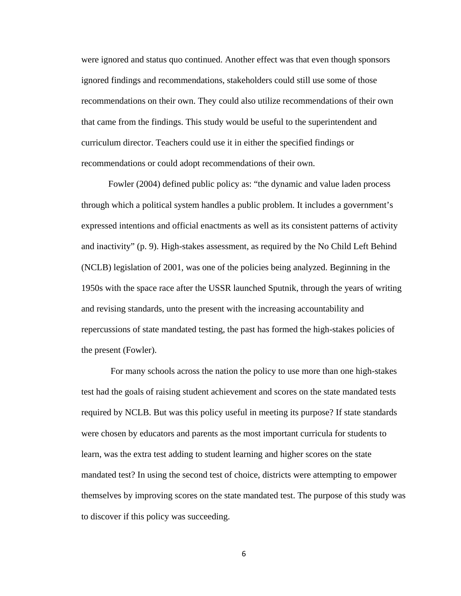were ignored and status quo continued. Another effect was that even though sponsors ignored findings and recommendations, stakeholders could still use some of those recommendations on their own. They could also utilize recommendations of their own that came from the findings. This study would be useful to the superintendent and curriculum director. Teachers could use it in either the specified findings or recommendations or could adopt recommendations of their own.

 Fowler (2004) defined public policy as: "the dynamic and value laden process through which a political system handles a public problem. It includes a government's expressed intentions and official enactments as well as its consistent patterns of activity and inactivity" (p. 9). High-stakes assessment, as required by the No Child Left Behind (NCLB) legislation of 2001, was one of the policies being analyzed. Beginning in the 1950s with the space race after the USSR launched Sputnik, through the years of writing and revising standards, unto the present with the increasing accountability and repercussions of state mandated testing, the past has formed the high-stakes policies of the present (Fowler).

 For many schools across the nation the policy to use more than one high-stakes test had the goals of raising student achievement and scores on the state mandated tests required by NCLB. But was this policy useful in meeting its purpose? If state standards were chosen by educators and parents as the most important curricula for students to learn, was the extra test adding to student learning and higher scores on the state mandated test? In using the second test of choice, districts were attempting to empower themselves by improving scores on the state mandated test. The purpose of this study was to discover if this policy was succeeding.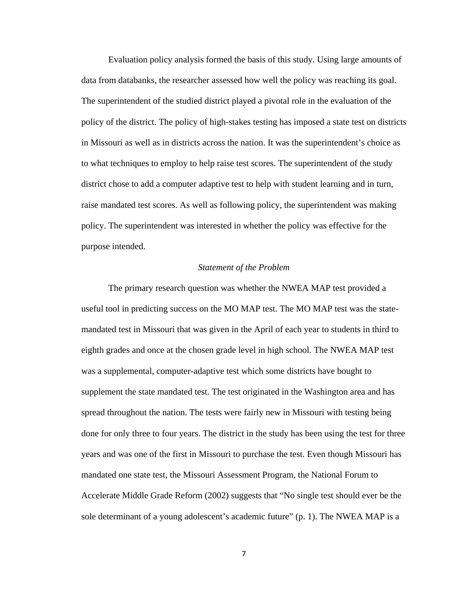Evaluation policy analysis formed the basis of this study. Using large amounts of data from databanks, the researcher assessed how well the policy was reaching its goal. The superintendent of the studied district played a pivotal role in the evaluation of the policy of the district. The policy of high-stakes testing has imposed a state test on districts in Missouri as well as in districts across the nation. It was the superintendent's choice as to what techniques to employ to help raise test scores. The superintendent of the study district chose to add a computer adaptive test to help with student learning and in turn, raise mandated test scores. As well as following policy, the superintendent was making policy. The superintendent was interested in whether the policy was effective for the purpose intended.

#### *Statement of the Problem*

The primary research question was whether the NWEA MAP test provided a useful tool in predicting success on the MO MAP test. The MO MAP test was the statemandated test in Missouri that was given in the April of each year to students in third to eighth grades and once at the chosen grade level in high school. The NWEA MAP test was a supplemental, computer-adaptive test which some districts have bought to supplement the state mandated test. The test originated in the Washington area and has spread throughout the nation. The tests were fairly new in Missouri with testing being done for only three to four years. The district in the study has been using the test for three years and was one of the first in Missouri to purchase the test. Even though Missouri has mandated one state test, the Missouri Assessment Program, the National Forum to Accelerate Middle Grade Reform (2002) suggests that "No single test should ever be the sole determinant of a young adolescent's academic future" (p. 1). The NWEA MAP is a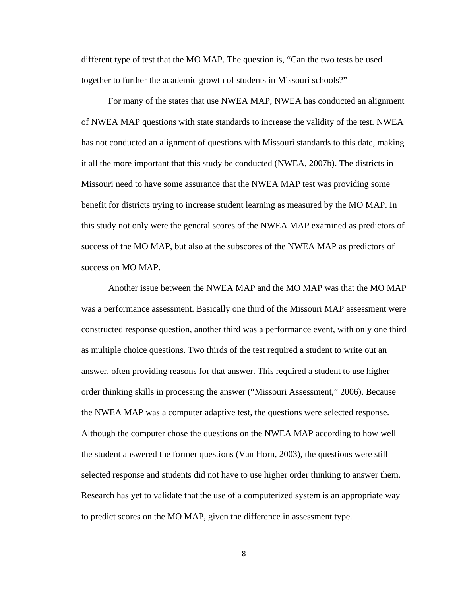different type of test that the MO MAP. The question is, "Can the two tests be used together to further the academic growth of students in Missouri schools?"

 For many of the states that use NWEA MAP, NWEA has conducted an alignment of NWEA MAP questions with state standards to increase the validity of the test. NWEA has not conducted an alignment of questions with Missouri standards to this date, making it all the more important that this study be conducted (NWEA, 2007b). The districts in Missouri need to have some assurance that the NWEA MAP test was providing some benefit for districts trying to increase student learning as measured by the MO MAP. In this study not only were the general scores of the NWEA MAP examined as predictors of success of the MO MAP, but also at the subscores of the NWEA MAP as predictors of success on MO MAP.

 Another issue between the NWEA MAP and the MO MAP was that the MO MAP was a performance assessment. Basically one third of the Missouri MAP assessment were constructed response question, another third was a performance event, with only one third as multiple choice questions. Two thirds of the test required a student to write out an answer, often providing reasons for that answer. This required a student to use higher order thinking skills in processing the answer ("Missouri Assessment," 2006). Because the NWEA MAP was a computer adaptive test, the questions were selected response. Although the computer chose the questions on the NWEA MAP according to how well the student answered the former questions (Van Horn, 2003), the questions were still selected response and students did not have to use higher order thinking to answer them. Research has yet to validate that the use of a computerized system is an appropriate way to predict scores on the MO MAP, given the difference in assessment type.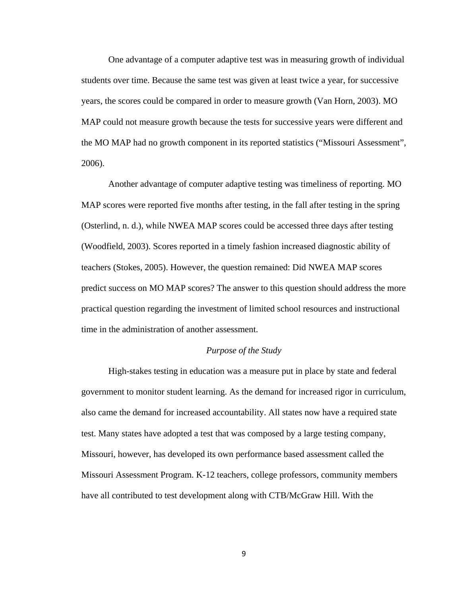One advantage of a computer adaptive test was in measuring growth of individual students over time. Because the same test was given at least twice a year, for successive years, the scores could be compared in order to measure growth (Van Horn, 2003). MO MAP could not measure growth because the tests for successive years were different and the MO MAP had no growth component in its reported statistics ("Missouri Assessment", 2006).

 Another advantage of computer adaptive testing was timeliness of reporting. MO MAP scores were reported five months after testing, in the fall after testing in the spring (Osterlind, n. d.), while NWEA MAP scores could be accessed three days after testing (Woodfield, 2003). Scores reported in a timely fashion increased diagnostic ability of teachers (Stokes, 2005). However, the question remained: Did NWEA MAP scores predict success on MO MAP scores? The answer to this question should address the more practical question regarding the investment of limited school resources and instructional time in the administration of another assessment.

## *Purpose of the Study*

 High-stakes testing in education was a measure put in place by state and federal government to monitor student learning. As the demand for increased rigor in curriculum, also came the demand for increased accountability. All states now have a required state test. Many states have adopted a test that was composed by a large testing company, Missouri, however, has developed its own performance based assessment called the Missouri Assessment Program. K-12 teachers, college professors, community members have all contributed to test development along with CTB/McGraw Hill. With the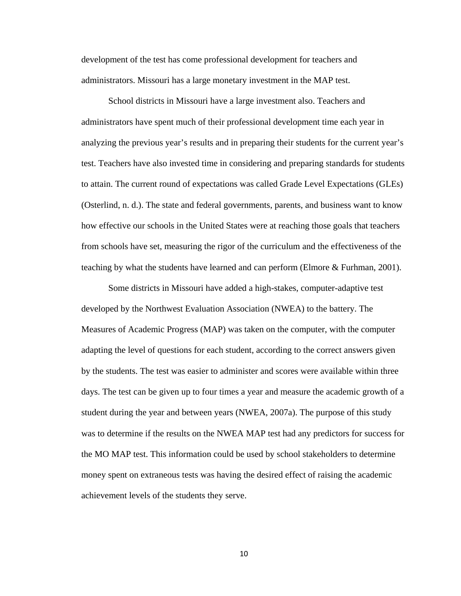development of the test has come professional development for teachers and administrators. Missouri has a large monetary investment in the MAP test.

 School districts in Missouri have a large investment also. Teachers and administrators have spent much of their professional development time each year in analyzing the previous year's results and in preparing their students for the current year's test. Teachers have also invested time in considering and preparing standards for students to attain. The current round of expectations was called Grade Level Expectations (GLEs) (Osterlind, n. d.). The state and federal governments, parents, and business want to know how effective our schools in the United States were at reaching those goals that teachers from schools have set, measuring the rigor of the curriculum and the effectiveness of the teaching by what the students have learned and can perform (Elmore & Furhman, 2001).

 Some districts in Missouri have added a high-stakes, computer-adaptive test developed by the Northwest Evaluation Association (NWEA) to the battery. The Measures of Academic Progress (MAP) was taken on the computer, with the computer adapting the level of questions for each student, according to the correct answers given by the students. The test was easier to administer and scores were available within three days. The test can be given up to four times a year and measure the academic growth of a student during the year and between years (NWEA, 2007a). The purpose of this study was to determine if the results on the NWEA MAP test had any predictors for success for the MO MAP test. This information could be used by school stakeholders to determine money spent on extraneous tests was having the desired effect of raising the academic achievement levels of the students they serve.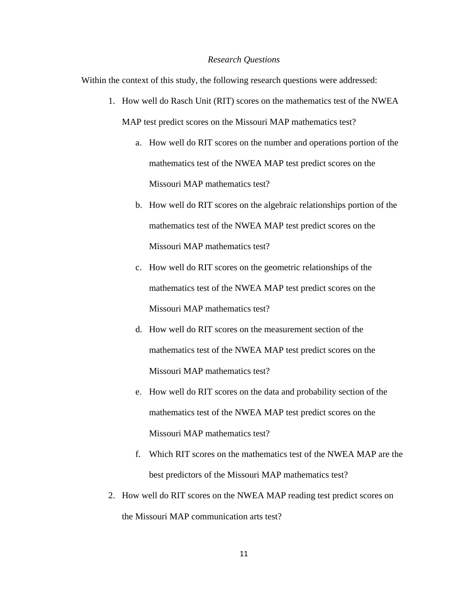#### *Research Questions*

Within the context of this study, the following research questions were addressed:

- 1. How well do Rasch Unit (RIT) scores on the mathematics test of the NWEA MAP test predict scores on the Missouri MAP mathematics test?
	- a. How well do RIT scores on the number and operations portion of the mathematics test of the NWEA MAP test predict scores on the Missouri MAP mathematics test?
	- b. How well do RIT scores on the algebraic relationships portion of the mathematics test of the NWEA MAP test predict scores on the Missouri MAP mathematics test?
	- c. How well do RIT scores on the geometric relationships of the mathematics test of the NWEA MAP test predict scores on the Missouri MAP mathematics test?
	- d. How well do RIT scores on the measurement section of the mathematics test of the NWEA MAP test predict scores on the Missouri MAP mathematics test?
	- e. How well do RIT scores on the data and probability section of the mathematics test of the NWEA MAP test predict scores on the Missouri MAP mathematics test?
	- f. Which RIT scores on the mathematics test of the NWEA MAP are the best predictors of the Missouri MAP mathematics test?
- 2. How well do RIT scores on the NWEA MAP reading test predict scores on the Missouri MAP communication arts test?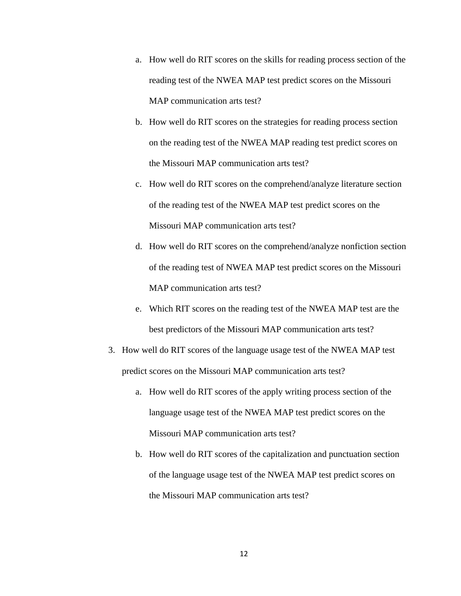- a. How well do RIT scores on the skills for reading process section of the reading test of the NWEA MAP test predict scores on the Missouri MAP communication arts test?
- b. How well do RIT scores on the strategies for reading process section on the reading test of the NWEA MAP reading test predict scores on the Missouri MAP communication arts test?
- c. How well do RIT scores on the comprehend/analyze literature section of the reading test of the NWEA MAP test predict scores on the Missouri MAP communication arts test?
- d. How well do RIT scores on the comprehend/analyze nonfiction section of the reading test of NWEA MAP test predict scores on the Missouri MAP communication arts test?
- e. Which RIT scores on the reading test of the NWEA MAP test are the best predictors of the Missouri MAP communication arts test?
- 3. How well do RIT scores of the language usage test of the NWEA MAP test predict scores on the Missouri MAP communication arts test?
	- a. How well do RIT scores of the apply writing process section of the language usage test of the NWEA MAP test predict scores on the Missouri MAP communication arts test?
	- b. How well do RIT scores of the capitalization and punctuation section of the language usage test of the NWEA MAP test predict scores on the Missouri MAP communication arts test?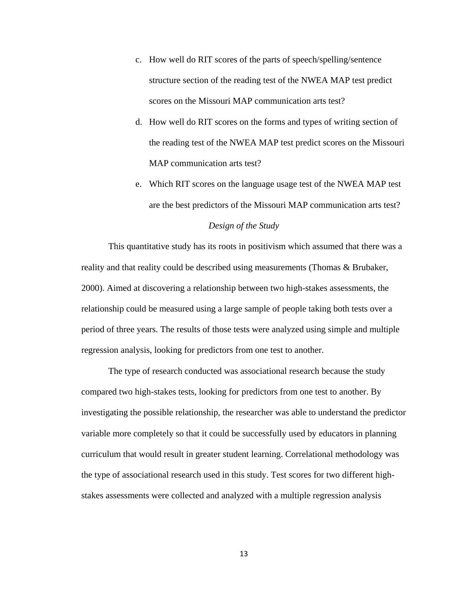- c. How well do RIT scores of the parts of speech/spelling/sentence structure section of the reading test of the NWEA MAP test predict scores on the Missouri MAP communication arts test?
- d. How well do RIT scores on the forms and types of writing section of the reading test of the NWEA MAP test predict scores on the Missouri MAP communication arts test?
- e. Which RIT scores on the language usage test of the NWEA MAP test are the best predictors of the Missouri MAP communication arts test?

## *Design of the Study*

This quantitative study has its roots in positivism which assumed that there was a reality and that reality could be described using measurements (Thomas & Brubaker, 2000). Aimed at discovering a relationship between two high-stakes assessments, the relationship could be measured using a large sample of people taking both tests over a period of three years. The results of those tests were analyzed using simple and multiple regression analysis, looking for predictors from one test to another.

 The type of research conducted was associational research because the study compared two high-stakes tests, looking for predictors from one test to another. By investigating the possible relationship, the researcher was able to understand the predictor variable more completely so that it could be successfully used by educators in planning curriculum that would result in greater student learning. Correlational methodology was the type of associational research used in this study. Test scores for two different highstakes assessments were collected and analyzed with a multiple regression analysis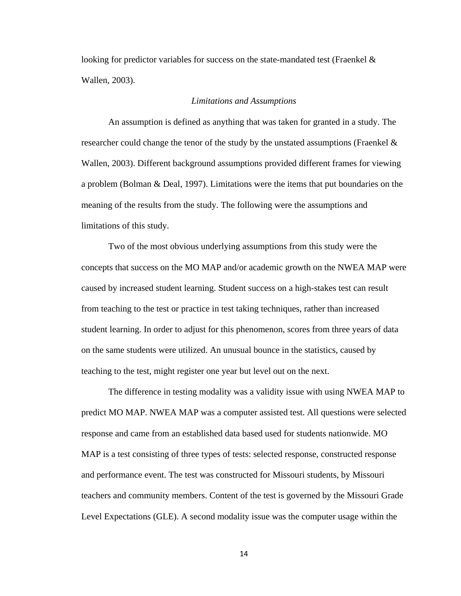looking for predictor variables for success on the state-mandated test (Fraenkel & Wallen, 2003).

#### *Limitations and Assumptions*

 An assumption is defined as anything that was taken for granted in a study. The researcher could change the tenor of the study by the unstated assumptions (Fraenkel  $\&$ Wallen, 2003). Different background assumptions provided different frames for viewing a problem (Bolman & Deal, 1997). Limitations were the items that put boundaries on the meaning of the results from the study. The following were the assumptions and limitations of this study.

 Two of the most obvious underlying assumptions from this study were the concepts that success on the MO MAP and/or academic growth on the NWEA MAP were caused by increased student learning. Student success on a high-stakes test can result from teaching to the test or practice in test taking techniques, rather than increased student learning. In order to adjust for this phenomenon, scores from three years of data on the same students were utilized. An unusual bounce in the statistics, caused by teaching to the test, might register one year but level out on the next.

 The difference in testing modality was a validity issue with using NWEA MAP to predict MO MAP. NWEA MAP was a computer assisted test. All questions were selected response and came from an established data based used for students nationwide. MO MAP is a test consisting of three types of tests: selected response, constructed response and performance event. The test was constructed for Missouri students, by Missouri teachers and community members. Content of the test is governed by the Missouri Grade Level Expectations (GLE). A second modality issue was the computer usage within the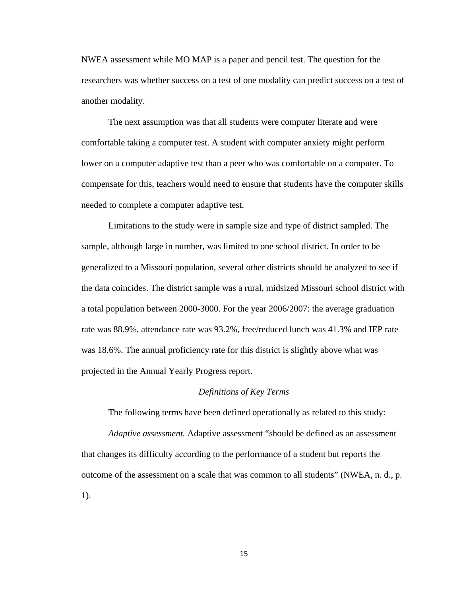NWEA assessment while MO MAP is a paper and pencil test. The question for the researchers was whether success on a test of one modality can predict success on a test of another modality.

The next assumption was that all students were computer literate and were comfortable taking a computer test. A student with computer anxiety might perform lower on a computer adaptive test than a peer who was comfortable on a computer. To compensate for this, teachers would need to ensure that students have the computer skills needed to complete a computer adaptive test.

 Limitations to the study were in sample size and type of district sampled. The sample, although large in number, was limited to one school district. In order to be generalized to a Missouri population, several other districts should be analyzed to see if the data coincides. The district sample was a rural, midsized Missouri school district with a total population between 2000-3000. For the year 2006/2007: the average graduation rate was 88.9%, attendance rate was 93.2%, free/reduced lunch was 41.3% and IEP rate was 18.6%. The annual proficiency rate for this district is slightly above what was projected in the Annual Yearly Progress report.

#### *Definitions of Key Terms*

The following terms have been defined operationally as related to this study:

*Adaptive assessment.* Adaptive assessment "should be defined as an assessment that changes its difficulty according to the performance of a student but reports the outcome of the assessment on a scale that was common to all students" (NWEA, n. d., p. 1).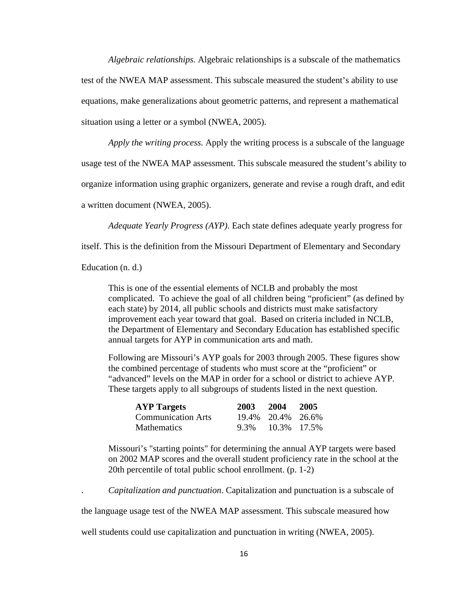*Algebraic relationships.* Algebraic relationships is a subscale of the mathematics test of the NWEA MAP assessment. This subscale measured the student's ability to use equations, make generalizations about geometric patterns, and represent a mathematical situation using a letter or a symbol (NWEA, 2005).

*Apply the writing process.* Apply the writing process is a subscale of the language

usage test of the NWEA MAP assessment. This subscale measured the student's ability to

organize information using graphic organizers, generate and revise a rough draft, and edit

a written document (NWEA, 2005).

*Adequate Yearly Progress (AYP).* Each state defines adequate yearly progress for

itself. This is the definition from the Missouri Department of Elementary and Secondary

Education (n. d.)

This is one of the essential elements of NCLB and probably the most complicated. To achieve the goal of all children being "proficient" (as defined by each state) by 2014, all public schools and districts must make satisfactory improvement each year toward that goal. Based on criteria included in NCLB, the Department of Elementary and Secondary Education has established specific annual targets for AYP in communication arts and math.

Following are Missouri's AYP goals for 2003 through 2005. These figures show the combined percentage of students who must score at the "proficient" or "advanced" levels on the MAP in order for a school or district to achieve AYP. These targets apply to all subgroups of students listed in the next question.

| <b>AYP Targets</b>        | 2003 2004 2005    |  |
|---------------------------|-------------------|--|
| <b>Communication Arts</b> | 19.4% 20.4% 26.6% |  |
| Mathematics               | 9.3% 10.3% 17.5%  |  |

Missouri's "starting points" for determining the annual AYP targets were based on 2002 MAP scores and the overall student proficiency rate in the school at the 20th percentile of total public school enrollment. (p. 1-2)

. *Capitalization and punctuation*. Capitalization and punctuation is a subscale of

the language usage test of the NWEA MAP assessment. This subscale measured how

well students could use capitalization and punctuation in writing (NWEA, 2005).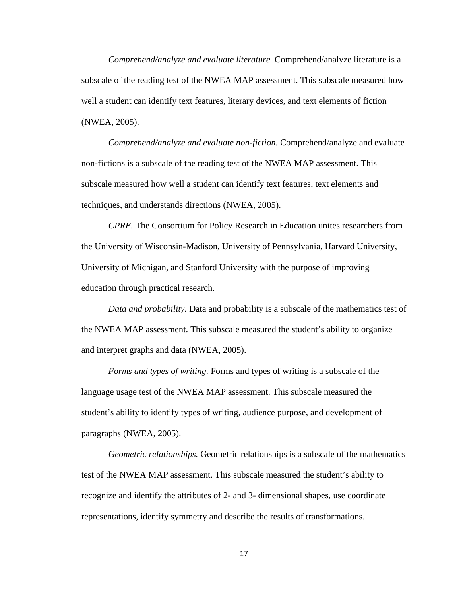*Comprehend/analyze and evaluate literature.* Comprehend/analyze literature is a subscale of the reading test of the NWEA MAP assessment. This subscale measured how well a student can identify text features, literary devices, and text elements of fiction (NWEA, 2005).

*Comprehend/analyze and evaluate non-fiction.* Comprehend/analyze and evaluate non-fictions is a subscale of the reading test of the NWEA MAP assessment. This subscale measured how well a student can identify text features, text elements and techniques, and understands directions (NWEA, 2005).

*CPRE.* The Consortium for Policy Research in Education unites researchers from the University of Wisconsin-Madison, University of Pennsylvania, Harvard University, University of Michigan, and Stanford University with the purpose of improving education through practical research.

*Data and probability.* Data and probability is a subscale of the mathematics test of the NWEA MAP assessment. This subscale measured the student's ability to organize and interpret graphs and data (NWEA, 2005).

*Forms and types of writing.* Forms and types of writing is a subscale of the language usage test of the NWEA MAP assessment. This subscale measured the student's ability to identify types of writing, audience purpose, and development of paragraphs (NWEA, 2005).

*Geometric relationships.* Geometric relationships is a subscale of the mathematics test of the NWEA MAP assessment. This subscale measured the student's ability to recognize and identify the attributes of 2- and 3- dimensional shapes, use coordinate representations, identify symmetry and describe the results of transformations.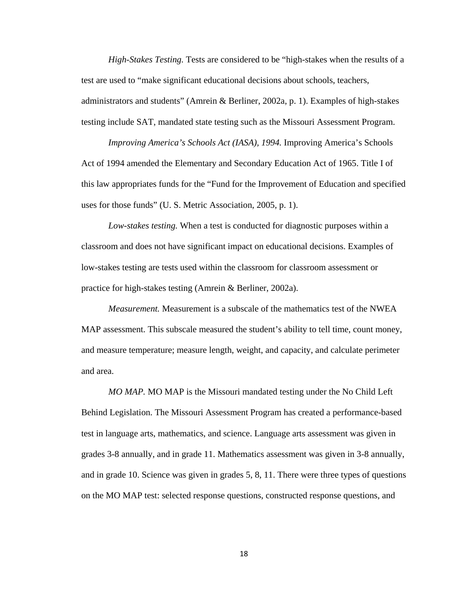*High-Stakes Testing.* Tests are considered to be "high-stakes when the results of a test are used to "make significant educational decisions about schools, teachers, administrators and students" (Amrein & Berliner, 2002a, p. 1). Examples of high-stakes testing include SAT, mandated state testing such as the Missouri Assessment Program.

*Improving America's Schools Act (IASA), 1994.* Improving America's Schools Act of 1994 amended the Elementary and Secondary Education Act of 1965. Title I of this law appropriates funds for the "Fund for the Improvement of Education and specified uses for those funds" (U. S. Metric Association, 2005, p. 1).

*Low-stakes testing.* When a test is conducted for diagnostic purposes within a classroom and does not have significant impact on educational decisions. Examples of low-stakes testing are tests used within the classroom for classroom assessment or practice for high-stakes testing (Amrein & Berliner, 2002a).

*Measurement.* Measurement is a subscale of the mathematics test of the NWEA MAP assessment. This subscale measured the student's ability to tell time, count money, and measure temperature; measure length, weight, and capacity, and calculate perimeter and area.

*MO MAP.* MO MAP is the Missouri mandated testing under the No Child Left Behind Legislation. The Missouri Assessment Program has created a performance-based test in language arts, mathematics, and science. Language arts assessment was given in grades 3-8 annually, and in grade 11. Mathematics assessment was given in 3-8 annually, and in grade 10. Science was given in grades 5, 8, 11. There were three types of questions on the MO MAP test: selected response questions, constructed response questions, and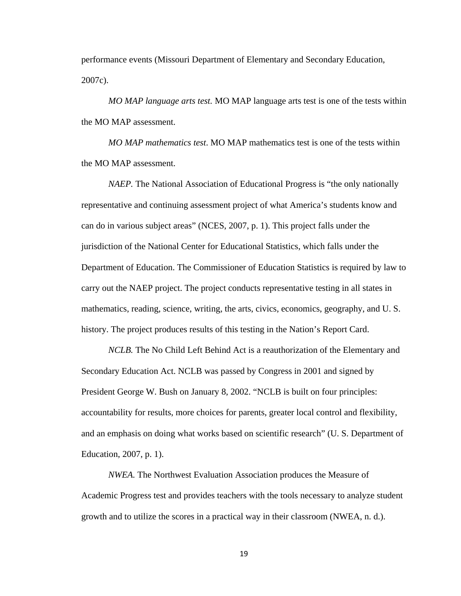performance events (Missouri Department of Elementary and Secondary Education, 2007c).

*MO MAP language arts test.* MO MAP language arts test is one of the tests within the MO MAP assessment.

*MO MAP mathematics test*. MO MAP mathematics test is one of the tests within the MO MAP assessment.

*NAEP.* The National Association of Educational Progress is "the only nationally representative and continuing assessment project of what America's students know and can do in various subject areas" (NCES, 2007, p. 1). This project falls under the jurisdiction of the National Center for Educational Statistics, which falls under the Department of Education. The Commissioner of Education Statistics is required by law to carry out the NAEP project. The project conducts representative testing in all states in mathematics, reading, science, writing, the arts, civics, economics, geography, and U. S. history. The project produces results of this testing in the Nation's Report Card.

*NCLB.* The No Child Left Behind Act is a reauthorization of the Elementary and Secondary Education Act. NCLB was passed by Congress in 2001 and signed by President George W. Bush on January 8, 2002. "NCLB is built on four principles: accountability for results, more choices for parents, greater local control and flexibility, and an emphasis on doing what works based on scientific research" (U. S. Department of Education, 2007, p. 1).

*NWEA.* The Northwest Evaluation Association produces the Measure of Academic Progress test and provides teachers with the tools necessary to analyze student growth and to utilize the scores in a practical way in their classroom (NWEA, n. d.).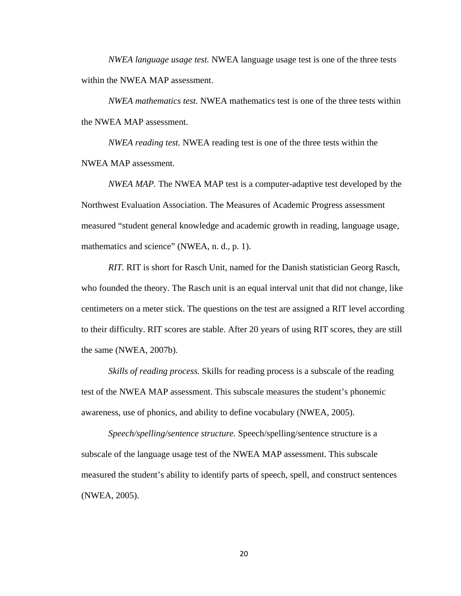*NWEA language usage test.* NWEA language usage test is one of the three tests within the NWEA MAP assessment.

*NWEA mathematics test.* NWEA mathematics test is one of the three tests within the NWEA MAP assessment.

*NWEA reading test.* NWEA reading test is one of the three tests within the NWEA MAP assessment.

*NWEA MAP.* The NWEA MAP test is a computer-adaptive test developed by the Northwest Evaluation Association. The Measures of Academic Progress assessment measured "student general knowledge and academic growth in reading, language usage, mathematics and science" (NWEA, n. d., p. 1).

*RIT.* RIT is short for Rasch Unit, named for the Danish statistician Georg Rasch, who founded the theory. The Rasch unit is an equal interval unit that did not change, like centimeters on a meter stick. The questions on the test are assigned a RIT level according to their difficulty. RIT scores are stable. After 20 years of using RIT scores, they are still the same (NWEA, 2007b).

*Skills of reading process.* Skills for reading process is a subscale of the reading test of the NWEA MAP assessment. This subscale measures the student's phonemic awareness, use of phonics, and ability to define vocabulary (NWEA, 2005).

*Speech/spelling/sentence structure.* Speech/spelling/sentence structure is a subscale of the language usage test of the NWEA MAP assessment. This subscale measured the student's ability to identify parts of speech, spell, and construct sentences (NWEA, 2005).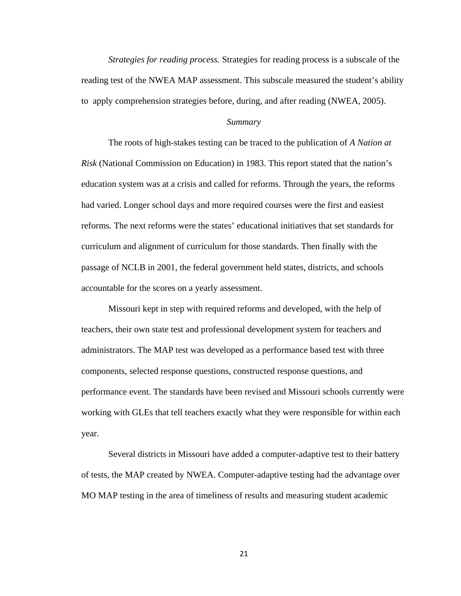*Strategies for reading process.* Strategies for reading process is a subscale of the reading test of the NWEA MAP assessment. This subscale measured the student's ability to apply comprehension strategies before, during, and after reading (NWEA, 2005).

#### *Summary*

 The roots of high-stakes testing can be traced to the publication of *A Nation at Risk* (National Commission on Education) in 1983. This report stated that the nation's education system was at a crisis and called for reforms. Through the years, the reforms had varied. Longer school days and more required courses were the first and easiest reforms. The next reforms were the states' educational initiatives that set standards for curriculum and alignment of curriculum for those standards. Then finally with the passage of NCLB in 2001, the federal government held states, districts, and schools accountable for the scores on a yearly assessment.

 Missouri kept in step with required reforms and developed, with the help of teachers, their own state test and professional development system for teachers and administrators. The MAP test was developed as a performance based test with three components, selected response questions, constructed response questions, and performance event. The standards have been revised and Missouri schools currently were working with GLEs that tell teachers exactly what they were responsible for within each year.

 Several districts in Missouri have added a computer-adaptive test to their battery of tests, the MAP created by NWEA. Computer-adaptive testing had the advantage over MO MAP testing in the area of timeliness of results and measuring student academic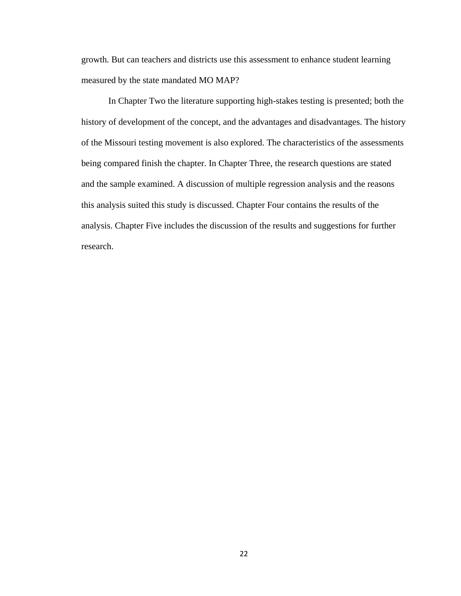growth. But can teachers and districts use this assessment to enhance student learning measured by the state mandated MO MAP?

 In Chapter Two the literature supporting high-stakes testing is presented; both the history of development of the concept, and the advantages and disadvantages. The history of the Missouri testing movement is also explored. The characteristics of the assessments being compared finish the chapter. In Chapter Three, the research questions are stated and the sample examined. A discussion of multiple regression analysis and the reasons this analysis suited this study is discussed. Chapter Four contains the results of the analysis. Chapter Five includes the discussion of the results and suggestions for further research.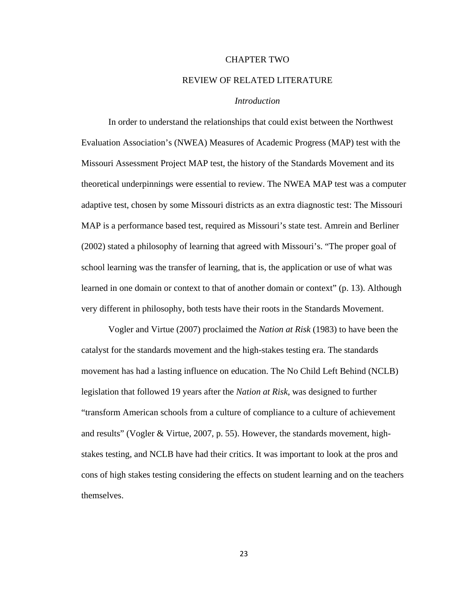#### CHAPTER TWO

### REVIEW OF RELATED LITERATURE

## *Introduction*

In order to understand the relationships that could exist between the Northwest Evaluation Association's (NWEA) Measures of Academic Progress (MAP) test with the Missouri Assessment Project MAP test, the history of the Standards Movement and its theoretical underpinnings were essential to review. The NWEA MAP test was a computer adaptive test, chosen by some Missouri districts as an extra diagnostic test: The Missouri MAP is a performance based test, required as Missouri's state test. Amrein and Berliner (2002) stated a philosophy of learning that agreed with Missouri's. "The proper goal of school learning was the transfer of learning, that is, the application or use of what was learned in one domain or context to that of another domain or context" (p. 13). Although very different in philosophy, both tests have their roots in the Standards Movement.

Vogler and Virtue (2007) proclaimed the *Nation at Risk* (1983) to have been the catalyst for the standards movement and the high-stakes testing era. The standards movement has had a lasting influence on education. The No Child Left Behind (NCLB) legislation that followed 19 years after the *Nation at Risk*, was designed to further "transform American schools from a culture of compliance to a culture of achievement and results" (Vogler & Virtue, 2007, p. 55). However, the standards movement, highstakes testing, and NCLB have had their critics. It was important to look at the pros and cons of high stakes testing considering the effects on student learning and on the teachers themselves.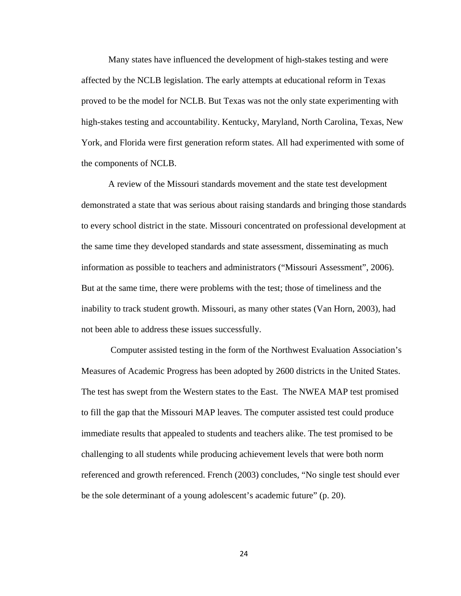Many states have influenced the development of high-stakes testing and were affected by the NCLB legislation. The early attempts at educational reform in Texas proved to be the model for NCLB. But Texas was not the only state experimenting with high-stakes testing and accountability. Kentucky, Maryland, North Carolina, Texas, New York, and Florida were first generation reform states. All had experimented with some of the components of NCLB.

A review of the Missouri standards movement and the state test development demonstrated a state that was serious about raising standards and bringing those standards to every school district in the state. Missouri concentrated on professional development at the same time they developed standards and state assessment, disseminating as much information as possible to teachers and administrators ("Missouri Assessment", 2006). But at the same time, there were problems with the test; those of timeliness and the inability to track student growth. Missouri, as many other states (Van Horn, 2003), had not been able to address these issues successfully.

 Computer assisted testing in the form of the Northwest Evaluation Association's Measures of Academic Progress has been adopted by 2600 districts in the United States. The test has swept from the Western states to the East. The NWEA MAP test promised to fill the gap that the Missouri MAP leaves. The computer assisted test could produce immediate results that appealed to students and teachers alike. The test promised to be challenging to all students while producing achievement levels that were both norm referenced and growth referenced. French (2003) concludes, "No single test should ever be the sole determinant of a young adolescent's academic future" (p. 20).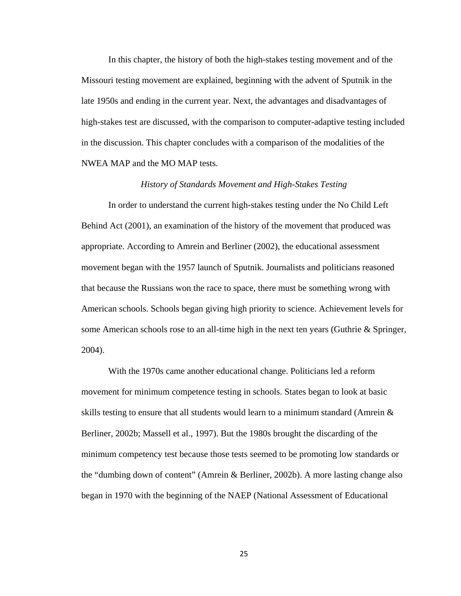In this chapter, the history of both the high-stakes testing movement and of the Missouri testing movement are explained, beginning with the advent of Sputnik in the late 1950s and ending in the current year. Next, the advantages and disadvantages of high-stakes test are discussed, with the comparison to computer-adaptive testing included in the discussion. This chapter concludes with a comparison of the modalities of the NWEA MAP and the MO MAP tests.

## *History of Standards Movement and High-Stakes Testing*

In order to understand the current high-stakes testing under the No Child Left Behind Act (2001), an examination of the history of the movement that produced was appropriate. According to Amrein and Berliner (2002), the educational assessment movement began with the 1957 launch of Sputnik. Journalists and politicians reasoned that because the Russians won the race to space, there must be something wrong with American schools. Schools began giving high priority to science. Achievement levels for some American schools rose to an all-time high in the next ten years (Guthrie  $\&$  Springer, 2004).

With the 1970s came another educational change. Politicians led a reform movement for minimum competence testing in schools. States began to look at basic skills testing to ensure that all students would learn to a minimum standard (Amrein  $\&$ Berliner, 2002b; Massell et al., 1997). But the 1980s brought the discarding of the minimum competency test because those tests seemed to be promoting low standards or the "dumbing down of content" (Amrein & Berliner, 2002b). A more lasting change also began in 1970 with the beginning of the NAEP (National Assessment of Educational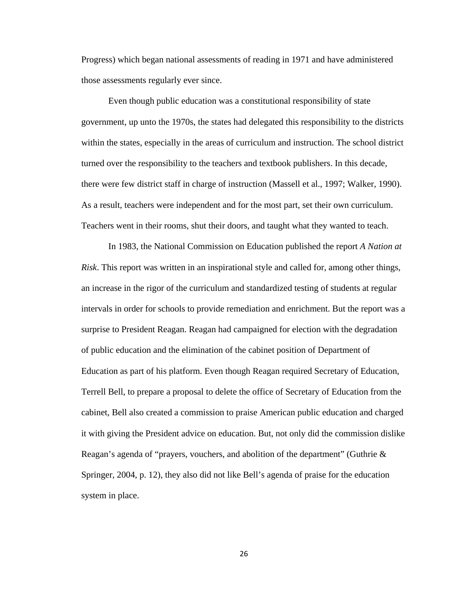Progress) which began national assessments of reading in 1971 and have administered those assessments regularly ever since.

Even though public education was a constitutional responsibility of state government, up unto the 1970s, the states had delegated this responsibility to the districts within the states, especially in the areas of curriculum and instruction. The school district turned over the responsibility to the teachers and textbook publishers. In this decade, there were few district staff in charge of instruction (Massell et al., 1997; Walker, 1990). As a result, teachers were independent and for the most part, set their own curriculum. Teachers went in their rooms, shut their doors, and taught what they wanted to teach.

 In 1983, the National Commission on Education published the report *A Nation at Risk*. This report was written in an inspirational style and called for, among other things, an increase in the rigor of the curriculum and standardized testing of students at regular intervals in order for schools to provide remediation and enrichment. But the report was a surprise to President Reagan. Reagan had campaigned for election with the degradation of public education and the elimination of the cabinet position of Department of Education as part of his platform. Even though Reagan required Secretary of Education, Terrell Bell, to prepare a proposal to delete the office of Secretary of Education from the cabinet, Bell also created a commission to praise American public education and charged it with giving the President advice on education. But, not only did the commission dislike Reagan's agenda of "prayers, vouchers, and abolition of the department" (Guthrie & Springer, 2004, p. 12), they also did not like Bell's agenda of praise for the education system in place.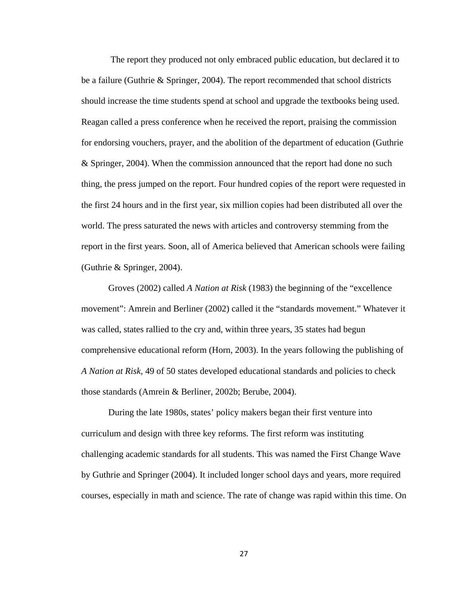The report they produced not only embraced public education, but declared it to be a failure (Guthrie & Springer, 2004). The report recommended that school districts should increase the time students spend at school and upgrade the textbooks being used. Reagan called a press conference when he received the report, praising the commission for endorsing vouchers, prayer, and the abolition of the department of education (Guthrie & Springer, 2004). When the commission announced that the report had done no such thing, the press jumped on the report. Four hundred copies of the report were requested in the first 24 hours and in the first year, six million copies had been distributed all over the world. The press saturated the news with articles and controversy stemming from the report in the first years. Soon, all of America believed that American schools were failing (Guthrie & Springer, 2004).

Groves (2002) called *A Nation at Risk* (1983) the beginning of the "excellence movement": Amrein and Berliner (2002) called it the "standards movement." Whatever it was called, states rallied to the cry and, within three years, 35 states had begun comprehensive educational reform (Horn, 2003). In the years following the publishing of *A Nation at Risk,* 49 of 50 states developed educational standards and policies to check those standards (Amrein & Berliner, 2002b; Berube, 2004).

 During the late 1980s, states' policy makers began their first venture into curriculum and design with three key reforms. The first reform was instituting challenging academic standards for all students. This was named the First Change Wave by Guthrie and Springer (2004). It included longer school days and years, more required courses, especially in math and science. The rate of change was rapid within this time. On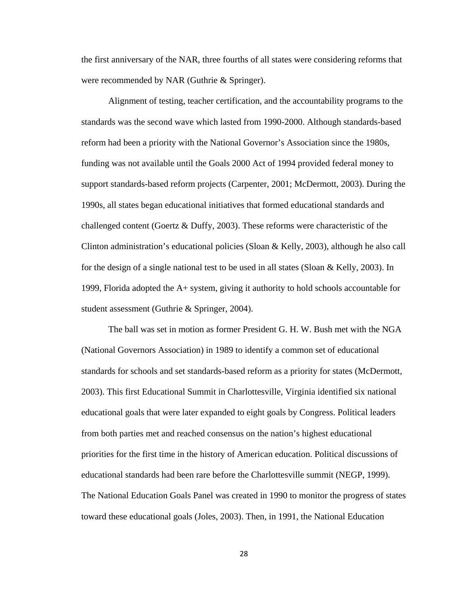the first anniversary of the NAR, three fourths of all states were considering reforms that were recommended by NAR (Guthrie & Springer).

Alignment of testing, teacher certification, and the accountability programs to the standards was the second wave which lasted from 1990-2000. Although standards-based reform had been a priority with the National Governor's Association since the 1980s, funding was not available until the Goals 2000 Act of 1994 provided federal money to support standards-based reform projects (Carpenter, 2001; McDermott, 2003). During the 1990s, all states began educational initiatives that formed educational standards and challenged content (Goertz & Duffy, 2003). These reforms were characteristic of the Clinton administration's educational policies (Sloan & Kelly, 2003), although he also call for the design of a single national test to be used in all states (Sloan  $&$  Kelly, 2003). In 1999, Florida adopted the A+ system, giving it authority to hold schools accountable for student assessment (Guthrie & Springer, 2004).

The ball was set in motion as former President G. H. W. Bush met with the NGA (National Governors Association) in 1989 to identify a common set of educational standards for schools and set standards-based reform as a priority for states (McDermott, 2003). This first Educational Summit in Charlottesville, Virginia identified six national educational goals that were later expanded to eight goals by Congress. Political leaders from both parties met and reached consensus on the nation's highest educational priorities for the first time in the history of American education. Political discussions of educational standards had been rare before the Charlottesville summit (NEGP, 1999). The National Education Goals Panel was created in 1990 to monitor the progress of states toward these educational goals (Joles, 2003). Then, in 1991, the National Education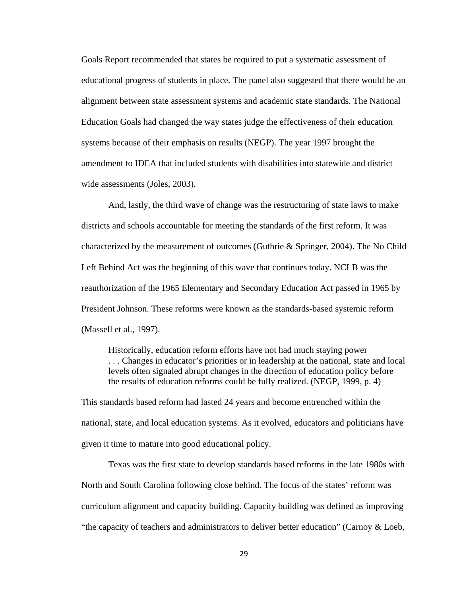Goals Report recommended that states be required to put a systematic assessment of educational progress of students in place. The panel also suggested that there would be an alignment between state assessment systems and academic state standards. The National Education Goals had changed the way states judge the effectiveness of their education systems because of their emphasis on results (NEGP). The year 1997 brought the amendment to IDEA that included students with disabilities into statewide and district wide assessments (Joles, 2003).

And, lastly, the third wave of change was the restructuring of state laws to make districts and schools accountable for meeting the standards of the first reform. It was characterized by the measurement of outcomes (Guthrie & Springer, 2004). The No Child Left Behind Act was the beginning of this wave that continues today. NCLB was the reauthorization of the 1965 Elementary and Secondary Education Act passed in 1965 by President Johnson. These reforms were known as the standards-based systemic reform (Massell et al., 1997).

Historically, education reform efforts have not had much staying power . . . Changes in educator's priorities or in leadership at the national, state and local levels often signaled abrupt changes in the direction of education policy before the results of education reforms could be fully realized. (NEGP, 1999, p. 4)

This standards based reform had lasted 24 years and become entrenched within the national, state, and local education systems. As it evolved, educators and politicians have given it time to mature into good educational policy.

 Texas was the first state to develop standards based reforms in the late 1980s with North and South Carolina following close behind. The focus of the states' reform was curriculum alignment and capacity building. Capacity building was defined as improving "the capacity of teachers and administrators to deliver better education" (Carnoy & Loeb,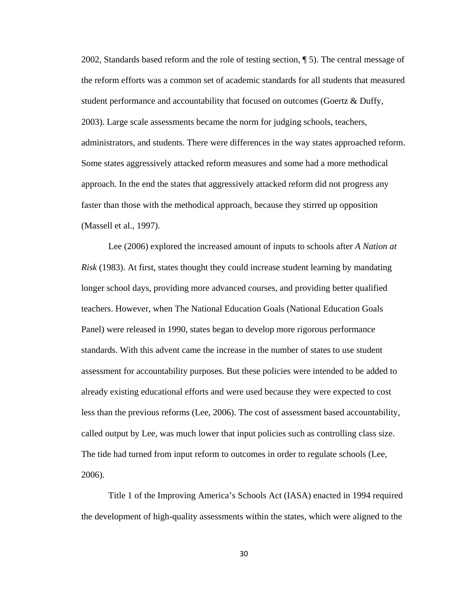2002, Standards based reform and the role of testing section, ¶ 5). The central message of the reform efforts was a common set of academic standards for all students that measured student performance and accountability that focused on outcomes (Goertz & Duffy, 2003). Large scale assessments became the norm for judging schools, teachers, administrators, and students. There were differences in the way states approached reform. Some states aggressively attacked reform measures and some had a more methodical approach. In the end the states that aggressively attacked reform did not progress any faster than those with the methodical approach, because they stirred up opposition (Massell et al., 1997).

 Lee (2006) explored the increased amount of inputs to schools after *A Nation at Risk* (1983). At first, states thought they could increase student learning by mandating longer school days, providing more advanced courses, and providing better qualified teachers. However, when The National Education Goals (National Education Goals Panel) were released in 1990, states began to develop more rigorous performance standards. With this advent came the increase in the number of states to use student assessment for accountability purposes. But these policies were intended to be added to already existing educational efforts and were used because they were expected to cost less than the previous reforms (Lee, 2006). The cost of assessment based accountability, called output by Lee, was much lower that input policies such as controlling class size. The tide had turned from input reform to outcomes in order to regulate schools (Lee, 2006).

 Title 1 of the Improving America's Schools Act (IASA) enacted in 1994 required the development of high-quality assessments within the states, which were aligned to the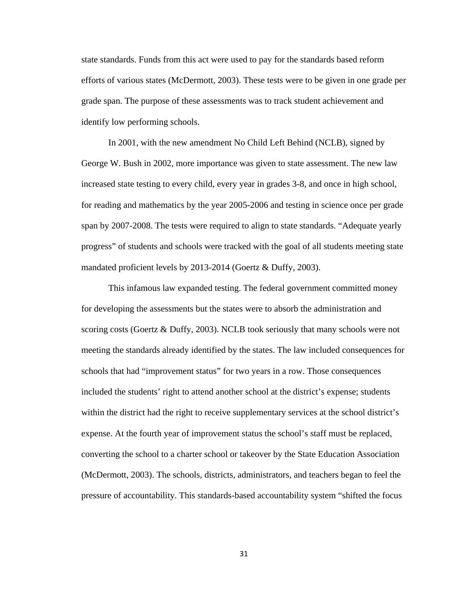state standards. Funds from this act were used to pay for the standards based reform efforts of various states (McDermott, 2003). These tests were to be given in one grade per grade span. The purpose of these assessments was to track student achievement and identify low performing schools.

In 2001, with the new amendment No Child Left Behind (NCLB), signed by George W. Bush in 2002, more importance was given to state assessment. The new law increased state testing to every child, every year in grades 3-8, and once in high school, for reading and mathematics by the year 2005-2006 and testing in science once per grade span by 2007-2008. The tests were required to align to state standards. "Adequate yearly progress" of students and schools were tracked with the goal of all students meeting state mandated proficient levels by 2013-2014 (Goertz & Duffy, 2003).

 This infamous law expanded testing. The federal government committed money for developing the assessments but the states were to absorb the administration and scoring costs (Goertz & Duffy, 2003). NCLB took seriously that many schools were not meeting the standards already identified by the states. The law included consequences for schools that had "improvement status" for two years in a row. Those consequences included the students' right to attend another school at the district's expense; students within the district had the right to receive supplementary services at the school district's expense. At the fourth year of improvement status the school's staff must be replaced, converting the school to a charter school or takeover by the State Education Association (McDermott, 2003). The schools, districts, administrators, and teachers began to feel the pressure of accountability. This standards-based accountability system "shifted the focus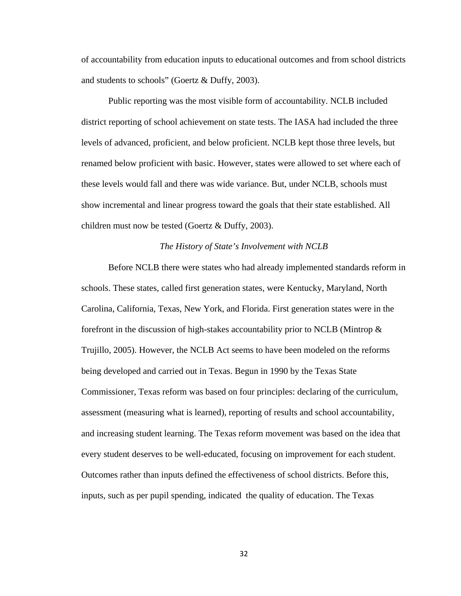of accountability from education inputs to educational outcomes and from school districts and students to schools" (Goertz & Duffy, 2003).

 Public reporting was the most visible form of accountability. NCLB included district reporting of school achievement on state tests. The IASA had included the three levels of advanced, proficient, and below proficient. NCLB kept those three levels, but renamed below proficient with basic. However, states were allowed to set where each of these levels would fall and there was wide variance. But, under NCLB, schools must show incremental and linear progress toward the goals that their state established. All children must now be tested (Goertz & Duffy, 2003).

### *The History of State's Involvement with NCLB*

 Before NCLB there were states who had already implemented standards reform in schools. These states, called first generation states, were Kentucky, Maryland, North Carolina, California, Texas, New York, and Florida. First generation states were in the forefront in the discussion of high-stakes accountability prior to NCLB (Mintrop  $\&$ Trujillo, 2005). However, the NCLB Act seems to have been modeled on the reforms being developed and carried out in Texas. Begun in 1990 by the Texas State Commissioner, Texas reform was based on four principles: declaring of the curriculum, assessment (measuring what is learned), reporting of results and school accountability, and increasing student learning. The Texas reform movement was based on the idea that every student deserves to be well-educated, focusing on improvement for each student. Outcomes rather than inputs defined the effectiveness of school districts. Before this, inputs, such as per pupil spending, indicated the quality of education. The Texas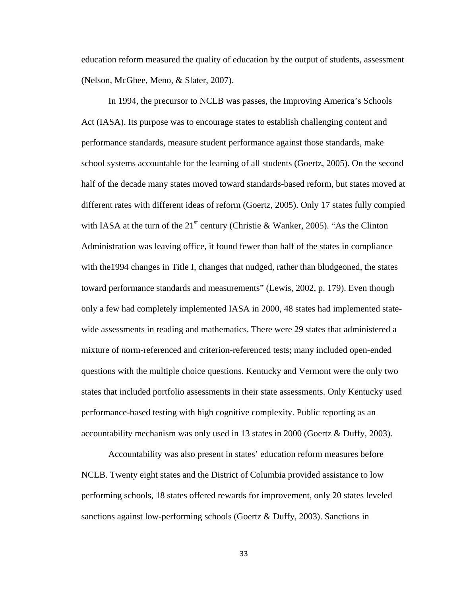education reform measured the quality of education by the output of students, assessment (Nelson, McGhee, Meno, & Slater, 2007).

 In 1994, the precursor to NCLB was passes, the Improving America's Schools Act (IASA). Its purpose was to encourage states to establish challenging content and performance standards, measure student performance against those standards, make school systems accountable for the learning of all students (Goertz, 2005). On the second half of the decade many states moved toward standards-based reform, but states moved at different rates with different ideas of reform (Goertz, 2005). Only 17 states fully compied with IASA at the turn of the  $21<sup>st</sup>$  century (Christie & Wanker, 2005). "As the Clinton Administration was leaving office, it found fewer than half of the states in compliance with the1994 changes in Title I, changes that nudged, rather than bludgeoned, the states toward performance standards and measurements" (Lewis, 2002, p. 179). Even though only a few had completely implemented IASA in 2000, 48 states had implemented statewide assessments in reading and mathematics. There were 29 states that administered a mixture of norm-referenced and criterion-referenced tests; many included open-ended questions with the multiple choice questions. Kentucky and Vermont were the only two states that included portfolio assessments in their state assessments. Only Kentucky used performance-based testing with high cognitive complexity. Public reporting as an accountability mechanism was only used in 13 states in 2000 (Goertz & Duffy, 2003).

 Accountability was also present in states' education reform measures before NCLB. Twenty eight states and the District of Columbia provided assistance to low performing schools, 18 states offered rewards for improvement, only 20 states leveled sanctions against low-performing schools (Goertz & Duffy, 2003). Sanctions in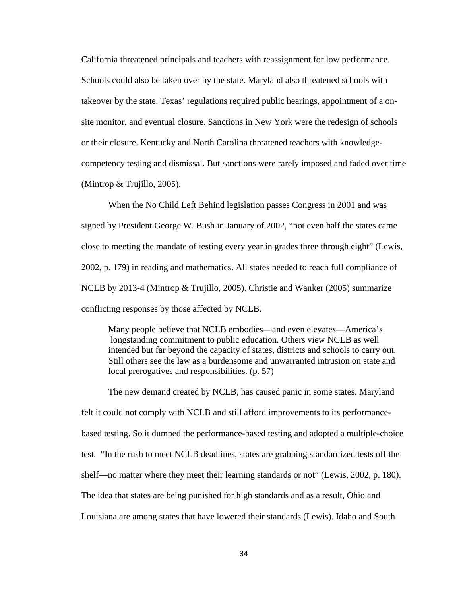California threatened principals and teachers with reassignment for low performance. Schools could also be taken over by the state. Maryland also threatened schools with takeover by the state. Texas' regulations required public hearings, appointment of a onsite monitor, and eventual closure. Sanctions in New York were the redesign of schools or their closure. Kentucky and North Carolina threatened teachers with knowledgecompetency testing and dismissal. But sanctions were rarely imposed and faded over time (Mintrop & Trujillo, 2005).

 When the No Child Left Behind legislation passes Congress in 2001 and was signed by President George W. Bush in January of 2002, "not even half the states came close to meeting the mandate of testing every year in grades three through eight" (Lewis, 2002, p. 179) in reading and mathematics. All states needed to reach full compliance of NCLB by 2013-4 (Mintrop & Trujillo, 2005). Christie and Wanker (2005) summarize conflicting responses by those affected by NCLB.

Many people believe that NCLB embodies—and even elevates—America's longstanding commitment to public education. Others view NCLB as well intended but far beyond the capacity of states, districts and schools to carry out. Still others see the law as a burdensome and unwarranted intrusion on state and local prerogatives and responsibilities. (p. 57)

 The new demand created by NCLB, has caused panic in some states. Maryland felt it could not comply with NCLB and still afford improvements to its performancebased testing. So it dumped the performance-based testing and adopted a multiple-choice test. "In the rush to meet NCLB deadlines, states are grabbing standardized tests off the shelf—no matter where they meet their learning standards or not" (Lewis, 2002, p. 180). The idea that states are being punished for high standards and as a result, Ohio and Louisiana are among states that have lowered their standards (Lewis). Idaho and South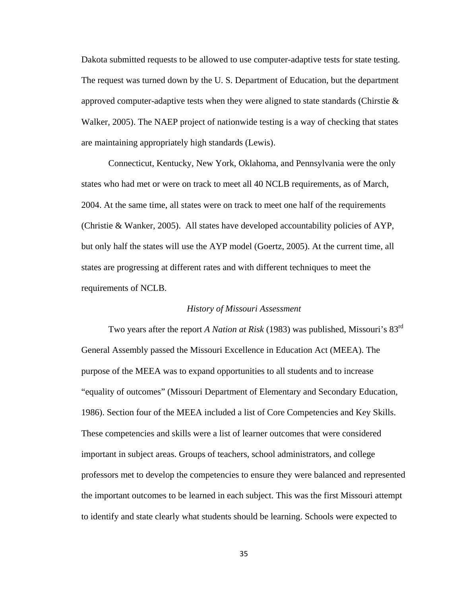Dakota submitted requests to be allowed to use computer-adaptive tests for state testing. The request was turned down by the U. S. Department of Education, but the department approved computer-adaptive tests when they were aligned to state standards (Chirstie  $\&$ Walker, 2005). The NAEP project of nationwide testing is a way of checking that states are maintaining appropriately high standards (Lewis).

 Connecticut, Kentucky, New York, Oklahoma, and Pennsylvania were the only states who had met or were on track to meet all 40 NCLB requirements, as of March, 2004. At the same time, all states were on track to meet one half of the requirements (Christie & Wanker, 2005). All states have developed accountability policies of AYP, but only half the states will use the AYP model (Goertz, 2005). At the current time, all states are progressing at different rates and with different techniques to meet the requirements of NCLB.

### *History of Missouri Assessment*

 Two years after the report *A Nation at Risk* (1983) was published, Missouri's 83rd General Assembly passed the Missouri Excellence in Education Act (MEEA). The purpose of the MEEA was to expand opportunities to all students and to increase "equality of outcomes" (Missouri Department of Elementary and Secondary Education, 1986). Section four of the MEEA included a list of Core Competencies and Key Skills. These competencies and skills were a list of learner outcomes that were considered important in subject areas. Groups of teachers, school administrators, and college professors met to develop the competencies to ensure they were balanced and represented the important outcomes to be learned in each subject. This was the first Missouri attempt to identify and state clearly what students should be learning. Schools were expected to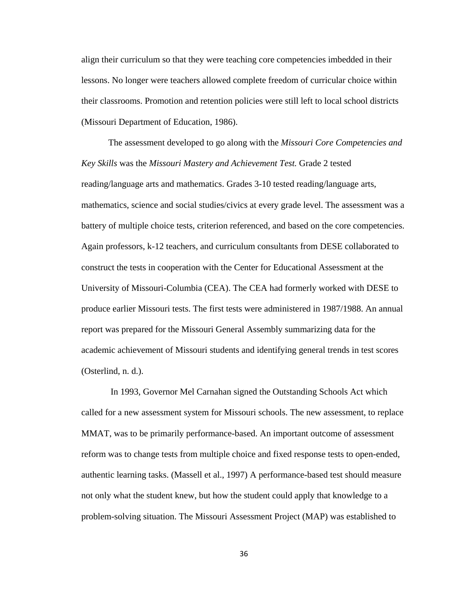align their curriculum so that they were teaching core competencies imbedded in their lessons. No longer were teachers allowed complete freedom of curricular choice within their classrooms. Promotion and retention policies were still left to local school districts (Missouri Department of Education, 1986).

 The assessment developed to go along with the *Missouri Core Competencies and Key Skills* was the *Missouri Mastery and Achievement Test.* Grade 2 tested reading/language arts and mathematics. Grades 3-10 tested reading/language arts, mathematics, science and social studies/civics at every grade level. The assessment was a battery of multiple choice tests, criterion referenced, and based on the core competencies. Again professors, k-12 teachers, and curriculum consultants from DESE collaborated to construct the tests in cooperation with the Center for Educational Assessment at the University of Missouri-Columbia (CEA). The CEA had formerly worked with DESE to produce earlier Missouri tests. The first tests were administered in 1987/1988. An annual report was prepared for the Missouri General Assembly summarizing data for the academic achievement of Missouri students and identifying general trends in test scores (Osterlind, n. d.).

 In 1993, Governor Mel Carnahan signed the Outstanding Schools Act which called for a new assessment system for Missouri schools. The new assessment, to replace MMAT, was to be primarily performance-based. An important outcome of assessment reform was to change tests from multiple choice and fixed response tests to open-ended, authentic learning tasks. (Massell et al., 1997) A performance-based test should measure not only what the student knew, but how the student could apply that knowledge to a problem-solving situation. The Missouri Assessment Project (MAP) was established to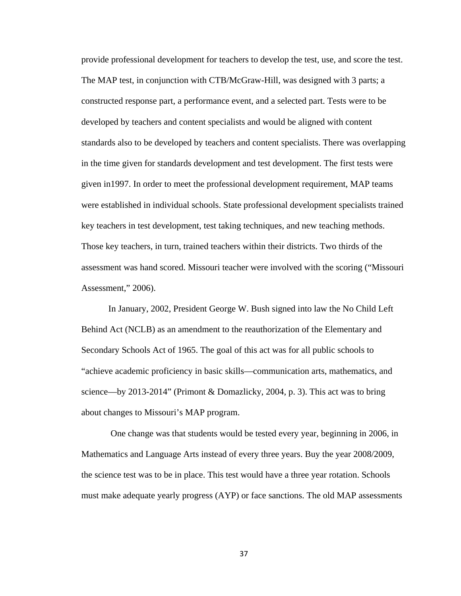provide professional development for teachers to develop the test, use, and score the test. The MAP test, in conjunction with CTB/McGraw-Hill, was designed with 3 parts; a constructed response part, a performance event, and a selected part. Tests were to be developed by teachers and content specialists and would be aligned with content standards also to be developed by teachers and content specialists. There was overlapping in the time given for standards development and test development. The first tests were given in1997. In order to meet the professional development requirement, MAP teams were established in individual schools. State professional development specialists trained key teachers in test development, test taking techniques, and new teaching methods. Those key teachers, in turn, trained teachers within their districts. Two thirds of the assessment was hand scored. Missouri teacher were involved with the scoring ("Missouri Assessment," 2006).

 In January, 2002, President George W. Bush signed into law the No Child Left Behind Act (NCLB) as an amendment to the reauthorization of the Elementary and Secondary Schools Act of 1965. The goal of this act was for all public schools to "achieve academic proficiency in basic skills—communication arts, mathematics, and science—by 2013-2014" (Primont & Domazlicky, 2004, p. 3). This act was to bring about changes to Missouri's MAP program.

 One change was that students would be tested every year, beginning in 2006, in Mathematics and Language Arts instead of every three years. Buy the year 2008/2009, the science test was to be in place. This test would have a three year rotation. Schools must make adequate yearly progress (AYP) or face sanctions. The old MAP assessments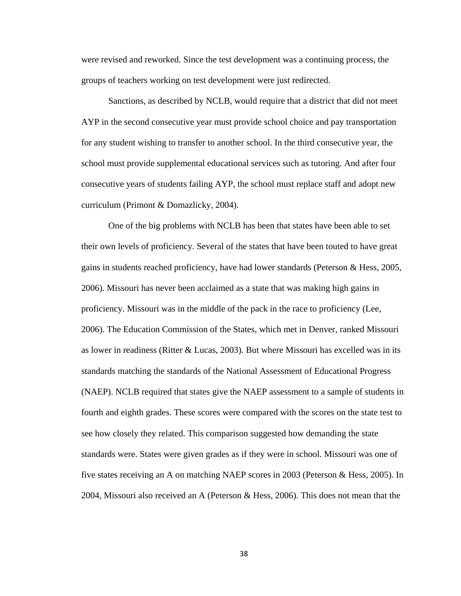were revised and reworked. Since the test development was a continuing process, the groups of teachers working on test development were just redirected.

 Sanctions, as described by NCLB, would require that a district that did not meet AYP in the second consecutive year must provide school choice and pay transportation for any student wishing to transfer to another school. In the third consecutive year, the school must provide supplemental educational services such as tutoring. And after four consecutive years of students failing AYP, the school must replace staff and adopt new curriculum (Primont & Domazlicky, 2004).

 One of the big problems with NCLB has been that states have been able to set their own levels of proficiency. Several of the states that have been touted to have great gains in students reached proficiency, have had lower standards (Peterson & Hess, 2005, 2006). Missouri has never been acclaimed as a state that was making high gains in proficiency. Missouri was in the middle of the pack in the race to proficiency (Lee, 2006). The Education Commission of the States, which met in Denver, ranked Missouri as lower in readiness (Ritter & Lucas, 2003). But where Missouri has excelled was in its standards matching the standards of the National Assessment of Educational Progress (NAEP). NCLB required that states give the NAEP assessment to a sample of students in fourth and eighth grades. These scores were compared with the scores on the state test to see how closely they related. This comparison suggested how demanding the state standards were. States were given grades as if they were in school. Missouri was one of five states receiving an A on matching NAEP scores in 2003 (Peterson & Hess, 2005). In 2004, Missouri also received an A (Peterson & Hess, 2006). This does not mean that the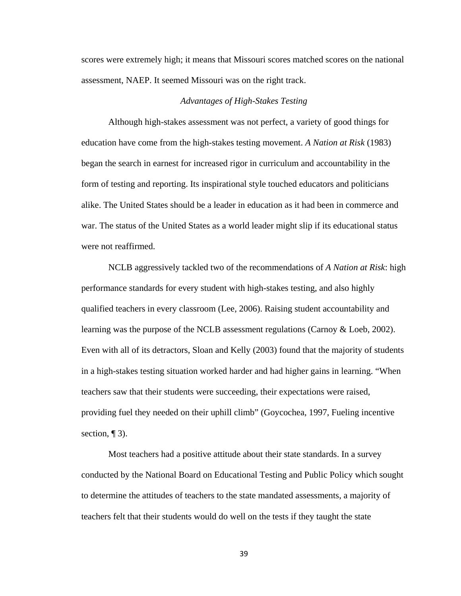scores were extremely high; it means that Missouri scores matched scores on the national assessment, NAEP. It seemed Missouri was on the right track.

## *Advantages of High-Stakes Testing*

 Although high-stakes assessment was not perfect, a variety of good things for education have come from the high-stakes testing movement. *A Nation at Risk* (1983) began the search in earnest for increased rigor in curriculum and accountability in the form of testing and reporting. Its inspirational style touched educators and politicians alike. The United States should be a leader in education as it had been in commerce and war. The status of the United States as a world leader might slip if its educational status were not reaffirmed.

 NCLB aggressively tackled two of the recommendations of *A Nation at Risk*: high performance standards for every student with high-stakes testing, and also highly qualified teachers in every classroom (Lee, 2006). Raising student accountability and learning was the purpose of the NCLB assessment regulations (Carnoy & Loeb, 2002). Even with all of its detractors, Sloan and Kelly (2003) found that the majority of students in a high-stakes testing situation worked harder and had higher gains in learning. "When teachers saw that their students were succeeding, their expectations were raised, providing fuel they needed on their uphill climb" (Goycochea, 1997, Fueling incentive section,  $\P$  3).

Most teachers had a positive attitude about their state standards. In a survey conducted by the National Board on Educational Testing and Public Policy which sought to determine the attitudes of teachers to the state mandated assessments, a majority of teachers felt that their students would do well on the tests if they taught the state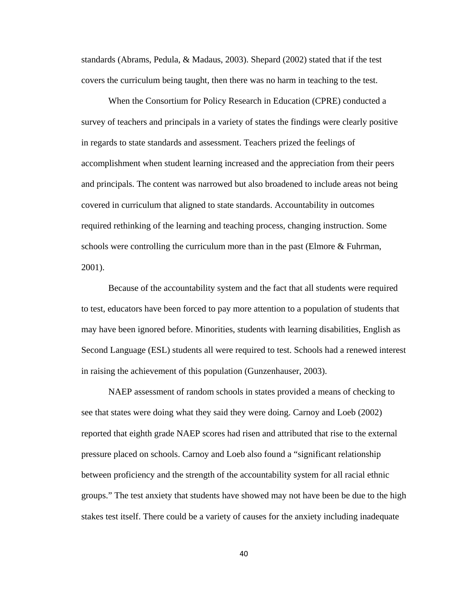standards (Abrams, Pedula, & Madaus, 2003). Shepard (2002) stated that if the test covers the curriculum being taught, then there was no harm in teaching to the test.

When the Consortium for Policy Research in Education (CPRE) conducted a survey of teachers and principals in a variety of states the findings were clearly positive in regards to state standards and assessment. Teachers prized the feelings of accomplishment when student learning increased and the appreciation from their peers and principals. The content was narrowed but also broadened to include areas not being covered in curriculum that aligned to state standards. Accountability in outcomes required rethinking of the learning and teaching process, changing instruction. Some schools were controlling the curriculum more than in the past (Elmore & Fuhrman, 2001).

Because of the accountability system and the fact that all students were required to test, educators have been forced to pay more attention to a population of students that may have been ignored before. Minorities, students with learning disabilities, English as Second Language (ESL) students all were required to test. Schools had a renewed interest in raising the achievement of this population (Gunzenhauser, 2003).

 NAEP assessment of random schools in states provided a means of checking to see that states were doing what they said they were doing. Carnoy and Loeb (2002) reported that eighth grade NAEP scores had risen and attributed that rise to the external pressure placed on schools. Carnoy and Loeb also found a "significant relationship between proficiency and the strength of the accountability system for all racial ethnic groups." The test anxiety that students have showed may not have been be due to the high stakes test itself. There could be a variety of causes for the anxiety including inadequate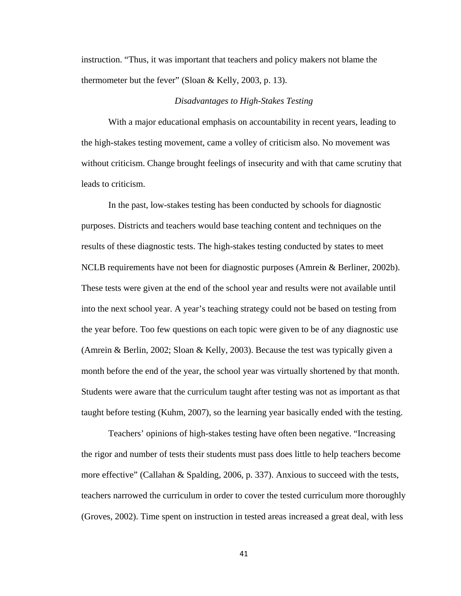instruction. "Thus, it was important that teachers and policy makers not blame the thermometer but the fever" (Sloan & Kelly, 2003, p. 13).

## *Disadvantages to High-Stakes Testing*

With a major educational emphasis on accountability in recent years, leading to the high-stakes testing movement, came a volley of criticism also. No movement was without criticism. Change brought feelings of insecurity and with that came scrutiny that leads to criticism.

 In the past, low-stakes testing has been conducted by schools for diagnostic purposes. Districts and teachers would base teaching content and techniques on the results of these diagnostic tests. The high-stakes testing conducted by states to meet NCLB requirements have not been for diagnostic purposes (Amrein & Berliner, 2002b). These tests were given at the end of the school year and results were not available until into the next school year. A year's teaching strategy could not be based on testing from the year before. Too few questions on each topic were given to be of any diagnostic use (Amrein & Berlin, 2002; Sloan & Kelly, 2003). Because the test was typically given a month before the end of the year, the school year was virtually shortened by that month. Students were aware that the curriculum taught after testing was not as important as that taught before testing (Kuhm, 2007), so the learning year basically ended with the testing.

 Teachers' opinions of high-stakes testing have often been negative. "Increasing the rigor and number of tests their students must pass does little to help teachers become more effective" (Callahan & Spalding, 2006, p. 337). Anxious to succeed with the tests, teachers narrowed the curriculum in order to cover the tested curriculum more thoroughly (Groves, 2002). Time spent on instruction in tested areas increased a great deal, with less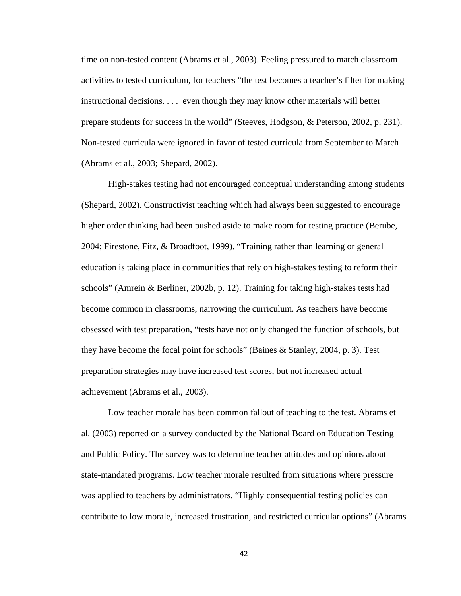time on non-tested content (Abrams et al., 2003). Feeling pressured to match classroom activities to tested curriculum, for teachers "the test becomes a teacher's filter for making instructional decisions. . . . even though they may know other materials will better prepare students for success in the world" (Steeves, Hodgson, & Peterson, 2002, p. 231). Non-tested curricula were ignored in favor of tested curricula from September to March (Abrams et al., 2003; Shepard, 2002).

 High-stakes testing had not encouraged conceptual understanding among students (Shepard, 2002). Constructivist teaching which had always been suggested to encourage higher order thinking had been pushed aside to make room for testing practice (Berube, 2004; Firestone, Fitz, & Broadfoot, 1999). "Training rather than learning or general education is taking place in communities that rely on high-stakes testing to reform their schools" (Amrein & Berliner, 2002b, p. 12). Training for taking high-stakes tests had become common in classrooms, narrowing the curriculum. As teachers have become obsessed with test preparation, "tests have not only changed the function of schools, but they have become the focal point for schools" (Baines & Stanley, 2004, p. 3). Test preparation strategies may have increased test scores, but not increased actual achievement (Abrams et al., 2003).

 Low teacher morale has been common fallout of teaching to the test. Abrams et al. (2003) reported on a survey conducted by the National Board on Education Testing and Public Policy. The survey was to determine teacher attitudes and opinions about state-mandated programs. Low teacher morale resulted from situations where pressure was applied to teachers by administrators. "Highly consequential testing policies can contribute to low morale, increased frustration, and restricted curricular options" (Abrams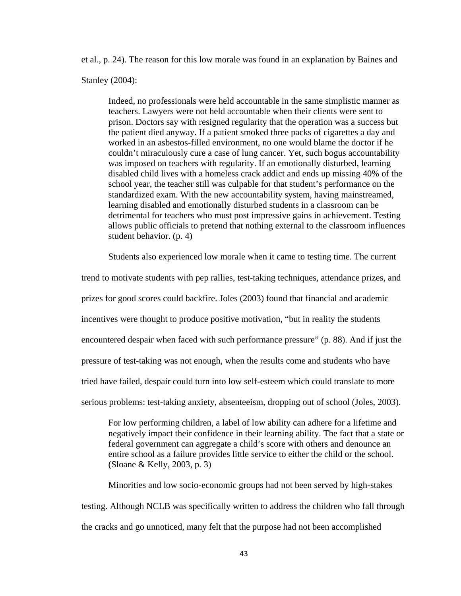et al., p. 24). The reason for this low morale was found in an explanation by Baines and

Stanley (2004):

Indeed, no professionals were held accountable in the same simplistic manner as teachers. Lawyers were not held accountable when their clients were sent to prison. Doctors say with resigned regularity that the operation was a success but the patient died anyway. If a patient smoked three packs of cigarettes a day and worked in an asbestos-filled environment, no one would blame the doctor if he couldn't miraculously cure a case of lung cancer. Yet, such bogus accountability was imposed on teachers with regularity. If an emotionally disturbed, learning disabled child lives with a homeless crack addict and ends up missing 40% of the school year, the teacher still was culpable for that student's performance on the standardized exam. With the new accountability system, having mainstreamed, learning disabled and emotionally disturbed students in a classroom can be detrimental for teachers who must post impressive gains in achievement. Testing allows public officials to pretend that nothing external to the classroom influences student behavior. (p. 4)

Students also experienced low morale when it came to testing time. The current

trend to motivate students with pep rallies, test-taking techniques, attendance prizes, and prizes for good scores could backfire. Joles (2003) found that financial and academic incentives were thought to produce positive motivation, "but in reality the students encountered despair when faced with such performance pressure" (p. 88). And if just the pressure of test-taking was not enough, when the results come and students who have tried have failed, despair could turn into low self-esteem which could translate to more serious problems: test-taking anxiety, absenteeism, dropping out of school (Joles, 2003).

For low performing children, a label of low ability can adhere for a lifetime and negatively impact their confidence in their learning ability. The fact that a state or federal government can aggregate a child's score with others and denounce an entire school as a failure provides little service to either the child or the school. (Sloane & Kelly, 2003, p. 3)

 Minorities and low socio-economic groups had not been served by high-stakes testing. Although NCLB was specifically written to address the children who fall through the cracks and go unnoticed, many felt that the purpose had not been accomplished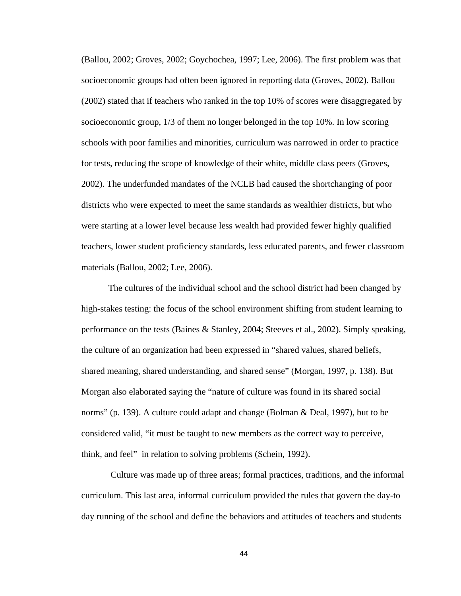(Ballou, 2002; Groves, 2002; Goychochea, 1997; Lee, 2006). The first problem was that socioeconomic groups had often been ignored in reporting data (Groves, 2002). Ballou (2002) stated that if teachers who ranked in the top 10% of scores were disaggregated by socioeconomic group, 1/3 of them no longer belonged in the top 10%. In low scoring schools with poor families and minorities, curriculum was narrowed in order to practice for tests, reducing the scope of knowledge of their white, middle class peers (Groves, 2002). The underfunded mandates of the NCLB had caused the shortchanging of poor districts who were expected to meet the same standards as wealthier districts, but who were starting at a lower level because less wealth had provided fewer highly qualified teachers, lower student proficiency standards, less educated parents, and fewer classroom materials (Ballou, 2002; Lee, 2006).

 The cultures of the individual school and the school district had been changed by high-stakes testing: the focus of the school environment shifting from student learning to performance on the tests (Baines & Stanley, 2004; Steeves et al., 2002). Simply speaking, the culture of an organization had been expressed in "shared values, shared beliefs, shared meaning, shared understanding, and shared sense" (Morgan, 1997, p. 138). But Morgan also elaborated saying the "nature of culture was found in its shared social norms" (p. 139). A culture could adapt and change (Bolman & Deal, 1997), but to be considered valid, "it must be taught to new members as the correct way to perceive, think, and feel" in relation to solving problems (Schein, 1992).

 Culture was made up of three areas; formal practices, traditions, and the informal curriculum. This last area, informal curriculum provided the rules that govern the day-to day running of the school and define the behaviors and attitudes of teachers and students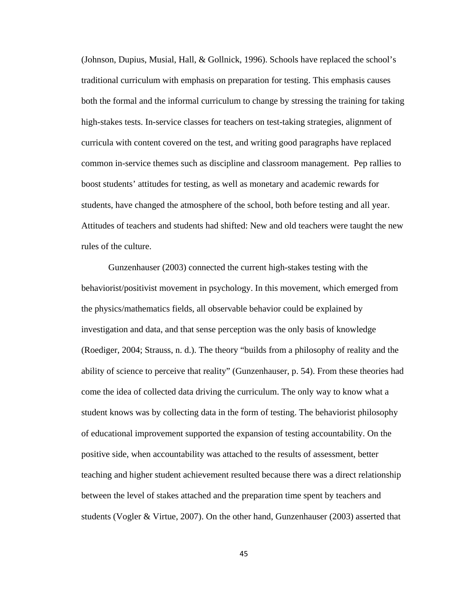(Johnson, Dupius, Musial, Hall, & Gollnick, 1996). Schools have replaced the school's traditional curriculum with emphasis on preparation for testing. This emphasis causes both the formal and the informal curriculum to change by stressing the training for taking high-stakes tests. In-service classes for teachers on test-taking strategies, alignment of curricula with content covered on the test, and writing good paragraphs have replaced common in-service themes such as discipline and classroom management. Pep rallies to boost students' attitudes for testing, as well as monetary and academic rewards for students, have changed the atmosphere of the school, both before testing and all year. Attitudes of teachers and students had shifted: New and old teachers were taught the new rules of the culture.

 Gunzenhauser (2003) connected the current high-stakes testing with the behaviorist/positivist movement in psychology. In this movement, which emerged from the physics/mathematics fields, all observable behavior could be explained by investigation and data, and that sense perception was the only basis of knowledge (Roediger, 2004; Strauss, n. d.). The theory "builds from a philosophy of reality and the ability of science to perceive that reality" (Gunzenhauser, p. 54). From these theories had come the idea of collected data driving the curriculum. The only way to know what a student knows was by collecting data in the form of testing. The behaviorist philosophy of educational improvement supported the expansion of testing accountability. On the positive side, when accountability was attached to the results of assessment, better teaching and higher student achievement resulted because there was a direct relationship between the level of stakes attached and the preparation time spent by teachers and students (Vogler & Virtue, 2007). On the other hand, Gunzenhauser (2003) asserted that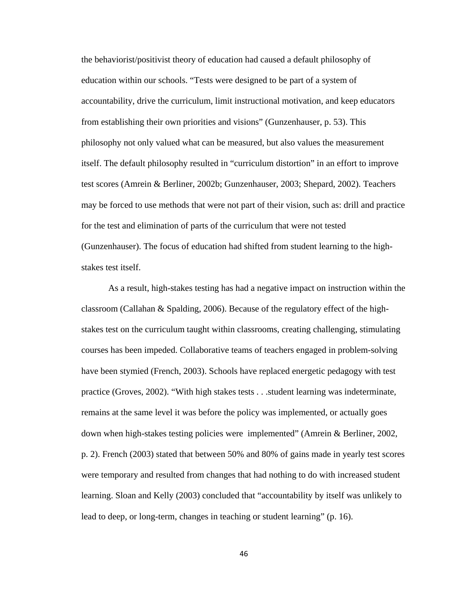the behaviorist/positivist theory of education had caused a default philosophy of education within our schools. "Tests were designed to be part of a system of accountability, drive the curriculum, limit instructional motivation, and keep educators from establishing their own priorities and visions" (Gunzenhauser, p. 53). This philosophy not only valued what can be measured, but also values the measurement itself. The default philosophy resulted in "curriculum distortion" in an effort to improve test scores (Amrein & Berliner, 2002b; Gunzenhauser, 2003; Shepard, 2002). Teachers may be forced to use methods that were not part of their vision, such as: drill and practice for the test and elimination of parts of the curriculum that were not tested (Gunzenhauser). The focus of education had shifted from student learning to the highstakes test itself.

 As a result, high-stakes testing has had a negative impact on instruction within the classroom (Callahan & Spalding, 2006). Because of the regulatory effect of the highstakes test on the curriculum taught within classrooms, creating challenging, stimulating courses has been impeded. Collaborative teams of teachers engaged in problem-solving have been stymied (French, 2003). Schools have replaced energetic pedagogy with test practice (Groves, 2002). "With high stakes tests . . .student learning was indeterminate, remains at the same level it was before the policy was implemented, or actually goes down when high-stakes testing policies were implemented" (Amrein & Berliner, 2002, p. 2). French (2003) stated that between 50% and 80% of gains made in yearly test scores were temporary and resulted from changes that had nothing to do with increased student learning. Sloan and Kelly (2003) concluded that "accountability by itself was unlikely to lead to deep, or long-term, changes in teaching or student learning" (p. 16).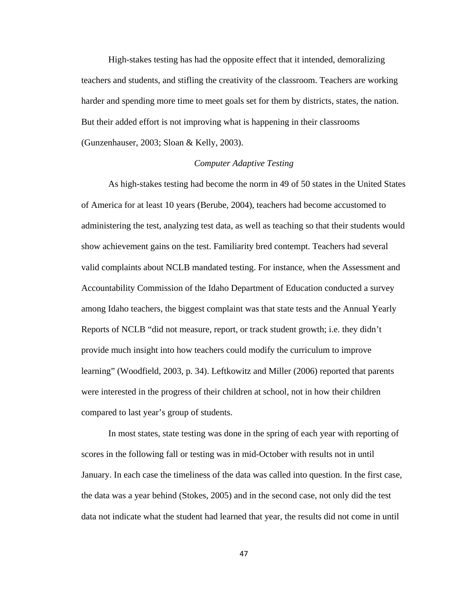High-stakes testing has had the opposite effect that it intended, demoralizing teachers and students, and stifling the creativity of the classroom. Teachers are working harder and spending more time to meet goals set for them by districts, states, the nation. But their added effort is not improving what is happening in their classrooms (Gunzenhauser, 2003; Sloan & Kelly, 2003).

# *Computer Adaptive Testing*

 As high-stakes testing had become the norm in 49 of 50 states in the United States of America for at least 10 years (Berube, 2004), teachers had become accustomed to administering the test, analyzing test data, as well as teaching so that their students would show achievement gains on the test. Familiarity bred contempt. Teachers had several valid complaints about NCLB mandated testing. For instance, when the Assessment and Accountability Commission of the Idaho Department of Education conducted a survey among Idaho teachers, the biggest complaint was that state tests and the Annual Yearly Reports of NCLB "did not measure, report, or track student growth; i.e. they didn't provide much insight into how teachers could modify the curriculum to improve learning" (Woodfield, 2003, p. 34). Leftkowitz and Miller (2006) reported that parents were interested in the progress of their children at school, not in how their children compared to last year's group of students.

 In most states, state testing was done in the spring of each year with reporting of scores in the following fall or testing was in mid-October with results not in until January. In each case the timeliness of the data was called into question. In the first case, the data was a year behind (Stokes, 2005) and in the second case, not only did the test data not indicate what the student had learned that year, the results did not come in until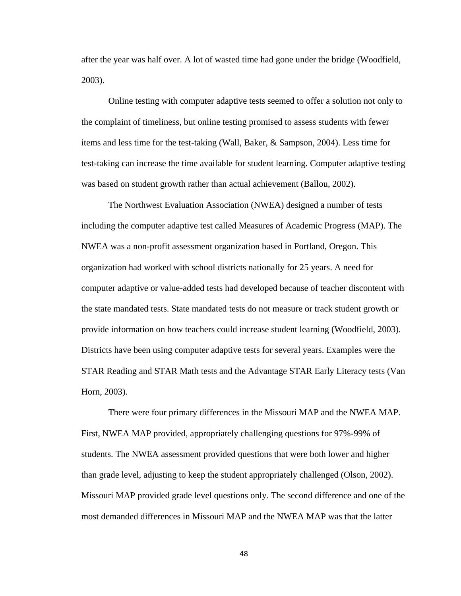after the year was half over. A lot of wasted time had gone under the bridge (Woodfield, 2003).

 Online testing with computer adaptive tests seemed to offer a solution not only to the complaint of timeliness, but online testing promised to assess students with fewer items and less time for the test-taking (Wall, Baker, & Sampson, 2004). Less time for test-taking can increase the time available for student learning. Computer adaptive testing was based on student growth rather than actual achievement (Ballou, 2002).

 The Northwest Evaluation Association (NWEA) designed a number of tests including the computer adaptive test called Measures of Academic Progress (MAP). The NWEA was a non-profit assessment organization based in Portland, Oregon. This organization had worked with school districts nationally for 25 years. A need for computer adaptive or value-added tests had developed because of teacher discontent with the state mandated tests. State mandated tests do not measure or track student growth or provide information on how teachers could increase student learning (Woodfield, 2003). Districts have been using computer adaptive tests for several years. Examples were the STAR Reading and STAR Math tests and the Advantage STAR Early Literacy tests (Van Horn, 2003).

 There were four primary differences in the Missouri MAP and the NWEA MAP. First, NWEA MAP provided, appropriately challenging questions for 97%-99% of students. The NWEA assessment provided questions that were both lower and higher than grade level, adjusting to keep the student appropriately challenged (Olson, 2002). Missouri MAP provided grade level questions only. The second difference and one of the most demanded differences in Missouri MAP and the NWEA MAP was that the latter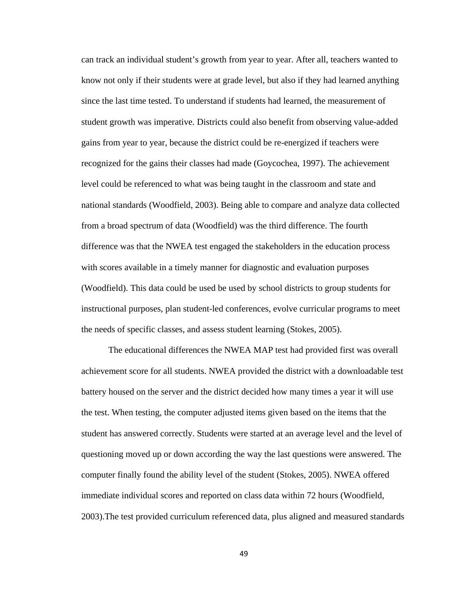can track an individual student's growth from year to year. After all, teachers wanted to know not only if their students were at grade level, but also if they had learned anything since the last time tested. To understand if students had learned, the measurement of student growth was imperative. Districts could also benefit from observing value-added gains from year to year, because the district could be re-energized if teachers were recognized for the gains their classes had made (Goycochea, 1997). The achievement level could be referenced to what was being taught in the classroom and state and national standards (Woodfield, 2003). Being able to compare and analyze data collected from a broad spectrum of data (Woodfield) was the third difference. The fourth difference was that the NWEA test engaged the stakeholders in the education process with scores available in a timely manner for diagnostic and evaluation purposes (Woodfield). This data could be used be used by school districts to group students for instructional purposes, plan student-led conferences, evolve curricular programs to meet the needs of specific classes, and assess student learning (Stokes, 2005).

 The educational differences the NWEA MAP test had provided first was overall achievement score for all students. NWEA provided the district with a downloadable test battery housed on the server and the district decided how many times a year it will use the test. When testing, the computer adjusted items given based on the items that the student has answered correctly. Students were started at an average level and the level of questioning moved up or down according the way the last questions were answered. The computer finally found the ability level of the student (Stokes, 2005). NWEA offered immediate individual scores and reported on class data within 72 hours (Woodfield, 2003).The test provided curriculum referenced data, plus aligned and measured standards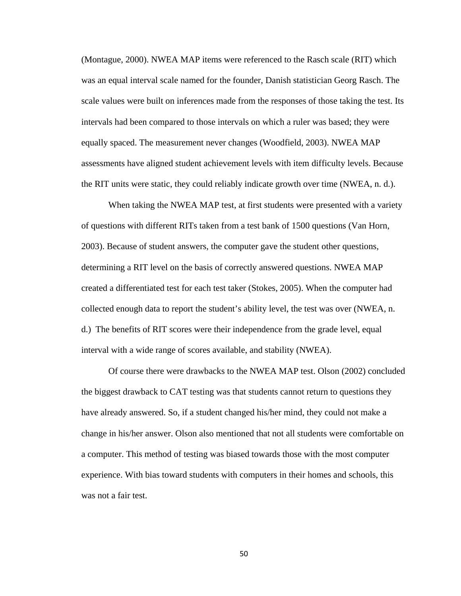(Montague, 2000). NWEA MAP items were referenced to the Rasch scale (RIT) which was an equal interval scale named for the founder, Danish statistician Georg Rasch. The scale values were built on inferences made from the responses of those taking the test. Its intervals had been compared to those intervals on which a ruler was based; they were equally spaced. The measurement never changes (Woodfield, 2003). NWEA MAP assessments have aligned student achievement levels with item difficulty levels. Because the RIT units were static, they could reliably indicate growth over time (NWEA, n. d.).

 When taking the NWEA MAP test, at first students were presented with a variety of questions with different RITs taken from a test bank of 1500 questions (Van Horn, 2003). Because of student answers, the computer gave the student other questions, determining a RIT level on the basis of correctly answered questions. NWEA MAP created a differentiated test for each test taker (Stokes, 2005). When the computer had collected enough data to report the student's ability level, the test was over (NWEA, n. d.) The benefits of RIT scores were their independence from the grade level, equal interval with a wide range of scores available, and stability (NWEA).

 Of course there were drawbacks to the NWEA MAP test. Olson (2002) concluded the biggest drawback to CAT testing was that students cannot return to questions they have already answered. So, if a student changed his/her mind, they could not make a change in his/her answer. Olson also mentioned that not all students were comfortable on a computer. This method of testing was biased towards those with the most computer experience. With bias toward students with computers in their homes and schools, this was not a fair test.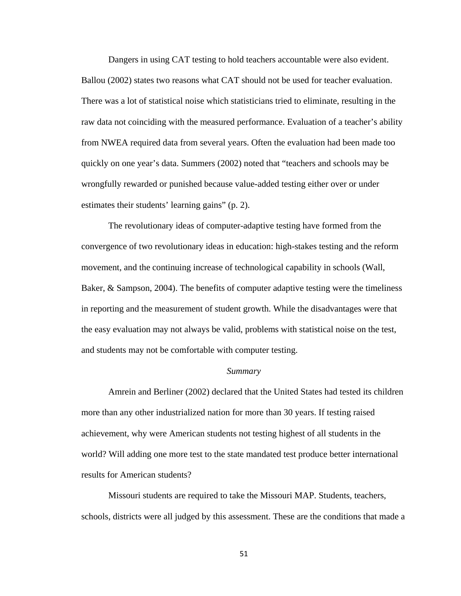Dangers in using CAT testing to hold teachers accountable were also evident. Ballou (2002) states two reasons what CAT should not be used for teacher evaluation. There was a lot of statistical noise which statisticians tried to eliminate, resulting in the raw data not coinciding with the measured performance. Evaluation of a teacher's ability from NWEA required data from several years. Often the evaluation had been made too quickly on one year's data. Summers (2002) noted that "teachers and schools may be wrongfully rewarded or punished because value-added testing either over or under estimates their students' learning gains" (p. 2).

 The revolutionary ideas of computer-adaptive testing have formed from the convergence of two revolutionary ideas in education: high-stakes testing and the reform movement, and the continuing increase of technological capability in schools (Wall, Baker, & Sampson, 2004). The benefits of computer adaptive testing were the timeliness in reporting and the measurement of student growth. While the disadvantages were that the easy evaluation may not always be valid, problems with statistical noise on the test, and students may not be comfortable with computer testing.

## *Summary*

 Amrein and Berliner (2002) declared that the United States had tested its children more than any other industrialized nation for more than 30 years. If testing raised achievement, why were American students not testing highest of all students in the world? Will adding one more test to the state mandated test produce better international results for American students?

 Missouri students are required to take the Missouri MAP. Students, teachers, schools, districts were all judged by this assessment. These are the conditions that made a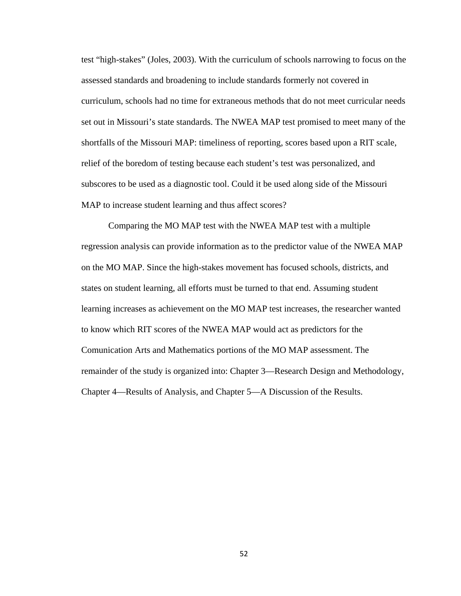test "high-stakes" (Joles, 2003). With the curriculum of schools narrowing to focus on the assessed standards and broadening to include standards formerly not covered in curriculum, schools had no time for extraneous methods that do not meet curricular needs set out in Missouri's state standards. The NWEA MAP test promised to meet many of the shortfalls of the Missouri MAP: timeliness of reporting, scores based upon a RIT scale, relief of the boredom of testing because each student's test was personalized, and subscores to be used as a diagnostic tool. Could it be used along side of the Missouri MAP to increase student learning and thus affect scores?

 Comparing the MO MAP test with the NWEA MAP test with a multiple regression analysis can provide information as to the predictor value of the NWEA MAP on the MO MAP. Since the high-stakes movement has focused schools, districts, and states on student learning, all efforts must be turned to that end. Assuming student learning increases as achievement on the MO MAP test increases, the researcher wanted to know which RIT scores of the NWEA MAP would act as predictors for the Comunication Arts and Mathematics portions of the MO MAP assessment. The remainder of the study is organized into: Chapter 3—Research Design and Methodology, Chapter 4—Results of Analysis, and Chapter 5—A Discussion of the Results.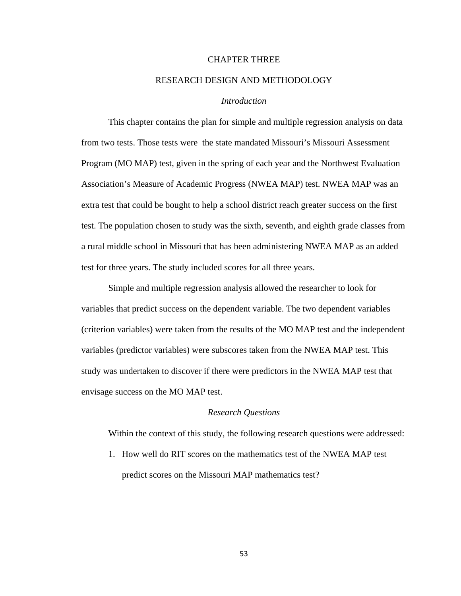## CHAPTER THREE

# RESEARCH DESIGN AND METHODOLOGY

# *Introduction*

 This chapter contains the plan for simple and multiple regression analysis on data from two tests. Those tests were the state mandated Missouri's Missouri Assessment Program (MO MAP) test, given in the spring of each year and the Northwest Evaluation Association's Measure of Academic Progress (NWEA MAP) test. NWEA MAP was an extra test that could be bought to help a school district reach greater success on the first test. The population chosen to study was the sixth, seventh, and eighth grade classes from a rural middle school in Missouri that has been administering NWEA MAP as an added test for three years. The study included scores for all three years.

 Simple and multiple regression analysis allowed the researcher to look for variables that predict success on the dependent variable. The two dependent variables (criterion variables) were taken from the results of the MO MAP test and the independent variables (predictor variables) were subscores taken from the NWEA MAP test. This study was undertaken to discover if there were predictors in the NWEA MAP test that envisage success on the MO MAP test.

### *Research Questions*

Within the context of this study, the following research questions were addressed:

1. How well do RIT scores on the mathematics test of the NWEA MAP test predict scores on the Missouri MAP mathematics test?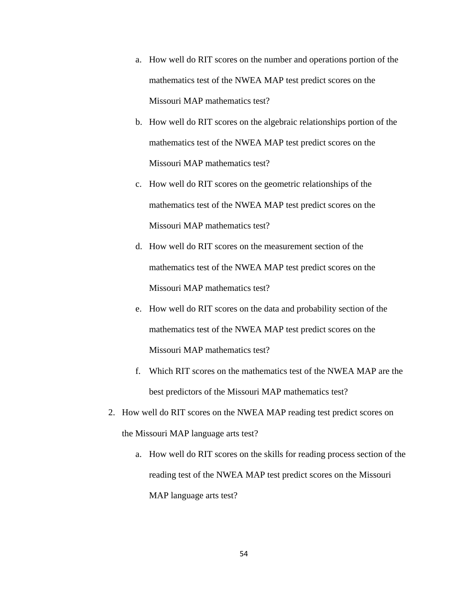- a. How well do RIT scores on the number and operations portion of the mathematics test of the NWEA MAP test predict scores on the Missouri MAP mathematics test?
- b. How well do RIT scores on the algebraic relationships portion of the mathematics test of the NWEA MAP test predict scores on the Missouri MAP mathematics test?
- c. How well do RIT scores on the geometric relationships of the mathematics test of the NWEA MAP test predict scores on the Missouri MAP mathematics test?
- d. How well do RIT scores on the measurement section of the mathematics test of the NWEA MAP test predict scores on the Missouri MAP mathematics test?
- e. How well do RIT scores on the data and probability section of the mathematics test of the NWEA MAP test predict scores on the Missouri MAP mathematics test?
- f. Which RIT scores on the mathematics test of the NWEA MAP are the best predictors of the Missouri MAP mathematics test?
- 2. How well do RIT scores on the NWEA MAP reading test predict scores on the Missouri MAP language arts test?
	- a. How well do RIT scores on the skills for reading process section of the reading test of the NWEA MAP test predict scores on the Missouri MAP language arts test?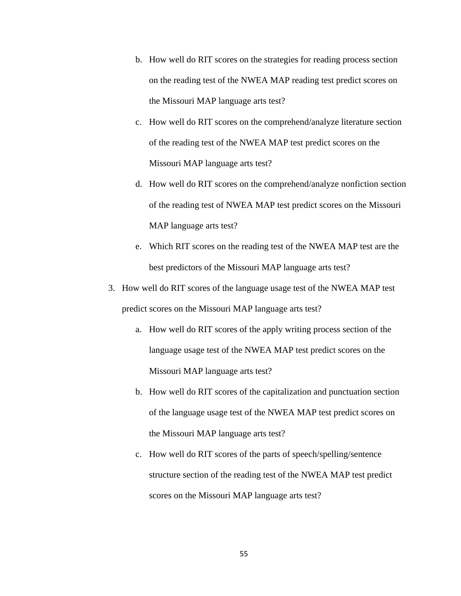- b. How well do RIT scores on the strategies for reading process section on the reading test of the NWEA MAP reading test predict scores on the Missouri MAP language arts test?
- c. How well do RIT scores on the comprehend/analyze literature section of the reading test of the NWEA MAP test predict scores on the Missouri MAP language arts test?
- d. How well do RIT scores on the comprehend/analyze nonfiction section of the reading test of NWEA MAP test predict scores on the Missouri MAP language arts test?
- e. Which RIT scores on the reading test of the NWEA MAP test are the best predictors of the Missouri MAP language arts test?
- 3. How well do RIT scores of the language usage test of the NWEA MAP test predict scores on the Missouri MAP language arts test?
	- a. How well do RIT scores of the apply writing process section of the language usage test of the NWEA MAP test predict scores on the Missouri MAP language arts test?
	- b. How well do RIT scores of the capitalization and punctuation section of the language usage test of the NWEA MAP test predict scores on the Missouri MAP language arts test?
	- c. How well do RIT scores of the parts of speech/spelling/sentence structure section of the reading test of the NWEA MAP test predict scores on the Missouri MAP language arts test?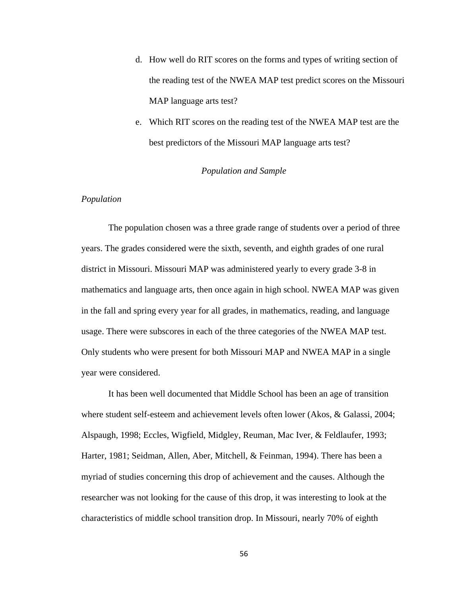- d. How well do RIT scores on the forms and types of writing section of the reading test of the NWEA MAP test predict scores on the Missouri MAP language arts test?
- e. Which RIT scores on the reading test of the NWEA MAP test are the best predictors of the Missouri MAP language arts test?

# *Population and Sample*

# *Population*

The population chosen was a three grade range of students over a period of three years. The grades considered were the sixth, seventh, and eighth grades of one rural district in Missouri. Missouri MAP was administered yearly to every grade 3-8 in mathematics and language arts, then once again in high school. NWEA MAP was given in the fall and spring every year for all grades, in mathematics, reading, and language usage. There were subscores in each of the three categories of the NWEA MAP test. Only students who were present for both Missouri MAP and NWEA MAP in a single year were considered.

 It has been well documented that Middle School has been an age of transition where student self-esteem and achievement levels often lower (Akos, & Galassi, 2004; Alspaugh, 1998; Eccles, Wigfield, Midgley, Reuman, Mac Iver, & Feldlaufer, 1993; Harter, 1981; Seidman, Allen, Aber, Mitchell, & Feinman, 1994). There has been a myriad of studies concerning this drop of achievement and the causes. Although the researcher was not looking for the cause of this drop, it was interesting to look at the characteristics of middle school transition drop. In Missouri, nearly 70% of eighth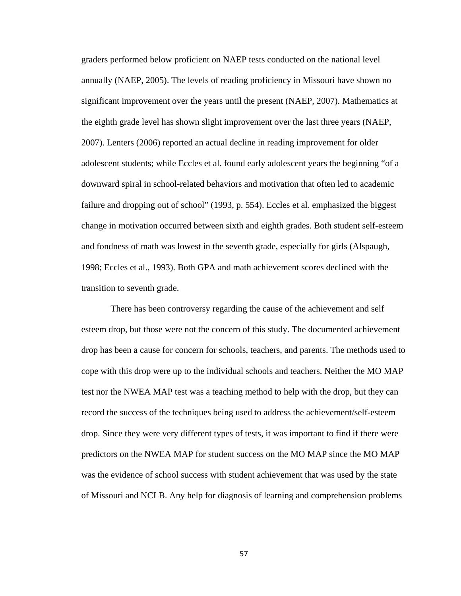graders performed below proficient on NAEP tests conducted on the national level annually (NAEP, 2005). The levels of reading proficiency in Missouri have shown no significant improvement over the years until the present (NAEP, 2007). Mathematics at the eighth grade level has shown slight improvement over the last three years (NAEP, 2007). Lenters (2006) reported an actual decline in reading improvement for older adolescent students; while Eccles et al. found early adolescent years the beginning "of a downward spiral in school-related behaviors and motivation that often led to academic failure and dropping out of school" (1993, p. 554). Eccles et al. emphasized the biggest change in motivation occurred between sixth and eighth grades. Both student self-esteem and fondness of math was lowest in the seventh grade, especially for girls (Alspaugh, 1998; Eccles et al., 1993). Both GPA and math achievement scores declined with the transition to seventh grade.

 There has been controversy regarding the cause of the achievement and self esteem drop, but those were not the concern of this study. The documented achievement drop has been a cause for concern for schools, teachers, and parents. The methods used to cope with this drop were up to the individual schools and teachers. Neither the MO MAP test nor the NWEA MAP test was a teaching method to help with the drop, but they can record the success of the techniques being used to address the achievement/self-esteem drop. Since they were very different types of tests, it was important to find if there were predictors on the NWEA MAP for student success on the MO MAP since the MO MAP was the evidence of school success with student achievement that was used by the state of Missouri and NCLB. Any help for diagnosis of learning and comprehension problems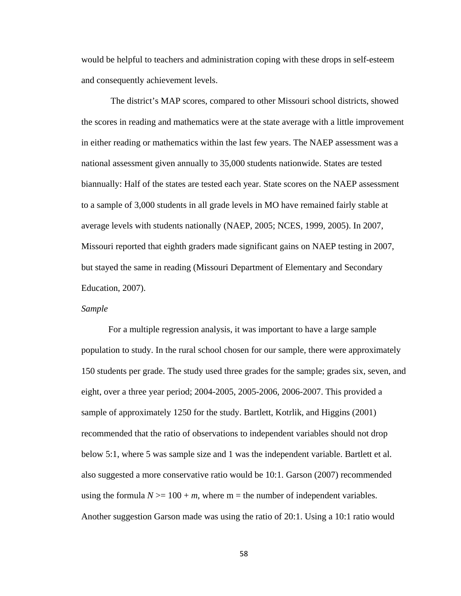would be helpful to teachers and administration coping with these drops in self-esteem and consequently achievement levels.

 The district's MAP scores, compared to other Missouri school districts, showed the scores in reading and mathematics were at the state average with a little improvement in either reading or mathematics within the last few years. The NAEP assessment was a national assessment given annually to 35,000 students nationwide. States are tested biannually: Half of the states are tested each year. State scores on the NAEP assessment to a sample of 3,000 students in all grade levels in MO have remained fairly stable at average levels with students nationally (NAEP, 2005; NCES, 1999, 2005). In 2007, Missouri reported that eighth graders made significant gains on NAEP testing in 2007, but stayed the same in reading (Missouri Department of Elementary and Secondary Education, 2007).

### *Sample*

For a multiple regression analysis, it was important to have a large sample population to study. In the rural school chosen for our sample, there were approximately 150 students per grade. The study used three grades for the sample; grades six, seven, and eight, over a three year period; 2004-2005, 2005-2006, 2006-2007. This provided a sample of approximately 1250 for the study. Bartlett, Kotrlik, and Higgins (2001) recommended that the ratio of observations to independent variables should not drop below 5:1, where 5 was sample size and 1 was the independent variable. Bartlett et al. also suggested a more conservative ratio would be 10:1. Garson (2007) recommended using the formula  $N \geq 100 + m$ , where m = the number of independent variables. Another suggestion Garson made was using the ratio of 20:1. Using a 10:1 ratio would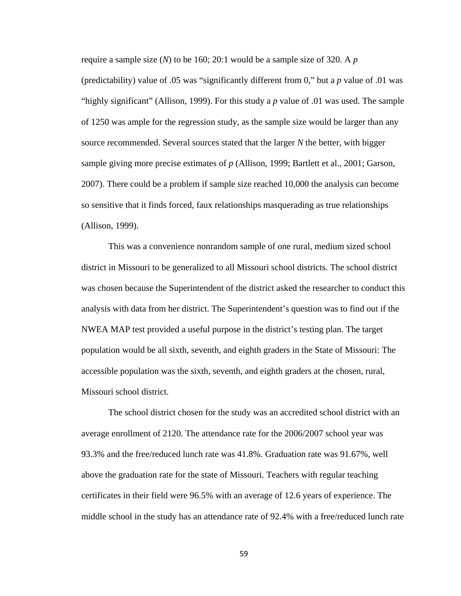require a sample size (*N*) to be 160; 20:1 would be a sample size of 320. A *p* (predictability) value of .05 was "significantly different from 0," but a *p* value of .01 was "highly significant" (Allison, 1999). For this study a *p* value of .01 was used. The sample of 1250 was ample for the regression study, as the sample size would be larger than any source recommended. Several sources stated that the larger *N* the better, with bigger sample giving more precise estimates of *p* (Allison, 1999; Bartlett et al., 2001; Garson, 2007). There could be a problem if sample size reached 10,000 the analysis can become so sensitive that it finds forced, faux relationships masquerading as true relationships (Allison, 1999).

 This was a convenience nonrandom sample of one rural, medium sized school district in Missouri to be generalized to all Missouri school districts. The school district was chosen because the Superintendent of the district asked the researcher to conduct this analysis with data from her district. The Superintendent's question was to find out if the NWEA MAP test provided a useful purpose in the district's testing plan. The target population would be all sixth, seventh, and eighth graders in the State of Missouri: The accessible population was the sixth, seventh, and eighth graders at the chosen, rural, Missouri school district.

 The school district chosen for the study was an accredited school district with an average enrollment of 2120. The attendance rate for the 2006/2007 school year was 93.3% and the free/reduced lunch rate was 41.8%. Graduation rate was 91.67%, well above the graduation rate for the state of Missouri. Teachers with regular teaching certificates in their field were 96.5% with an average of 12.6 years of experience. The middle school in the study has an attendance rate of 92.4% with a free/reduced lunch rate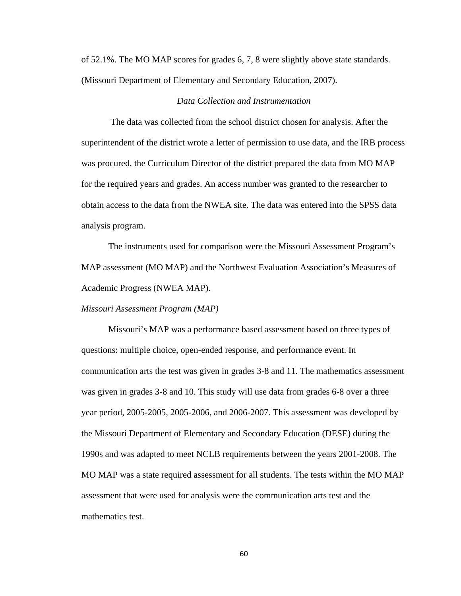of 52.1%. The MO MAP scores for grades 6, 7, 8 were slightly above state standards. (Missouri Department of Elementary and Secondary Education, 2007).

# *Data Collection and Instrumentation*

The data was collected from the school district chosen for analysis. After the superintendent of the district wrote a letter of permission to use data, and the IRB process was procured, the Curriculum Director of the district prepared the data from MO MAP for the required years and grades. An access number was granted to the researcher to obtain access to the data from the NWEA site. The data was entered into the SPSS data analysis program.

 The instruments used for comparison were the Missouri Assessment Program's MAP assessment (MO MAP) and the Northwest Evaluation Association's Measures of Academic Progress (NWEA MAP).

*Missouri Assessment Program (MAP)*

Missouri's MAP was a performance based assessment based on three types of questions: multiple choice, open-ended response, and performance event. In communication arts the test was given in grades 3-8 and 11. The mathematics assessment was given in grades 3-8 and 10. This study will use data from grades 6-8 over a three year period, 2005-2005, 2005-2006, and 2006-2007. This assessment was developed by the Missouri Department of Elementary and Secondary Education (DESE) during the 1990s and was adapted to meet NCLB requirements between the years 2001-2008. The MO MAP was a state required assessment for all students. The tests within the MO MAP assessment that were used for analysis were the communication arts test and the mathematics test.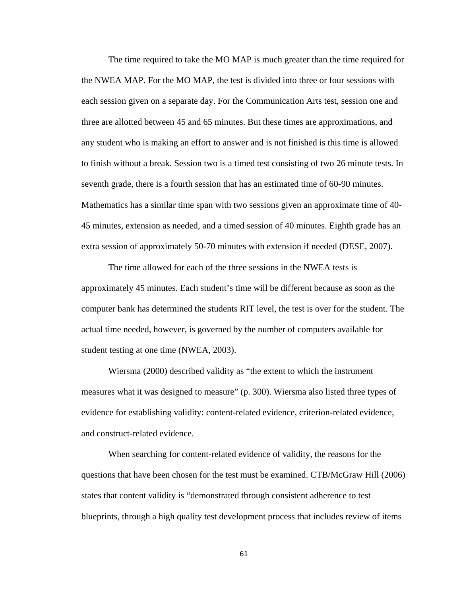The time required to take the MO MAP is much greater than the time required for the NWEA MAP. For the MO MAP, the test is divided into three or four sessions with each session given on a separate day. For the Communication Arts test, session one and three are allotted between 45 and 65 minutes. But these times are approximations, and any student who is making an effort to answer and is not finished is this time is allowed to finish without a break. Session two is a timed test consisting of two 26 minute tests. In seventh grade, there is a fourth session that has an estimated time of 60-90 minutes. Mathematics has a similar time span with two sessions given an approximate time of 40- 45 minutes, extension as needed, and a timed session of 40 minutes. Eighth grade has an extra session of approximately 50-70 minutes with extension if needed (DESE, 2007).

The time allowed for each of the three sessions in the NWEA tests is approximately 45 minutes. Each student's time will be different because as soon as the computer bank has determined the students RIT level, the test is over for the student. The actual time needed, however, is governed by the number of computers available for student testing at one time (NWEA, 2003).

Wiersma (2000) described validity as "the extent to which the instrument measures what it was designed to measure" (p. 300). Wiersma also listed three types of evidence for establishing validity: content-related evidence, criterion-related evidence, and construct-related evidence.

 When searching for content-related evidence of validity, the reasons for the questions that have been chosen for the test must be examined. CTB/McGraw Hill (2006) states that content validity is "demonstrated through consistent adherence to test blueprints, through a high quality test development process that includes review of items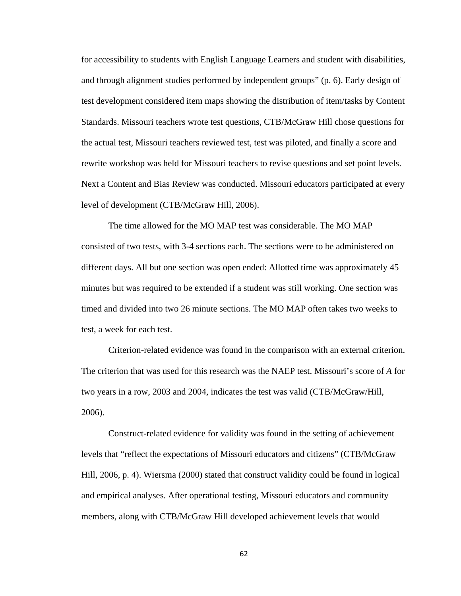for accessibility to students with English Language Learners and student with disabilities, and through alignment studies performed by independent groups" (p. 6). Early design of test development considered item maps showing the distribution of item/tasks by Content Standards. Missouri teachers wrote test questions, CTB/McGraw Hill chose questions for the actual test, Missouri teachers reviewed test, test was piloted, and finally a score and rewrite workshop was held for Missouri teachers to revise questions and set point levels. Next a Content and Bias Review was conducted. Missouri educators participated at every level of development (CTB/McGraw Hill, 2006).

The time allowed for the MO MAP test was considerable. The MO MAP consisted of two tests, with 3-4 sections each. The sections were to be administered on different days. All but one section was open ended: Allotted time was approximately 45 minutes but was required to be extended if a student was still working. One section was timed and divided into two 26 minute sections. The MO MAP often takes two weeks to test, a week for each test.

 Criterion-related evidence was found in the comparison with an external criterion. The criterion that was used for this research was the NAEP test. Missouri's score of *A* for two years in a row, 2003 and 2004, indicates the test was valid (CTB/McGraw/Hill, 2006).

 Construct-related evidence for validity was found in the setting of achievement levels that "reflect the expectations of Missouri educators and citizens" (CTB/McGraw Hill, 2006, p. 4). Wiersma (2000) stated that construct validity could be found in logical and empirical analyses. After operational testing, Missouri educators and community members, along with CTB/McGraw Hill developed achievement levels that would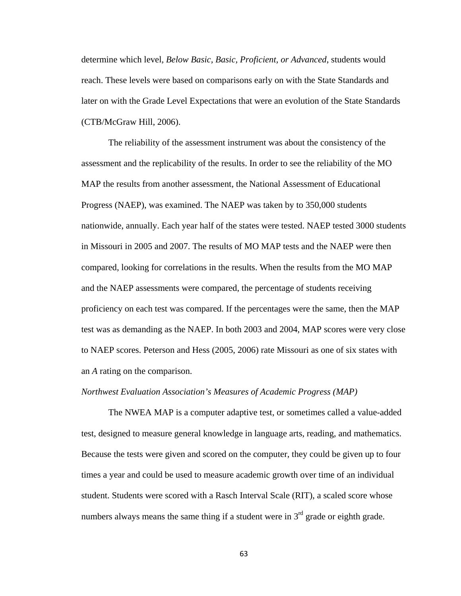determine which level*, Below Basic, Basic, Proficient, or Advanced*, students would reach. These levels were based on comparisons early on with the State Standards and later on with the Grade Level Expectations that were an evolution of the State Standards (CTB/McGraw Hill, 2006).

 The reliability of the assessment instrument was about the consistency of the assessment and the replicability of the results. In order to see the reliability of the MO MAP the results from another assessment, the National Assessment of Educational Progress (NAEP), was examined. The NAEP was taken by to 350,000 students nationwide, annually. Each year half of the states were tested. NAEP tested 3000 students in Missouri in 2005 and 2007. The results of MO MAP tests and the NAEP were then compared, looking for correlations in the results. When the results from the MO MAP and the NAEP assessments were compared, the percentage of students receiving proficiency on each test was compared. If the percentages were the same, then the MAP test was as demanding as the NAEP. In both 2003 and 2004, MAP scores were very close to NAEP scores. Peterson and Hess (2005, 2006) rate Missouri as one of six states with an *A* rating on the comparison.

### *Northwest Evaluation Association's Measures of Academic Progress (MAP)*

The NWEA MAP is a computer adaptive test, or sometimes called a value-added test, designed to measure general knowledge in language arts, reading, and mathematics. Because the tests were given and scored on the computer, they could be given up to four times a year and could be used to measure academic growth over time of an individual student. Students were scored with a Rasch Interval Scale (RIT), a scaled score whose numbers always means the same thing if a student were in  $3<sup>rd</sup>$  grade or eighth grade.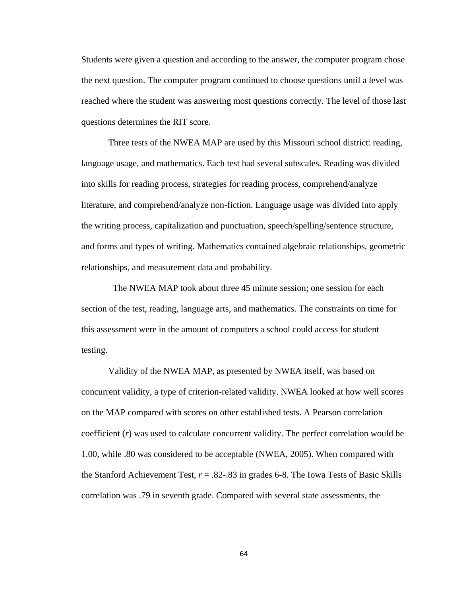Students were given a question and according to the answer, the computer program chose the next question. The computer program continued to choose questions until a level was reached where the student was answering most questions correctly. The level of those last questions determines the RIT score.

 Three tests of the NWEA MAP are used by this Missouri school district: reading, language usage, and mathematics. Each test had several subscales. Reading was divided into skills for reading process, strategies for reading process, comprehend/analyze literature, and comprehend/analyze non-fiction. Language usage was divided into apply the writing process, capitalization and punctuation, speech/spelling/sentence structure, and forms and types of writing. Mathematics contained algebraic relationships, geometric relationships, and measurement data and probability.

 The NWEA MAP took about three 45 minute session; one session for each section of the test, reading, language arts, and mathematics. The constraints on time for this assessment were in the amount of computers a school could access for student testing.

 Validity of the NWEA MAP, as presented by NWEA itself, was based on concurrent validity, a type of criterion-related validity. NWEA looked at how well scores on the MAP compared with scores on other established tests. A Pearson correlation coefficient (*r*) was used to calculate concurrent validity. The perfect correlation would be 1.00, while .80 was considered to be acceptable (NWEA, 2005). When compared with the Stanford Achievement Test, *r* = .82-.83 in grades 6-8. The Iowa Tests of Basic Skills correlation was .79 in seventh grade. Compared with several state assessments, the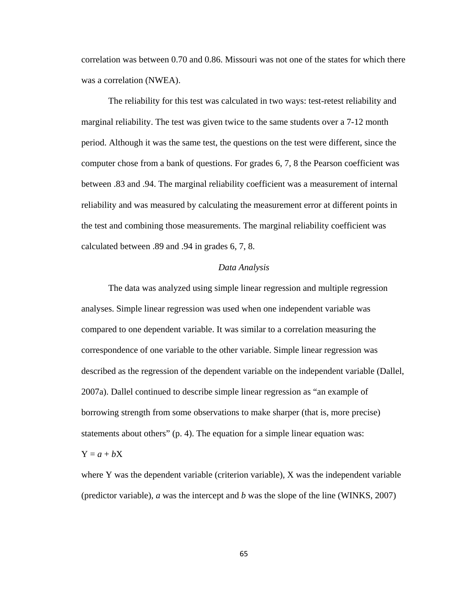correlation was between 0.70 and 0.86. Missouri was not one of the states for which there was a correlation (NWEA).

 The reliability for this test was calculated in two ways: test-retest reliability and marginal reliability. The test was given twice to the same students over a 7-12 month period. Although it was the same test, the questions on the test were different, since the computer chose from a bank of questions. For grades 6, 7, 8 the Pearson coefficient was between .83 and .94. The marginal reliability coefficient was a measurement of internal reliability and was measured by calculating the measurement error at different points in the test and combining those measurements. The marginal reliability coefficient was calculated between .89 and .94 in grades 6, 7, 8.

### *Data Analysis*

 The data was analyzed using simple linear regression and multiple regression analyses. Simple linear regression was used when one independent variable was compared to one dependent variable. It was similar to a correlation measuring the correspondence of one variable to the other variable. Simple linear regression was described as the regression of the dependent variable on the independent variable (Dallel, 2007a). Dallel continued to describe simple linear regression as "an example of borrowing strength from some observations to make sharper (that is, more precise) statements about others" (p. 4). The equation for a simple linear equation was:

### $Y = a + bX$

where Y was the dependent variable (criterion variable), X was the independent variable (predictor variable), *a* was the intercept and *b* was the slope of the line (WINKS, 2007)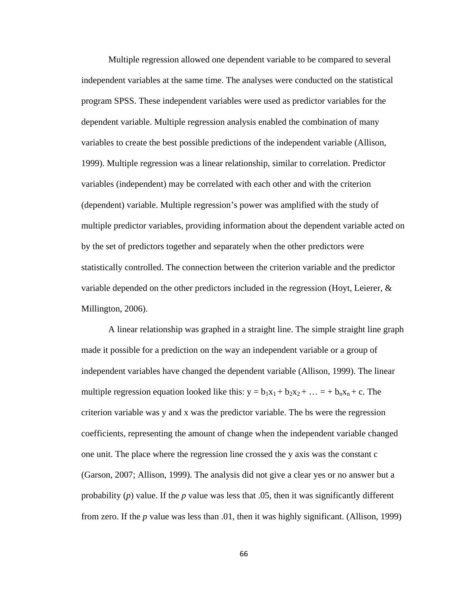Multiple regression allowed one dependent variable to be compared to several independent variables at the same time. The analyses were conducted on the statistical program SPSS. These independent variables were used as predictor variables for the dependent variable. Multiple regression analysis enabled the combination of many variables to create the best possible predictions of the independent variable (Allison, 1999). Multiple regression was a linear relationship, similar to correlation. Predictor variables (independent) may be correlated with each other and with the criterion (dependent) variable. Multiple regression's power was amplified with the study of multiple predictor variables, providing information about the dependent variable acted on by the set of predictors together and separately when the other predictors were statistically controlled. The connection between the criterion variable and the predictor variable depended on the other predictors included in the regression (Hoyt, Leierer,  $\&$ Millington, 2006).

 A linear relationship was graphed in a straight line. The simple straight line graph made it possible for a prediction on the way an independent variable or a group of independent variables have changed the dependent variable (Allison, 1999). The linear multiple regression equation looked like this:  $y = b_1x_1 + b_2x_2 + ... = + b_nx_n + c$ . The criterion variable was y and x was the predictor variable. The bs were the regression coefficients, representing the amount of change when the independent variable changed one unit. The place where the regression line crossed the y axis was the constant c (Garson, 2007; Allison, 1999). The analysis did not give a clear yes or no answer but a probability (*p*) value. If the *p* value was less that .05, then it was significantly different from zero. If the *p* value was less than .01, then it was highly significant. (Allison, 1999)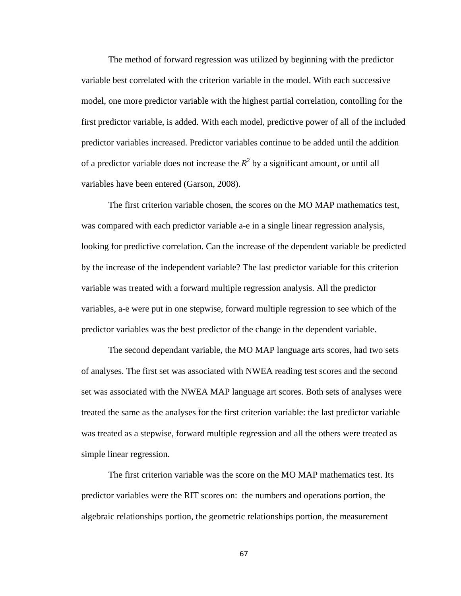The method of forward regression was utilized by beginning with the predictor variable best correlated with the criterion variable in the model. With each successive model, one more predictor variable with the highest partial correlation, contolling for the first predictor variable, is added. With each model, predictive power of all of the included predictor variables increased. Predictor variables continue to be added until the addition of a predictor variable does not increase the  $R^2$  by a significant amount, or until all variables have been entered (Garson, 2008).

 The first criterion variable chosen, the scores on the MO MAP mathematics test, was compared with each predictor variable a-e in a single linear regression analysis, looking for predictive correlation. Can the increase of the dependent variable be predicted by the increase of the independent variable? The last predictor variable for this criterion variable was treated with a forward multiple regression analysis. All the predictor variables, a-e were put in one stepwise, forward multiple regression to see which of the predictor variables was the best predictor of the change in the dependent variable.

 The second dependant variable, the MO MAP language arts scores, had two sets of analyses. The first set was associated with NWEA reading test scores and the second set was associated with the NWEA MAP language art scores. Both sets of analyses were treated the same as the analyses for the first criterion variable: the last predictor variable was treated as a stepwise, forward multiple regression and all the others were treated as simple linear regression.

 The first criterion variable was the score on the MO MAP mathematics test. Its predictor variables were the RIT scores on: the numbers and operations portion, the algebraic relationships portion, the geometric relationships portion, the measurement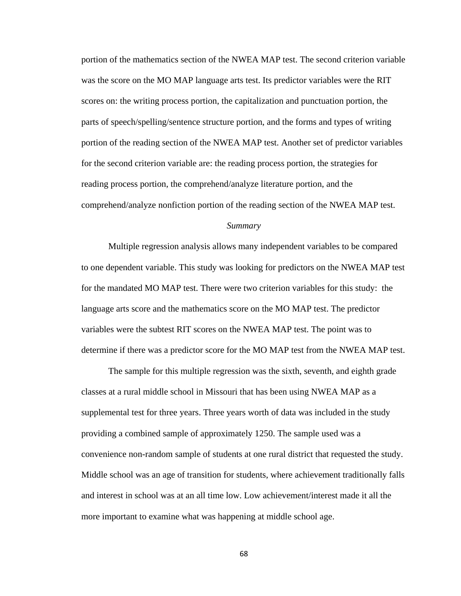portion of the mathematics section of the NWEA MAP test. The second criterion variable was the score on the MO MAP language arts test. Its predictor variables were the RIT scores on: the writing process portion, the capitalization and punctuation portion, the parts of speech/spelling/sentence structure portion, and the forms and types of writing portion of the reading section of the NWEA MAP test. Another set of predictor variables for the second criterion variable are: the reading process portion, the strategies for reading process portion, the comprehend/analyze literature portion, and the comprehend/analyze nonfiction portion of the reading section of the NWEA MAP test.

### *Summary*

 Multiple regression analysis allows many independent variables to be compared to one dependent variable. This study was looking for predictors on the NWEA MAP test for the mandated MO MAP test. There were two criterion variables for this study: the language arts score and the mathematics score on the MO MAP test. The predictor variables were the subtest RIT scores on the NWEA MAP test. The point was to determine if there was a predictor score for the MO MAP test from the NWEA MAP test.

 The sample for this multiple regression was the sixth, seventh, and eighth grade classes at a rural middle school in Missouri that has been using NWEA MAP as a supplemental test for three years. Three years worth of data was included in the study providing a combined sample of approximately 1250. The sample used was a convenience non-random sample of students at one rural district that requested the study. Middle school was an age of transition for students, where achievement traditionally falls and interest in school was at an all time low. Low achievement/interest made it all the more important to examine what was happening at middle school age.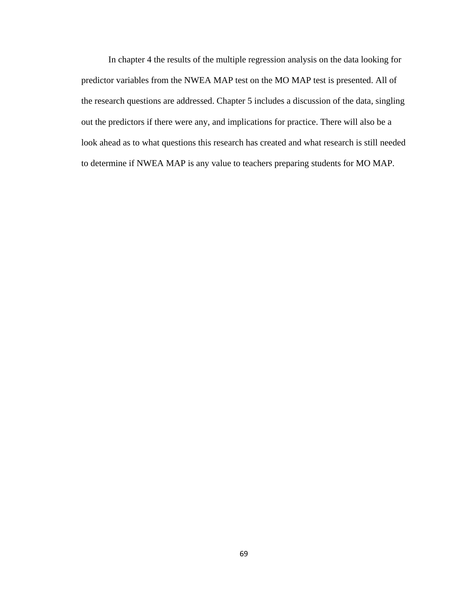In chapter 4 the results of the multiple regression analysis on the data looking for predictor variables from the NWEA MAP test on the MO MAP test is presented. All of the research questions are addressed. Chapter 5 includes a discussion of the data, singling out the predictors if there were any, and implications for practice. There will also be a look ahead as to what questions this research has created and what research is still needed to determine if NWEA MAP is any value to teachers preparing students for MO MAP.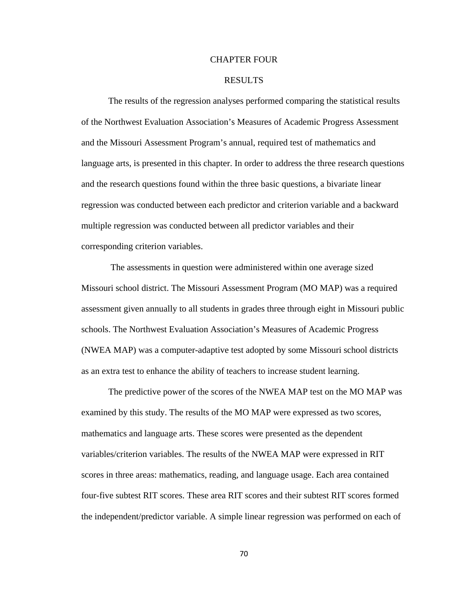### CHAPTER FOUR

### RESULTS

 The results of the regression analyses performed comparing the statistical results of the Northwest Evaluation Association's Measures of Academic Progress Assessment and the Missouri Assessment Program's annual, required test of mathematics and language arts, is presented in this chapter. In order to address the three research questions and the research questions found within the three basic questions, a bivariate linear regression was conducted between each predictor and criterion variable and a backward multiple regression was conducted between all predictor variables and their corresponding criterion variables.

 The assessments in question were administered within one average sized Missouri school district. The Missouri Assessment Program (MO MAP) was a required assessment given annually to all students in grades three through eight in Missouri public schools. The Northwest Evaluation Association's Measures of Academic Progress (NWEA MAP) was a computer-adaptive test adopted by some Missouri school districts as an extra test to enhance the ability of teachers to increase student learning.

The predictive power of the scores of the NWEA MAP test on the MO MAP was examined by this study. The results of the MO MAP were expressed as two scores, mathematics and language arts. These scores were presented as the dependent variables/criterion variables. The results of the NWEA MAP were expressed in RIT scores in three areas: mathematics, reading, and language usage. Each area contained four-five subtest RIT scores. These area RIT scores and their subtest RIT scores formed the independent/predictor variable. A simple linear regression was performed on each of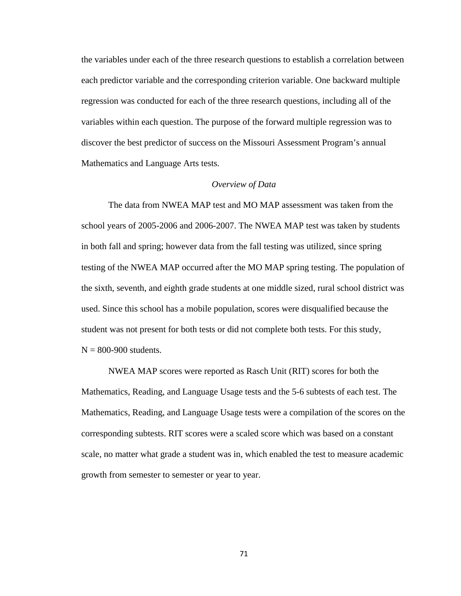the variables under each of the three research questions to establish a correlation between each predictor variable and the corresponding criterion variable. One backward multiple regression was conducted for each of the three research questions, including all of the variables within each question. The purpose of the forward multiple regression was to discover the best predictor of success on the Missouri Assessment Program's annual Mathematics and Language Arts tests.

#### *Overview of Data*

 The data from NWEA MAP test and MO MAP assessment was taken from the school years of 2005-2006 and 2006-2007. The NWEA MAP test was taken by students in both fall and spring; however data from the fall testing was utilized, since spring testing of the NWEA MAP occurred after the MO MAP spring testing. The population of the sixth, seventh, and eighth grade students at one middle sized, rural school district was used. Since this school has a mobile population, scores were disqualified because the student was not present for both tests or did not complete both tests. For this study,  $N = 800 - 900$  students.

 NWEA MAP scores were reported as Rasch Unit (RIT) scores for both the Mathematics, Reading, and Language Usage tests and the 5-6 subtests of each test. The Mathematics, Reading, and Language Usage tests were a compilation of the scores on the corresponding subtests. RIT scores were a scaled score which was based on a constant scale, no matter what grade a student was in, which enabled the test to measure academic growth from semester to semester or year to year.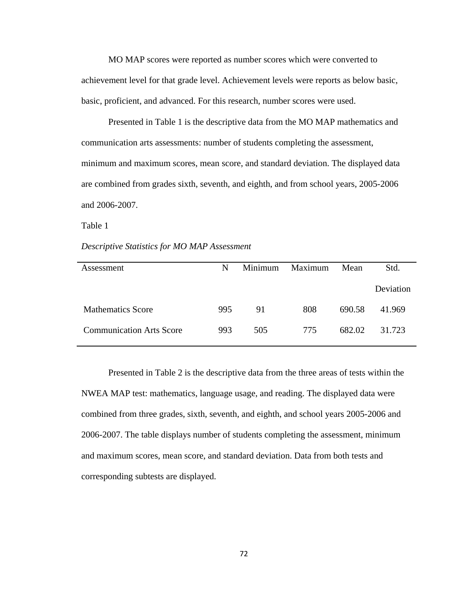MO MAP scores were reported as number scores which were converted to achievement level for that grade level. Achievement levels were reports as below basic, basic, proficient, and advanced. For this research, number scores were used.

 Presented in Table 1 is the descriptive data from the MO MAP mathematics and communication arts assessments: number of students completing the assessment, minimum and maximum scores, mean score, and standard deviation. The displayed data are combined from grades sixth, seventh, and eighth, and from school years, 2005-2006 and 2006-2007.

Table 1

### *Descriptive Statistics for MO MAP Assessment*

| Assessment                      | N   | Minimum | Maximum | Mean   | Std.      |
|---------------------------------|-----|---------|---------|--------|-----------|
|                                 |     |         |         |        | Deviation |
| <b>Mathematics Score</b>        | 995 | 91      | 808     | 690.58 | 41.969    |
| <b>Communication Arts Score</b> | 993 | 505     | 775     | 682.02 | 31.723    |

 Presented in Table 2 is the descriptive data from the three areas of tests within the NWEA MAP test: mathematics, language usage, and reading. The displayed data were combined from three grades, sixth, seventh, and eighth, and school years 2005-2006 and 2006-2007. The table displays number of students completing the assessment, minimum and maximum scores, mean score, and standard deviation. Data from both tests and corresponding subtests are displayed.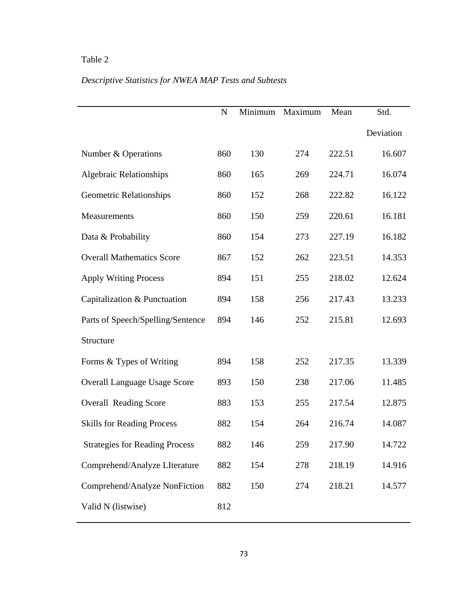# *Descriptive Statistics for NWEA MAP Tests and Subtests*

|                                       | $\mathbf N$ | Minimum | Maximum | Mean   | Std.      |
|---------------------------------------|-------------|---------|---------|--------|-----------|
|                                       |             |         |         |        | Deviation |
| Number & Operations                   | 860         | 130     | 274     | 222.51 | 16.607    |
| <b>Algebraic Relationships</b>        | 860         | 165     | 269     | 224.71 | 16.074    |
| <b>Geometric Relationships</b>        | 860         | 152     | 268     | 222.82 | 16.122    |
| Measurements                          | 860         | 150     | 259     | 220.61 | 16.181    |
| Data & Probability                    | 860         | 154     | 273     | 227.19 | 16.182    |
| <b>Overall Mathematics Score</b>      | 867         | 152     | 262     | 223.51 | 14.353    |
| <b>Apply Writing Process</b>          | 894         | 151     | 255     | 218.02 | 12.624    |
| Capitalization & Punctuation          | 894         | 158     | 256     | 217.43 | 13.233    |
| Parts of Speech/Spelling/Sentence     | 894         | 146     | 252     | 215.81 | 12.693    |
| Structure                             |             |         |         |        |           |
| Forms & Types of Writing              | 894         | 158     | 252     | 217.35 | 13.339    |
| <b>Overall Language Usage Score</b>   | 893         | 150     | 238     | 217.06 | 11.485    |
| <b>Overall Reading Score</b>          | 883         | 153     | 255     | 217.54 | 12.875    |
| <b>Skills for Reading Process</b>     | 882         | 154     | 264     | 216.74 | 14.087    |
| <b>Strategies for Reading Process</b> | 882         | 146     | 259     | 217.90 | 14.722    |
| Comprehend/Analyze LIterature         | 882         | 154     | 278     | 218.19 | 14.916    |
| Comprehend/Analyze NonFiction         | 882         | 150     | 274     | 218.21 | 14.577    |
| Valid N (listwise)                    | 812         |         |         |        |           |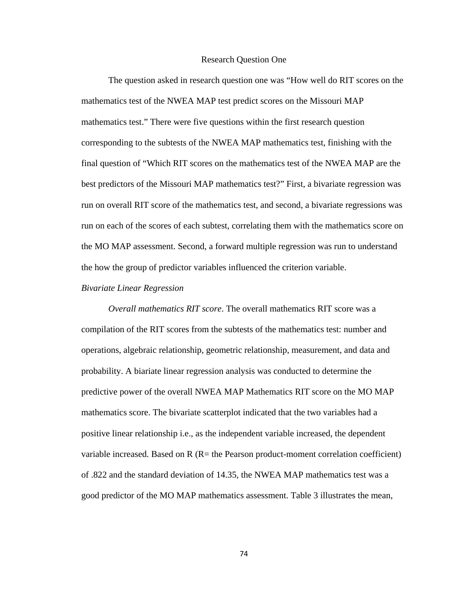#### Research Question One

 The question asked in research question one was "How well do RIT scores on the mathematics test of the NWEA MAP test predict scores on the Missouri MAP mathematics test." There were five questions within the first research question corresponding to the subtests of the NWEA MAP mathematics test, finishing with the final question of "Which RIT scores on the mathematics test of the NWEA MAP are the best predictors of the Missouri MAP mathematics test?" First, a bivariate regression was run on overall RIT score of the mathematics test, and second, a bivariate regressions was run on each of the scores of each subtest, correlating them with the mathematics score on the MO MAP assessment. Second, a forward multiple regression was run to understand the how the group of predictor variables influenced the criterion variable.

### *Bivariate Linear Regression*

*Overall mathematics RIT score*. The overall mathematics RIT score was a compilation of the RIT scores from the subtests of the mathematics test: number and operations, algebraic relationship, geometric relationship, measurement, and data and probability. A biariate linear regression analysis was conducted to determine the predictive power of the overall NWEA MAP Mathematics RIT score on the MO MAP mathematics score. The bivariate scatterplot indicated that the two variables had a positive linear relationship i.e., as the independent variable increased, the dependent variable increased. Based on  $R$  ( $R$  = the Pearson product-moment correlation coefficient) of .822 and the standard deviation of 14.35, the NWEA MAP mathematics test was a good predictor of the MO MAP mathematics assessment. Table 3 illustrates the mean,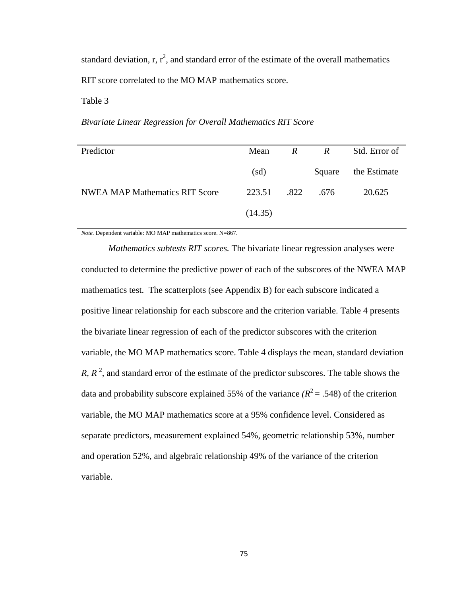standard deviation, r,  $r^2$ , and standard error of the estimate of the overall mathematics RIT score correlated to the MO MAP mathematics score.

Table 3

*Bivariate Linear Regression for Overall Mathematics RIT Score* 

| Predictor                             | Mean    | $\mathcal{R}$ | $\mathbb{R}$ | Std. Error of       |
|---------------------------------------|---------|---------------|--------------|---------------------|
|                                       | (sd)    |               |              | Square the Estimate |
| <b>NWEA MAP Mathematics RIT Score</b> | 223.51  | .822          | .676         | 20.625              |
|                                       | (14.35) |               |              |                     |

*Note.* Dependent variable: MO MAP mathematics score. N=867.

 *Mathematics subtests RIT scores.* The bivariate linear regression analyses were conducted to determine the predictive power of each of the subscores of the NWEA MAP mathematics test. The scatterplots (see Appendix B) for each subscore indicated a positive linear relationship for each subscore and the criterion variable. Table 4 presents the bivariate linear regression of each of the predictor subscores with the criterion variable, the MO MAP mathematics score. Table 4 displays the mean, standard deviation *R*,  $R^2$ , and standard error of the estimate of the predictor subscores. The table shows the data and probability subscore explained 55% of the variance  $(R^2 = .548)$  of the criterion variable, the MO MAP mathematics score at a 95% confidence level. Considered as separate predictors, measurement explained 54%, geometric relationship 53%, number and operation 52%, and algebraic relationship 49% of the variance of the criterion variable.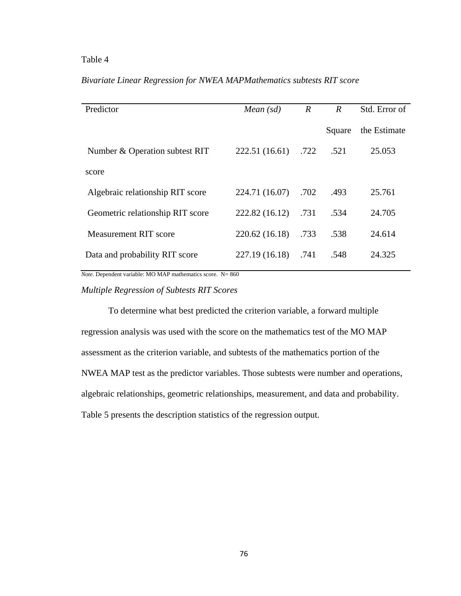| Predictor                        | Mean $(sd)$    | $\boldsymbol{R}$ | $\boldsymbol{R}$ | Std. Error of |
|----------------------------------|----------------|------------------|------------------|---------------|
|                                  |                |                  | Square           | the Estimate  |
| Number & Operation subtest RIT   | 222.51 (16.61) | .722             | .521             | 25.053        |
| score                            |                |                  |                  |               |
| Algebraic relationship RIT score | 224.71 (16.07) | .702             | .493             | 25.761        |
| Geometric relationship RIT score | 222.82 (16.12) | .731             | .534             | 24.705        |
| <b>Measurement RIT score</b>     | 220.62 (16.18) | .733             | .538             | 24.614        |
| Data and probability RIT score   | 227.19 (16.18) | .741             | .548             | 24.325        |
|                                  |                |                  |                  |               |

## *Bivariate Linear Regression for NWEA MAPMathematics subtests RIT score*

*Note.* Dependent variable: MO MAP mathematics score. N= 860

### *Multiple Regression of Subtests RIT Scores*

To determine what best predicted the criterion variable, a forward multiple regression analysis was used with the score on the mathematics test of the MO MAP assessment as the criterion variable, and subtests of the mathematics portion of the NWEA MAP test as the predictor variables. Those subtests were number and operations, algebraic relationships, geometric relationships, measurement, and data and probability. Table 5 presents the description statistics of the regression output.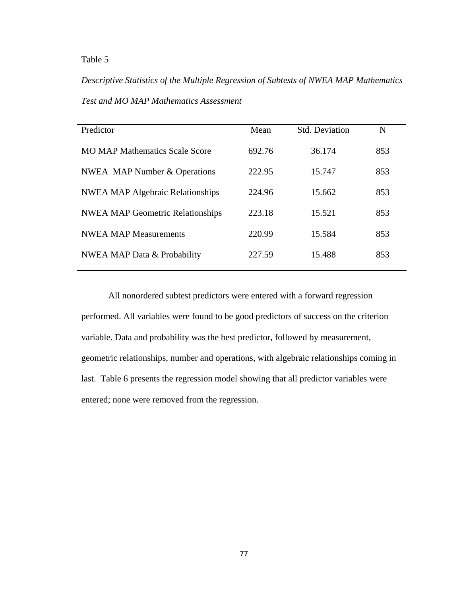*Descriptive Statistics of the Multiple Regression of Subtests of NWEA MAP Mathematics Test and MO MAP Mathematics Assessment*

| Predictor                               | Mean   | <b>Std. Deviation</b> | N   |
|-----------------------------------------|--------|-----------------------|-----|
| <b>MO MAP Mathematics Scale Score</b>   | 692.76 | 36.174                | 853 |
| <b>NWEA</b> MAP Number & Operations     | 222.95 | 15.747                | 853 |
| <b>NWEA MAP Algebraic Relationships</b> | 224.96 | 15.662                | 853 |
| <b>NWEA MAP Geometric Relationships</b> | 223.18 | 15.521                | 853 |
| <b>NWEA MAP Measurements</b>            | 220.99 | 15.584                | 853 |
| NWEA MAP Data & Probability             | 227.59 | 15.488                | 853 |
|                                         |        |                       |     |

All nonordered subtest predictors were entered with a forward regression performed. All variables were found to be good predictors of success on the criterion variable. Data and probability was the best predictor, followed by measurement, geometric relationships, number and operations, with algebraic relationships coming in last. Table 6 presents the regression model showing that all predictor variables were entered; none were removed from the regression.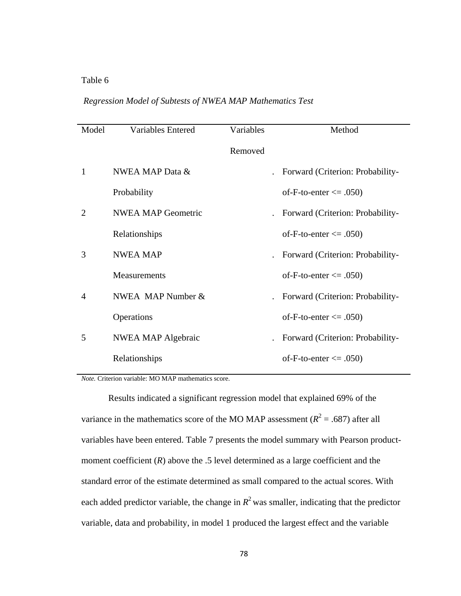## *Regression Model of Subtests of NWEA MAP Mathematics Test*

| Model                       | <b>Variables Entered</b>  | Variables | Method                           |
|-----------------------------|---------------------------|-----------|----------------------------------|
|                             |                           | Removed   |                                  |
| 1                           | NWEA MAP Data &           |           | Forward (Criterion: Probability- |
|                             | Probability               |           | of-F-to-enter $\leq$ .050)       |
| $\mathcal{D}_{\mathcal{L}}$ | <b>NWEA MAP Geometric</b> |           | Forward (Criterion: Probability- |
|                             | Relationships             |           | of-F-to-enter $\leq$ 0.050)      |
| 3                           | <b>NWEA MAP</b>           |           | Forward (Criterion: Probability- |
|                             | Measurements              |           | of-F-to-enter $\leq$ .050)       |
| $\overline{A}$              | NWEA MAP Number &         |           | Forward (Criterion: Probability- |
|                             | Operations                |           | of-F-to-enter $\leq$ 0.050)      |
| 5                           | <b>NWEA MAP Algebraic</b> |           | Forward (Criterion: Probability- |
|                             | Relationships             |           | of-F-to-enter $\leq$ .050)       |

*Note.* Criterion variable: MO MAP mathematics score.

Results indicated a significant regression model that explained 69% of the variance in the mathematics score of the MO MAP assessment  $(R^2 = .687)$  after all variables have been entered. Table 7 presents the model summary with Pearson productmoment coefficient (*R*) above the .5 level determined as a large coefficient and the standard error of the estimate determined as small compared to the actual scores. With each added predictor variable, the change in  $R^2$  was smaller, indicating that the predictor variable, data and probability, in model 1 produced the largest effect and the variable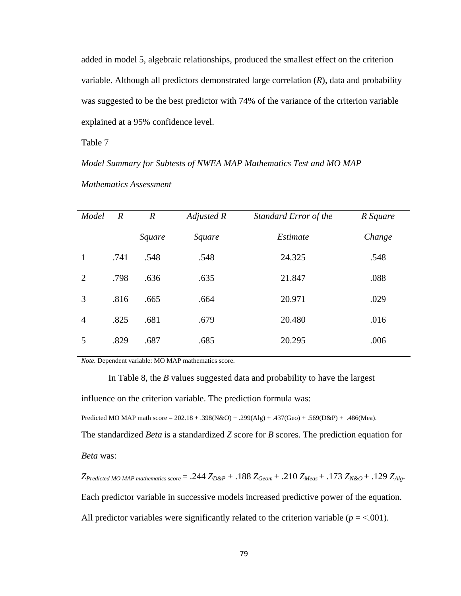added in model 5, algebraic relationships, produced the smallest effect on the criterion variable. Although all predictors demonstrated large correlation (*R*), data and probability was suggested to be the best predictor with 74% of the variance of the criterion variable explained at a 95% confidence level.

Table 7

### *Model Summary for Subtests of NWEA MAP Mathematics Test and MO MAP*

| Model          | $\mathbb{R}$ | $\overline{R}$ | Adjusted R | Standard Error of the | R Square |  |
|----------------|--------------|----------------|------------|-----------------------|----------|--|
|                |              | Square         | Square     | Estimate              | Change   |  |
| $\mathbf{1}$   | .741         | .548           | .548       | 24.325                | .548     |  |
| 2              | .798         | .636           | .635       | 21.847                | .088     |  |
| 3              | .816         | .665           | .664       | 20.971                | .029     |  |
| $\overline{4}$ | .825         | .681           | .679       | 20.480                | .016     |  |
| 5              | .829         | .687           | .685       | 20.295                | .006     |  |
|                |              |                |            |                       |          |  |

*Mathematics Assessment* 

*Note.* Dependent variable: MO MAP mathematics score.

In Table 8, the *B* values suggested data and probability to have the largest

influence on the criterion variable. The prediction formula was:

Predicted MO MAP math score = 202.18 + .398(N&O) + .299(Alg) + .437(Geo) + .569(D&P) + .486(Mea).

The standardized *Beta* is a standardized *Z* score for *B* scores. The prediction equation for *Beta* was:

 $Z_{Predicted MO MAP \text{ mathematics score}} = .244 Z_{D\&P} + .188 Z_{Geom} + .210 Z_{Meas} + .173 Z_{N\&O} + .129 Z_{Alg}$ . Each predictor variable in successive models increased predictive power of the equation. All predictor variables were significantly related to the criterion variable  $(p = < .001)$ .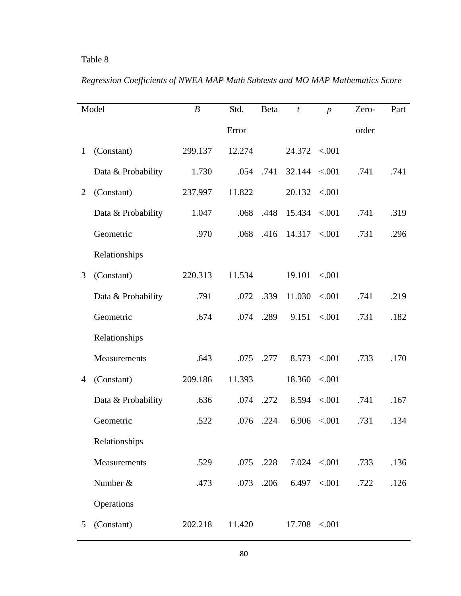|                | Model              | $\boldsymbol{B}$ | Std.   | <b>B</b> eta | $\boldsymbol{t}$      | $\boldsymbol{p}$ | Zero- | Part |
|----------------|--------------------|------------------|--------|--------------|-----------------------|------------------|-------|------|
|                |                    |                  | Error  |              |                       |                  | order |      |
| $\mathbf{1}$   | (Constant)         | 299.137          | 12.274 |              | $24.372 \quad < .001$ |                  |       |      |
|                | Data & Probability | 1.730            | .054   | .741         | $32.144 \le 0.001$    |                  | .741  | .741 |
| 2              | (Constant)         | 237.997          | 11.822 |              | 20.132                | < .001           |       |      |
|                | Data & Probability | 1.047            | .068   | .448         | 15.434                | $-.001$          | .741  | .319 |
|                | Geometric          | .970             | .068   | .416         | $14.317 \quad < .001$ |                  | .731  | .296 |
|                | Relationships      |                  |        |              |                       |                  |       |      |
| 3              | (Constant)         | 220.313          | 11.534 |              | 19.101                | < 0.001          |       |      |
|                | Data & Probability | .791             | .072   | .339         | 11.030                | < .001           | .741  | .219 |
|                | Geometric          | .674             | .074   | .289         | 9.151                 | < .001           | .731  | .182 |
|                | Relationships      |                  |        |              |                       |                  |       |      |
|                | Measurements       | .643             | .075   | .277         | 8.573                 | < .001           | .733  | .170 |
| $\overline{4}$ | (Constant)         | 209.186          | 11.393 |              | 18.360                | < .001           |       |      |
|                | Data & Probability | .636             | .074   | .272         | 8.594                 | < .001           | .741  | .167 |
|                | Geometric          | .522             | .076   | .224         | 6.906                 | < .001           | .731  | .134 |
|                | Relationships      |                  |        |              |                       |                  |       |      |
|                | Measurements       | .529             | .075   | .228         |                       | $7.024$ < 001    | .733  | .136 |
|                | Number &           | .473             | .073   | .206         |                       | $6.497$ < 001    | .722  | .126 |
|                | Operations         |                  |        |              |                       |                  |       |      |
| 5              | (Constant)         | 202.218          | 11.420 |              | $17.708$ <.001        |                  |       |      |

*Regression Coefficients of NWEA MAP Math Subtests and MO MAP Mathematics Score*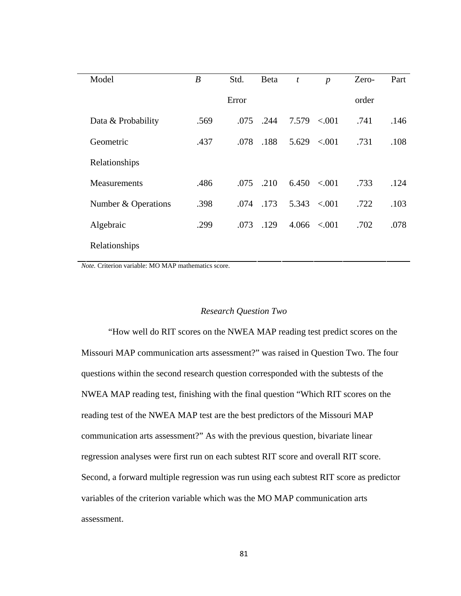| Model               | $\boldsymbol{B}$ | Std.  | <b>Beta</b> | $\boldsymbol{t}$ | $\boldsymbol{p}$  | Zero- | Part |
|---------------------|------------------|-------|-------------|------------------|-------------------|-------|------|
|                     |                  | Error |             |                  |                   | order |      |
| Data & Probability  | .569             | .075  | .244        | 7.579            | < 0.01            | .741  | .146 |
| Geometric           | .437             | .078  | .188        | 5.629            | < .001            | .731  | .108 |
| Relationships       |                  |       |             |                  |                   |       |      |
| <b>Measurements</b> | .486             | .075  | .210        |                  | $6.450 \le 0.001$ | .733  | .124 |
| Number & Operations | .398             | .074  | .173        | 5.343            | ${<}001$          | .722  | .103 |
| Algebraic           | .299             | .073  | .129        | 4.066            | < 0.001           | .702  | .078 |
| Relationships       |                  |       |             |                  |                   |       |      |

*Note.* Criterion variable: MO MAP mathematics score.

### *Research Question Two*

"How well do RIT scores on the NWEA MAP reading test predict scores on the Missouri MAP communication arts assessment?" was raised in Question Two. The four questions within the second research question corresponded with the subtests of the NWEA MAP reading test, finishing with the final question "Which RIT scores on the reading test of the NWEA MAP test are the best predictors of the Missouri MAP communication arts assessment?" As with the previous question, bivariate linear regression analyses were first run on each subtest RIT score and overall RIT score. Second, a forward multiple regression was run using each subtest RIT score as predictor variables of the criterion variable which was the MO MAP communication arts assessment.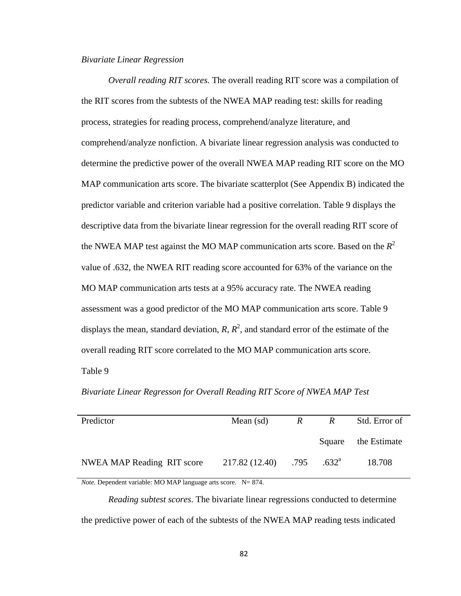### *Bivariate Linear Regression*

*Overall reading RIT scores.* The overall reading RIT score was a compilation of the RIT scores from the subtests of the NWEA MAP reading test: skills for reading process, strategies for reading process, comprehend/analyze literature, and comprehend/analyze nonfiction. A bivariate linear regression analysis was conducted to determine the predictive power of the overall NWEA MAP reading RIT score on the MO MAP communication arts score. The bivariate scatterplot (See Appendix B) indicated the predictor variable and criterion variable had a positive correlation. Table 9 displays the descriptive data from the bivariate linear regression for the overall reading RIT score of the NWEA MAP test against the MO MAP communication arts score. Based on the  $R^2$ value of .632, the NWEA RIT reading score accounted for 63% of the variance on the MO MAP communication arts tests at a 95% accuracy rate. The NWEA reading assessment was a good predictor of the MO MAP communication arts score. Table 9 displays the mean, standard deviation,  $R$ ,  $R^2$ , and standard error of the estimate of the overall reading RIT score correlated to the MO MAP communication arts score.

Table 9

*Bivariate Linear Regresson for Overall Reading RIT Score of NWEA MAP Test* 

| Predictor                  | Mean $(sd)$<br>$\mathbb{R}$            |  | $R_{\perp}$ | Std. Error of       |
|----------------------------|----------------------------------------|--|-------------|---------------------|
|                            |                                        |  |             | Square the Estimate |
| NWEA MAP Reading RIT score | $217.82(12.40)$ .795 .632 <sup>a</sup> |  |             | 18.708              |

*Note.* Dependent variable: MO MAP language arts score. N= 874.

*Reading subtest scores*. The bivariate linear regressions conducted to determine the predictive power of each of the subtests of the NWEA MAP reading tests indicated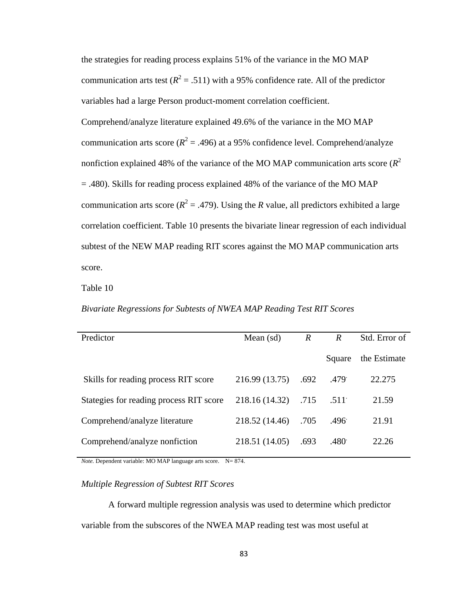the strategies for reading process explains 51% of the variance in the MO MAP communication arts test  $(R^2 = .511)$  with a 95% confidence rate. All of the predictor variables had a large Person product-moment correlation coefficient.

Comprehend/analyze literature explained 49.6% of the variance in the MO MAP communication arts score ( $R^2 = .496$ ) at a 95% confidence level. Comprehend/analyze nonfiction explained 48% of the variance of the MO MAP communication arts score (*R*<sup>2</sup> = .480). Skills for reading process explained 48% of the variance of the MO MAP communication arts score ( $R^2 = .479$ ). Using the *R* value, all predictors exhibited a large correlation coefficient. Table 10 presents the bivariate linear regression of each individual subtest of the NEW MAP reading RIT scores against the MO MAP communication arts score.

Table 10

### *Bivariate Regressions for Subtests of NWEA MAP Reading Test RIT Scores*

| Predictor                               | Mean $(sd)$    | $\mathbb{R}$ | $\boldsymbol{R}$ | Std. Error of |
|-----------------------------------------|----------------|--------------|------------------|---------------|
|                                         |                |              | Square           | the Estimate  |
| Skills for reading process RIT score    | 216.99 (13.75) | .692         | .479             | 22.275        |
| Stategies for reading process RIT score | 218.16 (14.32) | .715         | .511             | 21.59         |
| Comprehend/analyze literature           | 218.52 (14.46) | .705         | .496             | 21.91         |
| Comprehend/analyze nonfiction           | 218.51 (14.05) | .693         | .480             | 22.26         |
|                                         |                |              |                  |               |

*Note.* Dependent variable: MO MAP language arts score. N= 874.

### *Multiple Regression of Subtest RIT Scores*

A forward multiple regression analysis was used to determine which predictor variable from the subscores of the NWEA MAP reading test was most useful at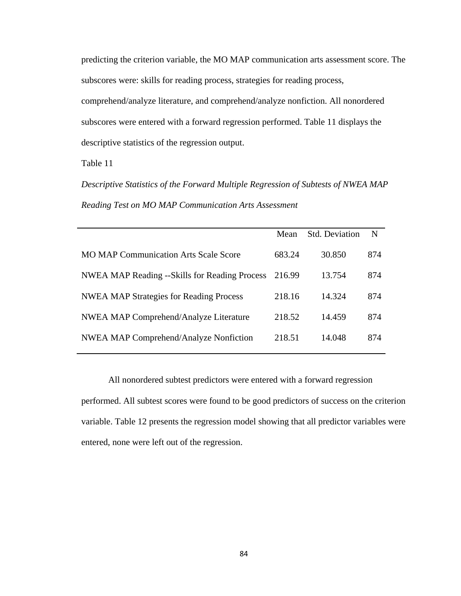predicting the criterion variable, the MO MAP communication arts assessment score. The subscores were: skills for reading process, strategies for reading process, comprehend/analyze literature, and comprehend/analyze nonfiction. All nonordered subscores were entered with a forward regression performed. Table 11 displays the descriptive statistics of the regression output.

Table 11

*Descriptive Statistics of the Forward Multiple Regression of Subtests of NWEA MAP Reading Test on MO MAP Communication Arts Assessment* 

|                                                | Mean   | <b>Std. Deviation</b> | N   |
|------------------------------------------------|--------|-----------------------|-----|
| <b>MO MAP Communication Arts Scale Score</b>   | 683.24 | 30.850                | 874 |
| NWEA MAP Reading --Skills for Reading Process  | 216.99 | 13.754                | 874 |
| <b>NWEA MAP Strategies for Reading Process</b> | 218.16 | 14.324                | 874 |
| <b>NWEA MAP Comprehend/Analyze Literature</b>  | 218.52 | 14.459                | 874 |
| NWEA MAP Comprehend/Analyze Nonfiction         | 218.51 | 14.048                | 874 |
|                                                |        |                       |     |

 All nonordered subtest predictors were entered with a forward regression performed. All subtest scores were found to be good predictors of success on the criterion variable. Table 12 presents the regression model showing that all predictor variables were entered, none were left out of the regression.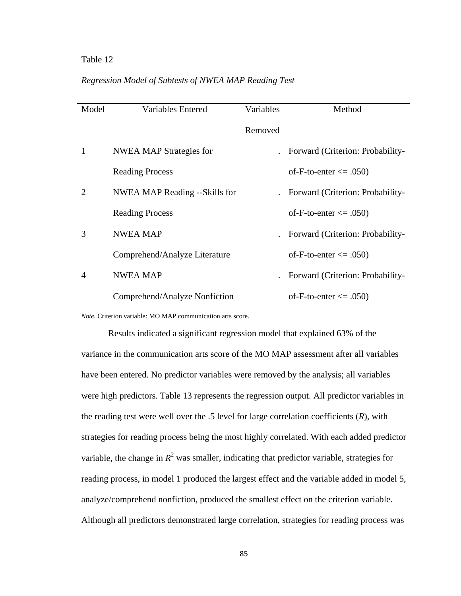### *Regression Model of Subtests of NWEA MAP Reading Test*

| Model          | <b>Variables Entered</b>       | Variables | Method                                  |
|----------------|--------------------------------|-----------|-----------------------------------------|
|                |                                | Removed   |                                         |
| 1              | <b>NWEA MAP Strategies for</b> |           | . Forward (Criterion: Probability-      |
|                | <b>Reading Process</b>         |           | of-F-to-enter $\leq$ 0.050)             |
| 2              | NWEA MAP Reading --Skills for  |           | <b>Forward (Criterion: Probability-</b> |
|                | <b>Reading Process</b>         |           | of-F-to-enter $\leq$ 0.050)             |
| 3              | <b>NWEA MAP</b>                |           | Forward (Criterion: Probability-        |
|                | Comprehend/Analyze Literature  |           | of-F-to-enter $\leq$ 0.050)             |
| $\overline{4}$ | <b>NWEA MAP</b>                |           | Forward (Criterion: Probability-        |
|                | Comprehend/Analyze Nonfiction  |           | of-F-to-enter $\leq$ 0.050)             |
|                |                                |           |                                         |

*Note.* Criterion variable: MO MAP communication arts score.

 Results indicated a significant regression model that explained 63% of the variance in the communication arts score of the MO MAP assessment after all variables have been entered. No predictor variables were removed by the analysis; all variables were high predictors. Table 13 represents the regression output. All predictor variables in the reading test were well over the .5 level for large correlation coefficients (*R*), with strategies for reading process being the most highly correlated. With each added predictor variable, the change in  $R^2$  was smaller, indicating that predictor variable, strategies for reading process, in model 1 produced the largest effect and the variable added in model 5, analyze/comprehend nonfiction, produced the smallest effect on the criterion variable. Although all predictors demonstrated large correlation, strategies for reading process was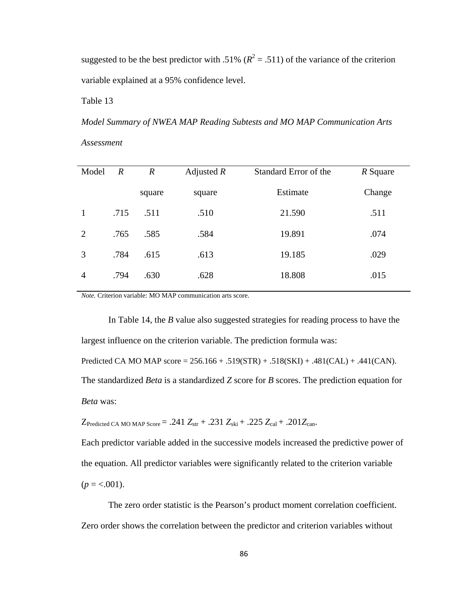suggested to be the best predictor with .51%  $(R^2 = .511)$  of the variance of the criterion variable explained at a 95% confidence level.

Table 13

*Model Summary of NWEA MAP Reading Subtests and MO MAP Communication Arts Assessment* 

| Model          | $\boldsymbol{R}$ | $\boldsymbol{R}$ | Adjusted $R$ | Standard Error of the | R Square |
|----------------|------------------|------------------|--------------|-----------------------|----------|
|                |                  | square           | square       | Estimate              | Change   |
| 1              | .715             | .511             | .510         | 21.590                | .511     |
| 2              | .765             | .585             | .584         | 19.891                | .074     |
| 3              | .784             | .615             | .613         | 19.185                | .029     |
| $\overline{4}$ | .794             | .630             | .628         | 18.808                | .015     |
|                |                  |                  |              |                       |          |

*Note.* Criterion variable: MO MAP communication arts score.

 In Table 14, the *B* value also suggested strategies for reading process to have the largest influence on the criterion variable. The prediction formula was:

Predicted CA MO MAP score = 256.166 + .519(STR) + .518(SKI) + .481(CAL) + .441(CAN).

The standardized *Beta* is a standardized *Z* score for *B* scores. The prediction equation for *Beta* was:

 $Z_{\text{Predicted CA MO MAP Score}} = .241 Z_{\text{str}} + .231 Z_{\text{ski}} + .225 Z_{\text{cal}} + .201 Z_{\text{can}}.$ 

Each predictor variable added in the successive models increased the predictive power of the equation. All predictor variables were significantly related to the criterion variable  $(p = <.001)$ .

 The zero order statistic is the Pearson's product moment correlation coefficient. Zero order shows the correlation between the predictor and criterion variables without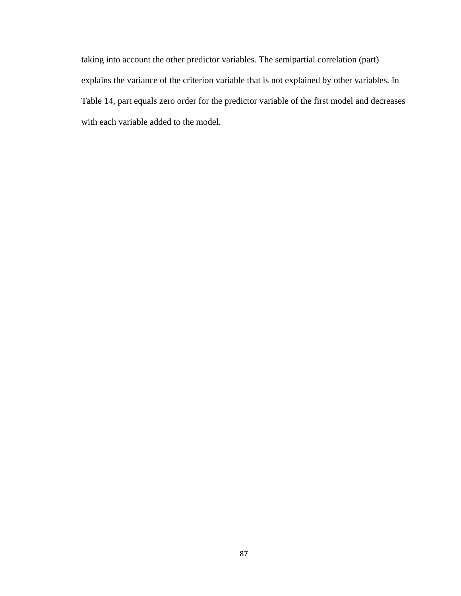taking into account the other predictor variables. The semipartial correlation (part) explains the variance of the criterion variable that is not explained by other variables. In Table 14, part equals zero order for the predictor variable of the first model and decreases with each variable added to the model.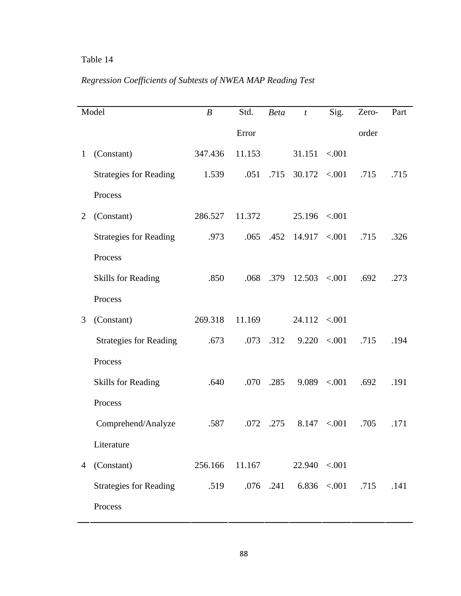# *Regression Coefficients of Subtests of NWEA MAP Reading Test*

| Model        |                               | $\boldsymbol{B}$ | Std.   | <b>Beta</b> | $\boldsymbol{t}$ | Sig.              | Zero- | Part |
|--------------|-------------------------------|------------------|--------|-------------|------------------|-------------------|-------|------|
|              |                               |                  | Error  |             |                  |                   | order |      |
| $\mathbf{1}$ | (Constant)                    | 347.436          | 11.153 |             | 31.151           | < 0.001           |       |      |
|              | <b>Strategies for Reading</b> | 1.539            | .051   | .715        | $30.172$ < 001   |                   | .715  | .715 |
|              | Process                       |                  |        |             |                  |                   |       |      |
| 2            | (Constant)                    | 286.527          | 11.372 |             | $25.196$ < 001   |                   |       |      |
|              | <b>Strategies for Reading</b> | .973             | .065   | .452        | $14.917$ <.001   |                   | .715  | .326 |
|              | Process                       |                  |        |             |                  |                   |       |      |
|              | <b>Skills for Reading</b>     | .850             | .068   | .379        | $12.503$ <.001   |                   | .692  | .273 |
|              | Process                       |                  |        |             |                  |                   |       |      |
| 3            | (Constant)                    | 269.318          | 11.169 |             | 24.112           | < 0.001           |       |      |
|              | <b>Strategies for Reading</b> | .673             |        | $.073$ .312 |                  | $9.220 \le 0.001$ | .715  | .194 |
|              | Process                       |                  |        |             |                  |                   |       |      |
|              | <b>Skills for Reading</b>     | .640             | .070   | .285        | 9.089            | < 0.001           | .692  | .191 |
|              | Process                       |                  |        |             |                  |                   |       |      |
|              | Comprehend/Analyze            | .587             | .072   | .275        | 8.147            | < .001            | .705  | .171 |
|              | Literature                    |                  |        |             |                  |                   |       |      |
| 4            | (Constant)                    | 256.166          | 11.167 |             | 22.940 < 0.001   |                   |       |      |
|              | <b>Strategies for Reading</b> | .519             |        | .076 .241   |                  | $6.836$ < 001     | .715  | .141 |
|              | Process                       |                  |        |             |                  |                   |       |      |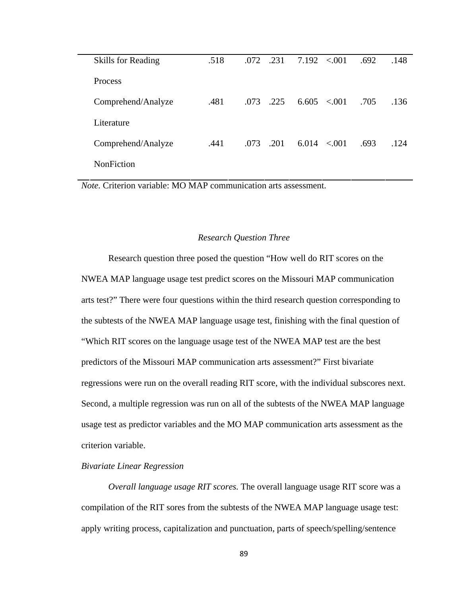| <b>Skills for Reading</b> | .518 | .231<br>.072 | $7.192 \le 0.001$ | .692 | .148 |
|---------------------------|------|--------------|-------------------|------|------|
| Process                   |      |              |                   |      |      |
| Comprehend/Analyze        | .481 | .225<br>.073 | $6.605 \le 0.001$ | .705 | .136 |
| Literature                |      |              |                   |      |      |
| Comprehend/Analyze        | .441 | .201<br>.073 | 6.014<br>< 0.01   | .693 | .124 |
| <b>NonFiction</b>         |      |              |                   |      |      |

*Note.* Criterion variable: MO MAP communication arts assessment.

### *Research Question Three*

 Research question three posed the question "How well do RIT scores on the NWEA MAP language usage test predict scores on the Missouri MAP communication arts test?" There were four questions within the third research question corresponding to the subtests of the NWEA MAP language usage test, finishing with the final question of "Which RIT scores on the language usage test of the NWEA MAP test are the best predictors of the Missouri MAP communication arts assessment?" First bivariate regressions were run on the overall reading RIT score, with the individual subscores next. Second, a multiple regression was run on all of the subtests of the NWEA MAP language usage test as predictor variables and the MO MAP communication arts assessment as the criterion variable.

### *Bivariate Linear Regression*

*Overall language usage RIT scores.* The overall language usage RIT score was a compilation of the RIT sores from the subtests of the NWEA MAP language usage test: apply writing process, capitalization and punctuation, parts of speech/spelling/sentence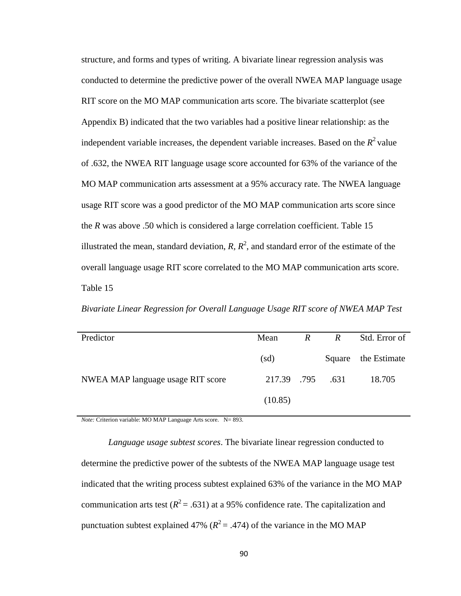structure, and forms and types of writing. A bivariate linear regression analysis was conducted to determine the predictive power of the overall NWEA MAP language usage RIT score on the MO MAP communication arts score. The bivariate scatterplot (see Appendix B) indicated that the two variables had a positive linear relationship: as the independent variable increases, the dependent variable increases. Based on the  $R<sup>2</sup>$  value of .632, the NWEA RIT language usage score accounted for 63% of the variance of the MO MAP communication arts assessment at a 95% accuracy rate. The NWEA language usage RIT score was a good predictor of the MO MAP communication arts score since the *R* was above .50 which is considered a large correlation coefficient. Table 15 illustrated the mean, standard deviation,  $R$ ,  $R^2$ , and standard error of the estimate of the overall language usage RIT score correlated to the MO MAP communication arts score. Table 15

*Bivariate Linear Regression for Overall Language Usage RIT score of NWEA MAP Test* 

| Predictor                         | Mean                       | $\mathbb{R}$ | $\mathbb{R}$ | Std. Error of       |
|-----------------------------------|----------------------------|--------------|--------------|---------------------|
|                                   | $\left(\mathrm{sd}\right)$ |              |              | Square the Estimate |
| NWEA MAP language usage RIT score | 217.39 .795                |              | .631         | 18.705              |
|                                   | (10.85)                    |              |              |                     |

*Note:* Criterion variable: MO MAP Language Arts score. N= 893.

*Language usage subtest scores*. The bivariate linear regression conducted to determine the predictive power of the subtests of the NWEA MAP language usage test indicated that the writing process subtest explained 63% of the variance in the MO MAP communication arts test  $(R^2 = .631)$  at a 95% confidence rate. The capitalization and punctuation subtest explained 47% ( $R^2$  = .474) of the variance in the MO MAP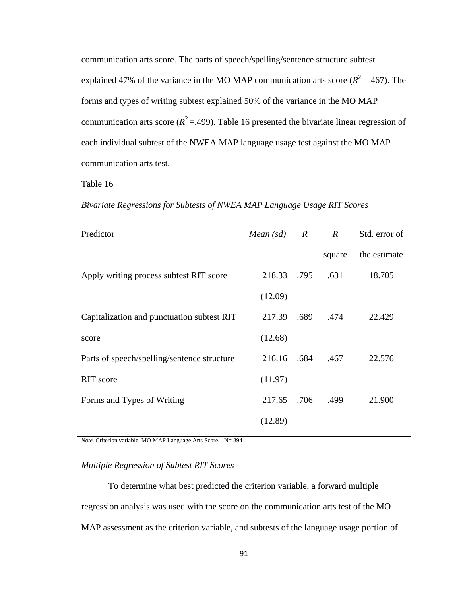communication arts score. The parts of speech/spelling/sentence structure subtest explained 47% of the variance in the MO MAP communication arts score  $(R^2 = 467)$ . The forms and types of writing subtest explained 50% of the variance in the MO MAP communication arts score  $(R^2 = .499)$ . Table 16 presented the bivariate linear regression of each individual subtest of the NWEA MAP language usage test against the MO MAP communication arts test.

Table 16

*Bivariate Regressions for Subtests of NWEA MAP Language Usage RIT Scores* 

| Predictor                                   | Mean $(sd)$ | $\boldsymbol{R}$ | $\boldsymbol{R}$ | Std. error of |
|---------------------------------------------|-------------|------------------|------------------|---------------|
|                                             |             |                  | square           | the estimate  |
| Apply writing process subtest RIT score     | 218.33 .795 |                  | .631             | 18.705        |
|                                             | (12.09)     |                  |                  |               |
| Capitalization and punctuation subtest RIT  | 217.39      | .689             | .474             | 22.429        |
| score                                       | (12.68)     |                  |                  |               |
| Parts of speech/spelling/sentence structure | 216.16      | .684             | .467             | 22.576        |
| RIT score                                   | (11.97)     |                  |                  |               |
| Forms and Types of Writing                  | 217.65      | .706             | .499             | 21.900        |
|                                             | (12.89)     |                  |                  |               |

*Note.* Criterion variable: MO MAP Language Arts Score. N= 894

### *Multiple Regression of Subtest RIT Scores*

 To determine what best predicted the criterion variable, a forward multiple regression analysis was used with the score on the communication arts test of the MO MAP assessment as the criterion variable, and subtests of the language usage portion of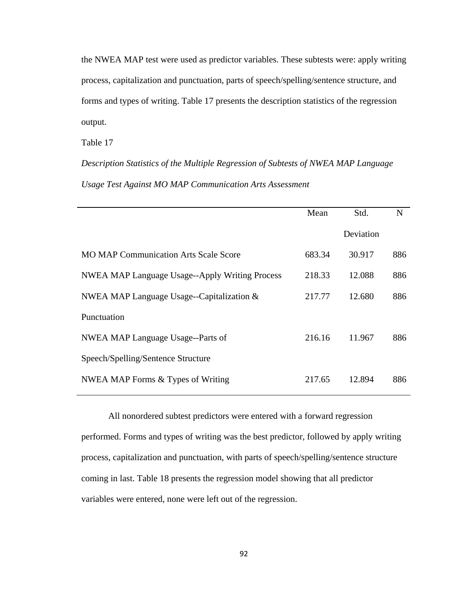the NWEA MAP test were used as predictor variables. These subtests were: apply writing process, capitalization and punctuation, parts of speech/spelling/sentence structure, and forms and types of writing. Table 17 presents the description statistics of the regression output.

Table 17

*Description Statistics of the Multiple Regression of Subtests of NWEA MAP Language Usage Test Against MO MAP Communication Arts Assessment* 

|                                                       | Mean   | Std.      | N   |
|-------------------------------------------------------|--------|-----------|-----|
|                                                       |        | Deviation |     |
| <b>MO MAP Communication Arts Scale Score</b>          | 683.34 | 30.917    | 886 |
| <b>NWEA MAP Language Usage--Apply Writing Process</b> | 218.33 | 12.088    | 886 |
| NWEA MAP Language Usage--Capitalization &             | 217.77 | 12.680    | 886 |
| Punctuation                                           |        |           |     |
| NWEA MAP Language Usage--Parts of                     | 216.16 | 11.967    | 886 |
| Speech/Spelling/Sentence Structure                    |        |           |     |
| NWEA MAP Forms & Types of Writing                     | 217.65 | 12.894    | 886 |

All nonordered subtest predictors were entered with a forward regression performed. Forms and types of writing was the best predictor, followed by apply writing process, capitalization and punctuation, with parts of speech/spelling/sentence structure coming in last. Table 18 presents the regression model showing that all predictor variables were entered, none were left out of the regression.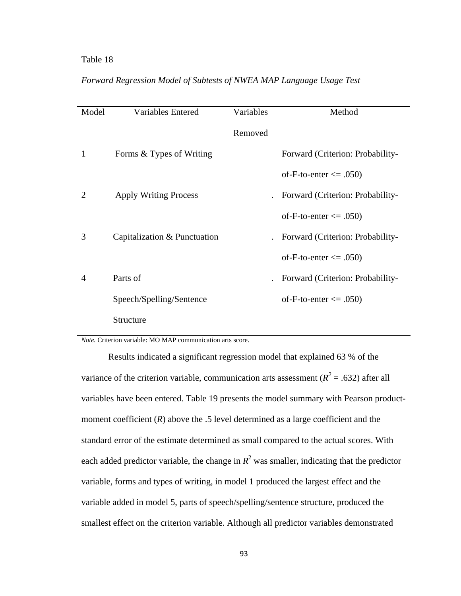| Model          | <b>Variables Entered</b>     | Variables | Method                           |
|----------------|------------------------------|-----------|----------------------------------|
|                |                              | Removed   |                                  |
| 1              | Forms & Types of Writing     |           | Forward (Criterion: Probability- |
|                |                              |           | of-F-to-enter $\leq$ .050)       |
| 2              | <b>Apply Writing Process</b> |           | Forward (Criterion: Probability- |
|                |                              |           | of-F-to-enter $\leq$ .050)       |
| 3              | Capitalization & Punctuation |           | Forward (Criterion: Probability- |
|                |                              |           | of-F-to-enter $\leq$ .050)       |
| $\overline{4}$ | Parts of                     |           | Forward (Criterion: Probability- |
|                | Speech/Spelling/Sentence     |           | of-F-to-enter $\leq$ 0.050)      |
|                | Structure                    |           |                                  |

## *Forward Regression Model of Subtests of NWEA MAP Language Usage Test*

*Note.* Criterion variable: MO MAP communication arts score.

 Results indicated a significant regression model that explained 63 % of the variance of the criterion variable, communication arts assessment ( $R^2$  = .632) after all variables have been entered. Table 19 presents the model summary with Pearson productmoment coefficient (*R*) above the .5 level determined as a large coefficient and the standard error of the estimate determined as small compared to the actual scores. With each added predictor variable, the change in  $R^2$  was smaller, indicating that the predictor variable, forms and types of writing, in model 1 produced the largest effect and the variable added in model 5, parts of speech/spelling/sentence structure, produced the smallest effect on the criterion variable. Although all predictor variables demonstrated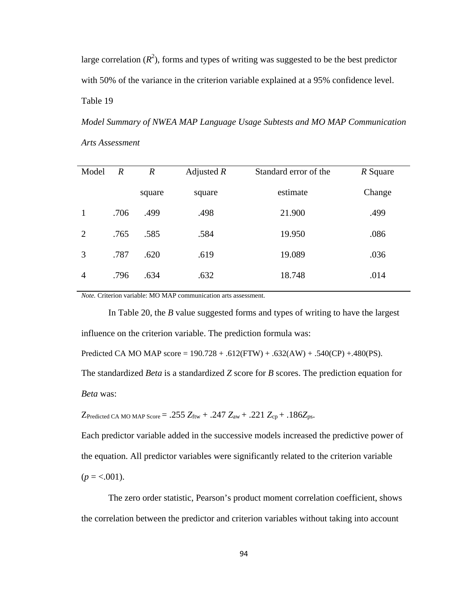large correlation  $(R^2)$ , forms and types of writing was suggested to be the best predictor with 50% of the variance in the criterion variable explained at a 95% confidence level. Table 19

*Model Summary of NWEA MAP Language Usage Subtests and MO MAP Communication Arts Assessment* 

| Model          | $\boldsymbol{R}$ | $\boldsymbol{R}$ | Adjusted $R$ | Standard error of the | R Square |
|----------------|------------------|------------------|--------------|-----------------------|----------|
|                |                  | square           | square       | estimate              | Change   |
| 1              | .706             | .499             | .498         | 21.900                | .499     |
| 2              | .765             | .585             | .584         | 19.950                | .086     |
| 3              | .787             | .620             | .619         | 19.089                | .036     |
| $\overline{4}$ | .796             | .634             | .632         | 18.748                | .014     |

*Note.* Criterion variable: MO MAP communication arts assessment.

 In Table 20, the *B* value suggested forms and types of writing to have the largest influence on the criterion variable. The prediction formula was:

Predicted CA MO MAP score =  $190.728 + .612$ (FTW) + .632(AW) + .540(CP) + .480(PS).

The standardized *Beta* is a standardized *Z* score for *B* scores. The prediction equation for *Beta* was:

 $Z_{Predicted\ CA\ MO\ MAP\ Score} = .255\ Z_{ftw} + .247\ Z_{aw} + .221\ Z_{cp} + .186Z_{ps}.$ 

Each predictor variable added in the successive models increased the predictive power of the equation. All predictor variables were significantly related to the criterion variable  $(p = <.001)$ .

The zero order statistic, Pearson's product moment correlation coefficient, shows the correlation between the predictor and criterion variables without taking into account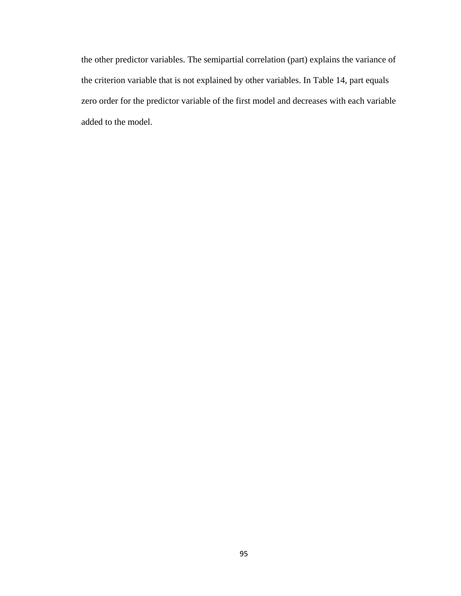the other predictor variables. The semipartial correlation (part) explains the variance of the criterion variable that is not explained by other variables. In Table 14, part equals zero order for the predictor variable of the first model and decreases with each variable added to the model.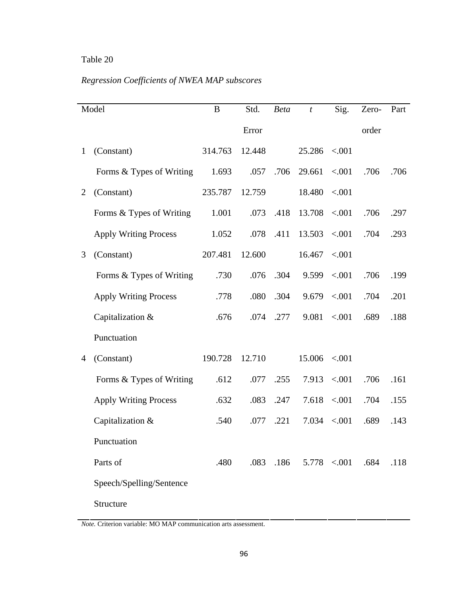# *Regression Coefficients of NWEA MAP subscores*

|   | Model                        | B       | Std.   | <b>Beta</b> | $\boldsymbol{t}$                | Sig.              | Zero- | Part |
|---|------------------------------|---------|--------|-------------|---------------------------------|-------------------|-------|------|
|   |                              |         | Error  |             |                                 |                   | order |      |
| 1 | (Constant)                   | 314.763 | 12.448 |             | $25.286$ <.001                  |                   |       |      |
|   | Forms & Types of Writing     | 1.693   | .057   | .706        | 29.661                          | $-.001$           | .706  | .706 |
| 2 | (Constant)                   | 235.787 | 12.759 |             | $18.480 \le 0.001$              |                   |       |      |
|   | Forms & Types of Writing     | 1.001   |        | .073 .418   | $13.708$ <.001                  |                   | .706  | .297 |
|   | <b>Apply Writing Process</b> | 1.052   | .078   | .411        | $13.503 \le 0.001$              |                   | .704  | .293 |
| 3 | (Constant)                   | 207.481 | 12.600 |             | 16.467                          | < 0.001           |       |      |
|   | Forms & Types of Writing     | .730    |        | .076 .304   |                                 | 9.599 < .001      | .706  | .199 |
|   | <b>Apply Writing Process</b> | .778    | .080   | .304        |                                 | $9.679 \le 0.001$ | .704  | .201 |
|   | Capitalization &             | .676    | .074   | .277        | 9.081                           | < 0.001           | .689  | .188 |
|   | Punctuation                  |         |        |             |                                 |                   |       |      |
| 4 | (Constant)                   | 190.728 | 12.710 |             | $15.006$ <.001                  |                   |       |      |
|   | Forms & Types of Writing     | .612    | .077   | .255        |                                 | $7.913$ < 001     | .706  | .161 |
|   | <b>Apply Writing Process</b> | .632    | .083   | .247        |                                 | $7.618$ < 001     | .704  | .155 |
|   | Capitalization &             | .540    | .077   | .221        | 7.034                           | < .001            | .689  | .143 |
|   | Punctuation                  |         |        |             |                                 |                   |       |      |
|   | Parts of                     | .480    |        |             | $.083$ $.186$ $.5.778$ $< .001$ |                   | .684  | .118 |
|   | Speech/Spelling/Sentence     |         |        |             |                                 |                   |       |      |
|   | Structure                    |         |        |             |                                 |                   |       |      |

*Note.* Criterion variable: MO MAP communication arts assessment.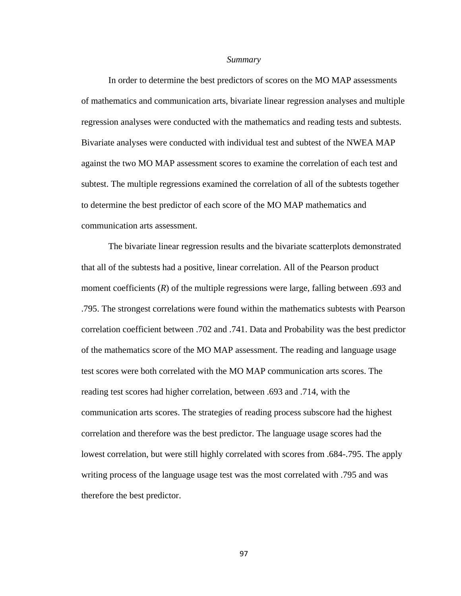#### *Summary*

In order to determine the best predictors of scores on the MO MAP assessments of mathematics and communication arts, bivariate linear regression analyses and multiple regression analyses were conducted with the mathematics and reading tests and subtests. Bivariate analyses were conducted with individual test and subtest of the NWEA MAP against the two MO MAP assessment scores to examine the correlation of each test and subtest. The multiple regressions examined the correlation of all of the subtests together to determine the best predictor of each score of the MO MAP mathematics and communication arts assessment.

 The bivariate linear regression results and the bivariate scatterplots demonstrated that all of the subtests had a positive, linear correlation. All of the Pearson product moment coefficients (*R*) of the multiple regressions were large, falling between .693 and .795. The strongest correlations were found within the mathematics subtests with Pearson correlation coefficient between .702 and .741. Data and Probability was the best predictor of the mathematics score of the MO MAP assessment. The reading and language usage test scores were both correlated with the MO MAP communication arts scores. The reading test scores had higher correlation, between .693 and .714, with the communication arts scores. The strategies of reading process subscore had the highest correlation and therefore was the best predictor. The language usage scores had the lowest correlation, but were still highly correlated with scores from .684-.795. The apply writing process of the language usage test was the most correlated with .795 and was therefore the best predictor.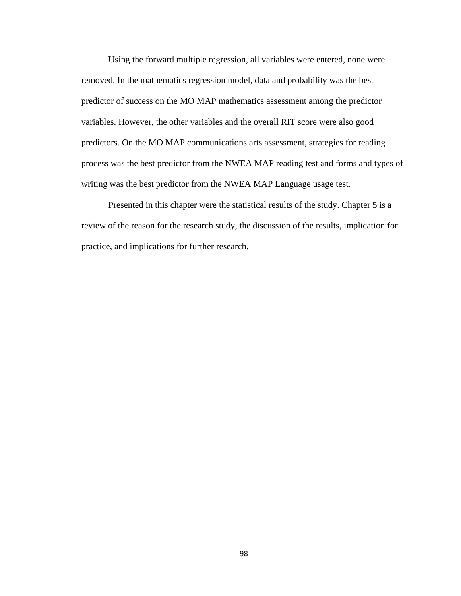Using the forward multiple regression, all variables were entered, none were removed. In the mathematics regression model, data and probability was the best predictor of success on the MO MAP mathematics assessment among the predictor variables. However, the other variables and the overall RIT score were also good predictors. On the MO MAP communications arts assessment, strategies for reading process was the best predictor from the NWEA MAP reading test and forms and types of writing was the best predictor from the NWEA MAP Language usage test.

 Presented in this chapter were the statistical results of the study. Chapter 5 is a review of the reason for the research study, the discussion of the results, implication for practice, and implications for further research.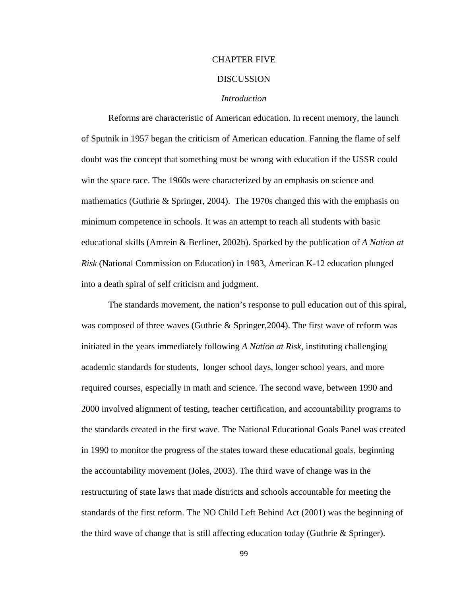#### CHAPTER FIVE

#### **DISCUSSION**

#### *Introduction*

 Reforms are characteristic of American education. In recent memory, the launch of Sputnik in 1957 began the criticism of American education. Fanning the flame of self doubt was the concept that something must be wrong with education if the USSR could win the space race. The 1960s were characterized by an emphasis on science and mathematics (Guthrie & Springer, 2004). The 1970s changed this with the emphasis on minimum competence in schools. It was an attempt to reach all students with basic educational skills (Amrein & Berliner, 2002b). Sparked by the publication of *A Nation at Risk* (National Commission on Education) in 1983, American K-12 education plunged into a death spiral of self criticism and judgment.

The standards movement, the nation's response to pull education out of this spiral, was composed of three waves (Guthrie & Springer, 2004). The first wave of reform was initiated in the years immediately following *A Nation at Risk,* instituting challenging academic standards for students, longer school days, longer school years, and more required courses, especially in math and science. The second wave, between 1990 and 2000 involved alignment of testing, teacher certification, and accountability programs to the standards created in the first wave. The National Educational Goals Panel was created in 1990 to monitor the progress of the states toward these educational goals, beginning the accountability movement (Joles, 2003). The third wave of change was in the restructuring of state laws that made districts and schools accountable for meeting the standards of the first reform. The NO Child Left Behind Act (2001) was the beginning of the third wave of change that is still affecting education today (Guthrie & Springer).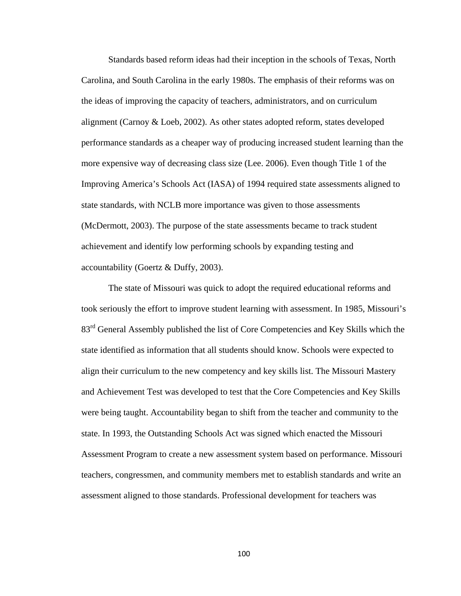Standards based reform ideas had their inception in the schools of Texas, North Carolina, and South Carolina in the early 1980s. The emphasis of their reforms was on the ideas of improving the capacity of teachers, administrators, and on curriculum alignment (Carnoy & Loeb, 2002). As other states adopted reform, states developed performance standards as a cheaper way of producing increased student learning than the more expensive way of decreasing class size (Lee. 2006). Even though Title 1 of the Improving America's Schools Act (IASA) of 1994 required state assessments aligned to state standards, with NCLB more importance was given to those assessments (McDermott, 2003). The purpose of the state assessments became to track student achievement and identify low performing schools by expanding testing and accountability (Goertz & Duffy, 2003).

The state of Missouri was quick to adopt the required educational reforms and took seriously the effort to improve student learning with assessment. In 1985, Missouri's 83<sup>rd</sup> General Assembly published the list of Core Competencies and Key Skills which the state identified as information that all students should know. Schools were expected to align their curriculum to the new competency and key skills list. The Missouri Mastery and Achievement Test was developed to test that the Core Competencies and Key Skills were being taught. Accountability began to shift from the teacher and community to the state. In 1993, the Outstanding Schools Act was signed which enacted the Missouri Assessment Program to create a new assessment system based on performance. Missouri teachers, congressmen, and community members met to establish standards and write an assessment aligned to those standards. Professional development for teachers was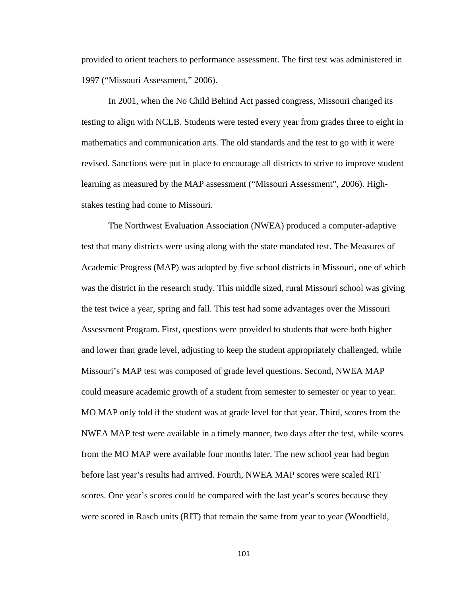provided to orient teachers to performance assessment. The first test was administered in 1997 ("Missouri Assessment," 2006).

In 2001, when the No Child Behind Act passed congress, Missouri changed its testing to align with NCLB. Students were tested every year from grades three to eight in mathematics and communication arts. The old standards and the test to go with it were revised. Sanctions were put in place to encourage all districts to strive to improve student learning as measured by the MAP assessment ("Missouri Assessment", 2006). Highstakes testing had come to Missouri.

The Northwest Evaluation Association (NWEA) produced a computer-adaptive test that many districts were using along with the state mandated test. The Measures of Academic Progress (MAP) was adopted by five school districts in Missouri, one of which was the district in the research study. This middle sized, rural Missouri school was giving the test twice a year, spring and fall. This test had some advantages over the Missouri Assessment Program. First, questions were provided to students that were both higher and lower than grade level, adjusting to keep the student appropriately challenged, while Missouri's MAP test was composed of grade level questions. Second, NWEA MAP could measure academic growth of a student from semester to semester or year to year. MO MAP only told if the student was at grade level for that year. Third, scores from the NWEA MAP test were available in a timely manner, two days after the test, while scores from the MO MAP were available four months later. The new school year had begun before last year's results had arrived. Fourth, NWEA MAP scores were scaled RIT scores. One year's scores could be compared with the last year's scores because they were scored in Rasch units (RIT) that remain the same from year to year (Woodfield,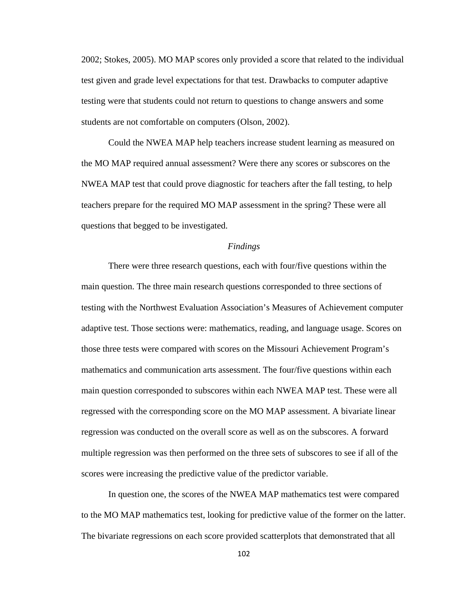2002; Stokes, 2005). MO MAP scores only provided a score that related to the individual test given and grade level expectations for that test. Drawbacks to computer adaptive testing were that students could not return to questions to change answers and some students are not comfortable on computers (Olson, 2002).

Could the NWEA MAP help teachers increase student learning as measured on the MO MAP required annual assessment? Were there any scores or subscores on the NWEA MAP test that could prove diagnostic for teachers after the fall testing, to help teachers prepare for the required MO MAP assessment in the spring? These were all questions that begged to be investigated.

#### *Findings*

There were three research questions, each with four/five questions within the main question. The three main research questions corresponded to three sections of testing with the Northwest Evaluation Association's Measures of Achievement computer adaptive test. Those sections were: mathematics, reading, and language usage. Scores on those three tests were compared with scores on the Missouri Achievement Program's mathematics and communication arts assessment. The four/five questions within each main question corresponded to subscores within each NWEA MAP test. These were all regressed with the corresponding score on the MO MAP assessment. A bivariate linear regression was conducted on the overall score as well as on the subscores. A forward multiple regression was then performed on the three sets of subscores to see if all of the scores were increasing the predictive value of the predictor variable.

 In question one, the scores of the NWEA MAP mathematics test were compared to the MO MAP mathematics test, looking for predictive value of the former on the latter. The bivariate regressions on each score provided scatterplots that demonstrated that all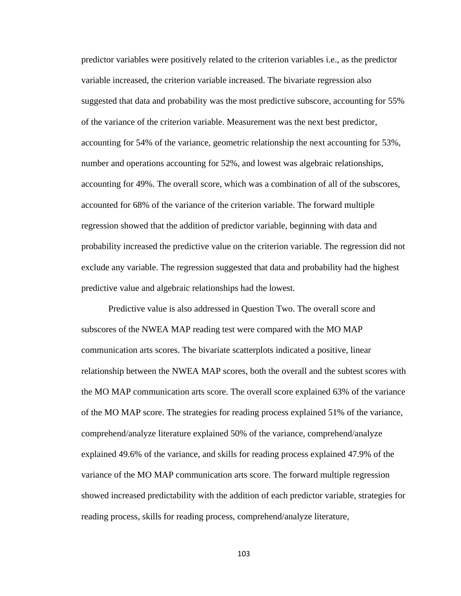predictor variables were positively related to the criterion variables i.e., as the predictor variable increased, the criterion variable increased. The bivariate regression also suggested that data and probability was the most predictive subscore, accounting for 55% of the variance of the criterion variable. Measurement was the next best predictor, accounting for 54% of the variance, geometric relationship the next accounting for 53%, number and operations accounting for 52%, and lowest was algebraic relationships, accounting for 49%. The overall score, which was a combination of all of the subscores, accounted for 68% of the variance of the criterion variable. The forward multiple regression showed that the addition of predictor variable, beginning with data and probability increased the predictive value on the criterion variable. The regression did not exclude any variable. The regression suggested that data and probability had the highest predictive value and algebraic relationships had the lowest.

 Predictive value is also addressed in Question Two. The overall score and subscores of the NWEA MAP reading test were compared with the MO MAP communication arts scores. The bivariate scatterplots indicated a positive, linear relationship between the NWEA MAP scores, both the overall and the subtest scores with the MO MAP communication arts score. The overall score explained 63% of the variance of the MO MAP score. The strategies for reading process explained 51% of the variance, comprehend/analyze literature explained 50% of the variance, comprehend/analyze explained 49.6% of the variance, and skills for reading process explained 47.9% of the variance of the MO MAP communication arts score. The forward multiple regression showed increased predictability with the addition of each predictor variable, strategies for reading process, skills for reading process, comprehend/analyze literature,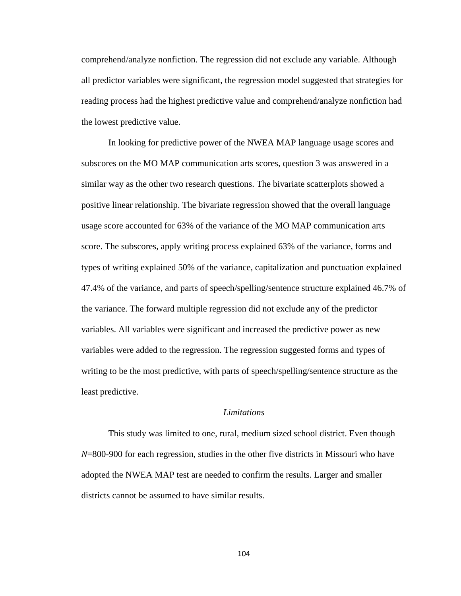comprehend/analyze nonfiction. The regression did not exclude any variable. Although all predictor variables were significant, the regression model suggested that strategies for reading process had the highest predictive value and comprehend/analyze nonfiction had the lowest predictive value.

 In looking for predictive power of the NWEA MAP language usage scores and subscores on the MO MAP communication arts scores, question 3 was answered in a similar way as the other two research questions. The bivariate scatterplots showed a positive linear relationship. The bivariate regression showed that the overall language usage score accounted for 63% of the variance of the MO MAP communication arts score. The subscores, apply writing process explained 63% of the variance, forms and types of writing explained 50% of the variance, capitalization and punctuation explained 47.4% of the variance, and parts of speech/spelling/sentence structure explained 46.7% of the variance. The forward multiple regression did not exclude any of the predictor variables. All variables were significant and increased the predictive power as new variables were added to the regression. The regression suggested forms and types of writing to be the most predictive, with parts of speech/spelling/sentence structure as the least predictive.

#### *Limitations*

 This study was limited to one, rural, medium sized school district. Even though *N*=800-900 for each regression, studies in the other five districts in Missouri who have adopted the NWEA MAP test are needed to confirm the results. Larger and smaller districts cannot be assumed to have similar results.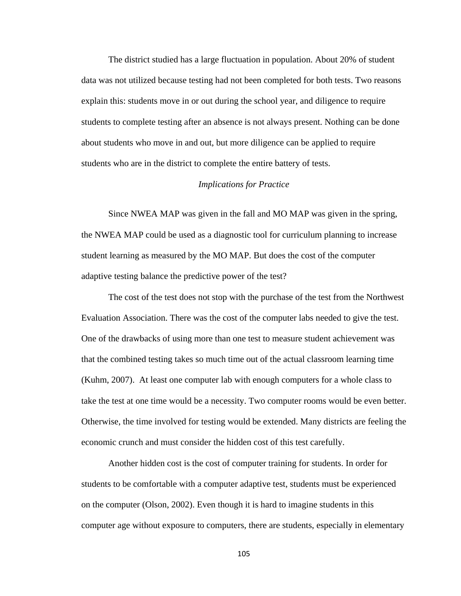The district studied has a large fluctuation in population. About 20% of student data was not utilized because testing had not been completed for both tests. Two reasons explain this: students move in or out during the school year, and diligence to require students to complete testing after an absence is not always present. Nothing can be done about students who move in and out, but more diligence can be applied to require students who are in the district to complete the entire battery of tests.

#### *Implications for Practice*

Since NWEA MAP was given in the fall and MO MAP was given in the spring, the NWEA MAP could be used as a diagnostic tool for curriculum planning to increase student learning as measured by the MO MAP. But does the cost of the computer adaptive testing balance the predictive power of the test?

 The cost of the test does not stop with the purchase of the test from the Northwest Evaluation Association. There was the cost of the computer labs needed to give the test. One of the drawbacks of using more than one test to measure student achievement was that the combined testing takes so much time out of the actual classroom learning time (Kuhm, 2007). At least one computer lab with enough computers for a whole class to take the test at one time would be a necessity. Two computer rooms would be even better. Otherwise, the time involved for testing would be extended. Many districts are feeling the economic crunch and must consider the hidden cost of this test carefully.

 Another hidden cost is the cost of computer training for students. In order for students to be comfortable with a computer adaptive test, students must be experienced on the computer (Olson, 2002). Even though it is hard to imagine students in this computer age without exposure to computers, there are students, especially in elementary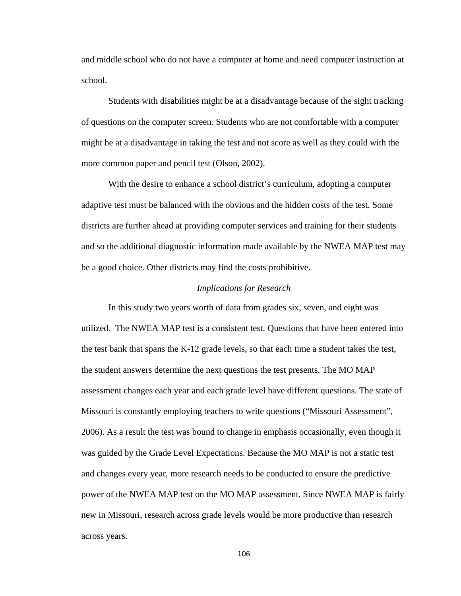and middle school who do not have a computer at home and need computer instruction at school.

 Students with disabilities might be at a disadvantage because of the sight tracking of questions on the computer screen. Students who are not comfortable with a computer might be at a disadvantage in taking the test and not score as well as they could with the more common paper and pencil test (Olson, 2002).

 With the desire to enhance a school district's curriculum, adopting a computer adaptive test must be balanced with the obvious and the hidden costs of the test. Some districts are further ahead at providing computer services and training for their students and so the additional diagnostic information made available by the NWEA MAP test may be a good choice. Other districts may find the costs prohibitive.

#### *Implications for Research*

 In this study two years worth of data from grades six, seven, and eight was utilized. The NWEA MAP test is a consistent test. Questions that have been entered into the test bank that spans the K-12 grade levels, so that each time a student takes the test, the student answers determine the next questions the test presents. The MO MAP assessment changes each year and each grade level have different questions. The state of Missouri is constantly employing teachers to write questions ("Missouri Assessment", 2006). As a result the test was bound to change in emphasis occasionally, even though it was guided by the Grade Level Expectations. Because the MO MAP is not a static test and changes every year, more research needs to be conducted to ensure the predictive power of the NWEA MAP test on the MO MAP assessment. Since NWEA MAP is fairly new in Missouri, research across grade levels would be more productive than research across years.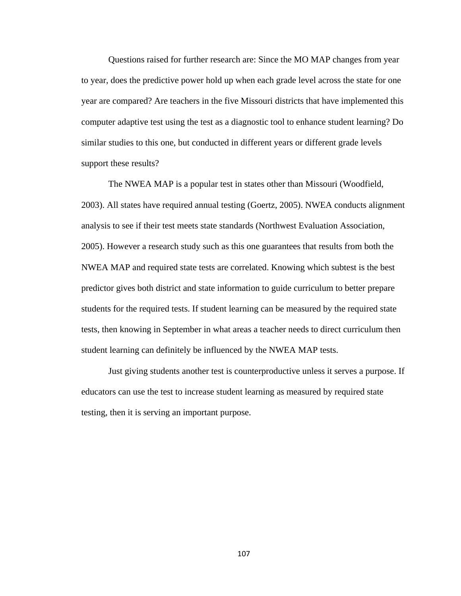Questions raised for further research are: Since the MO MAP changes from year to year, does the predictive power hold up when each grade level across the state for one year are compared? Are teachers in the five Missouri districts that have implemented this computer adaptive test using the test as a diagnostic tool to enhance student learning? Do similar studies to this one, but conducted in different years or different grade levels support these results?

 The NWEA MAP is a popular test in states other than Missouri (Woodfield, 2003). All states have required annual testing (Goertz, 2005). NWEA conducts alignment analysis to see if their test meets state standards (Northwest Evaluation Association, 2005). However a research study such as this one guarantees that results from both the NWEA MAP and required state tests are correlated. Knowing which subtest is the best predictor gives both district and state information to guide curriculum to better prepare students for the required tests. If student learning can be measured by the required state tests, then knowing in September in what areas a teacher needs to direct curriculum then student learning can definitely be influenced by the NWEA MAP tests.

 Just giving students another test is counterproductive unless it serves a purpose. If educators can use the test to increase student learning as measured by required state testing, then it is serving an important purpose.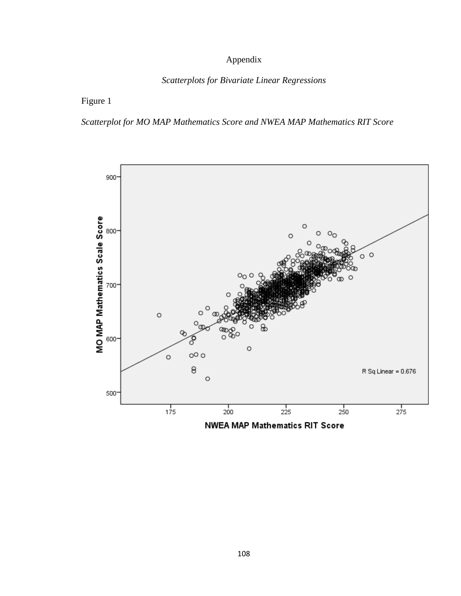# Appendix

#### *Scatterplots for Bivariate Linear Regressions*

## Figure 1

# *Scatterplot for MO MAP Mathematics Score and NWEA MAP Mathematics RIT Score*

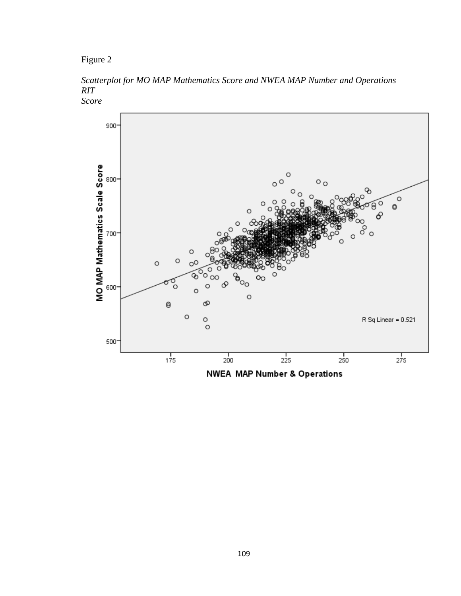Figure 2

*Scatterplot for MO MAP Mathematics Score and NWEA MAP Number and Operations RIT Score*



**NWEA MAP Number & Operations**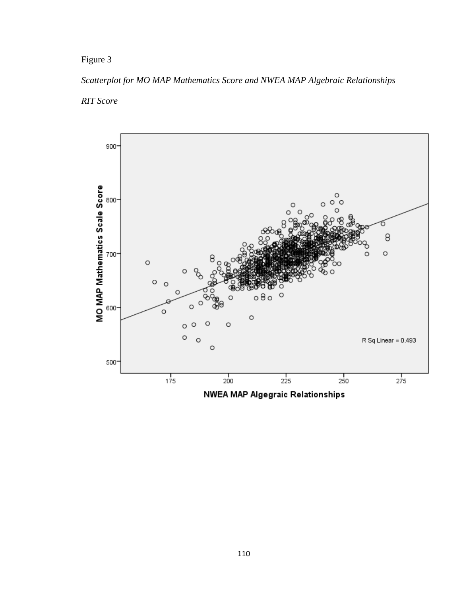# *Scatterplot for MO MAP Mathematics Score and NWEA MAP Algebraic Relationships RIT Score*

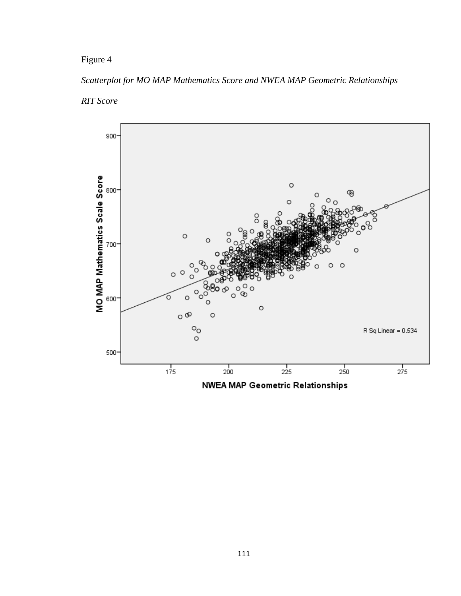## *Scatterplot for MO MAP Mathematics Score and NWEA MAP Geometric Relationships*

## *RIT Score*

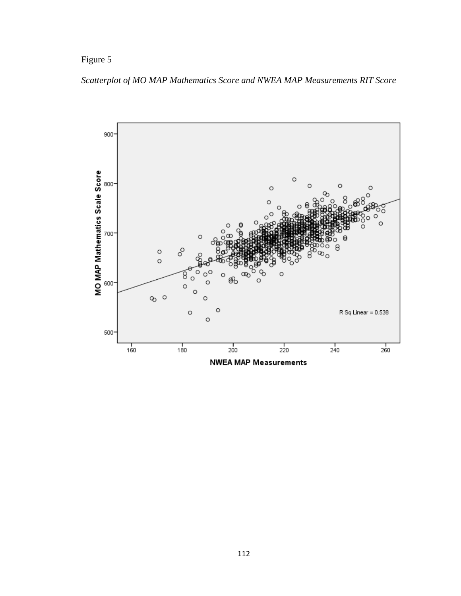*Scatterplot of MO MAP Mathematics Score and NWEA MAP Measurements RIT Score*

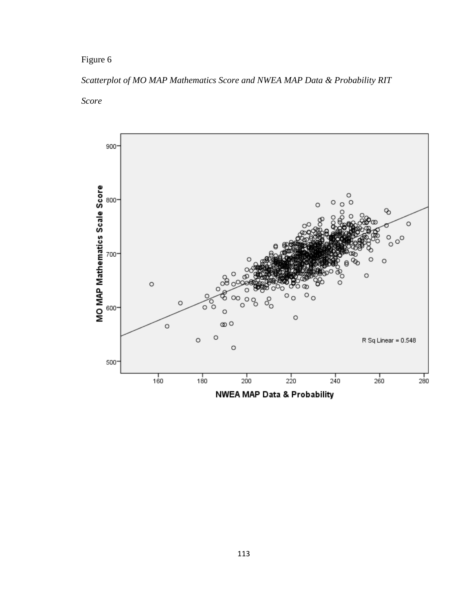## *Scatterplot of MO MAP Mathematics Score and NWEA MAP Data & Probability RIT*

*Score* 



NWEA MAP Data & Probability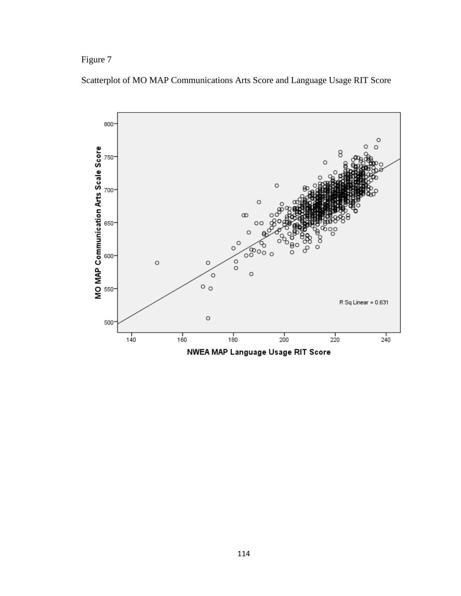Figure 7



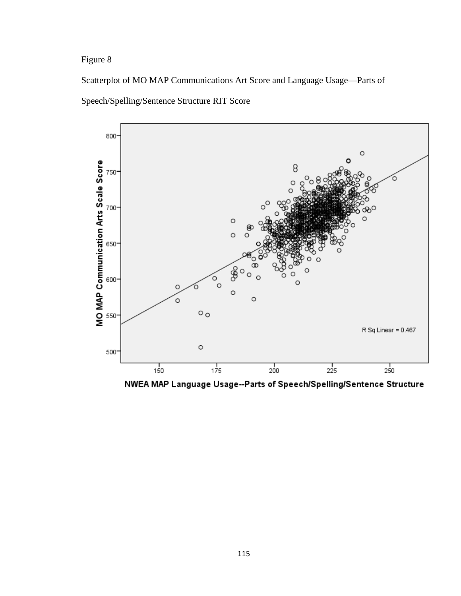Scatterplot of MO MAP Communications Art Score and Language Usage—Parts of





NWEA MAP Language Usage--Parts of Speech/Spelling/Sentence Structure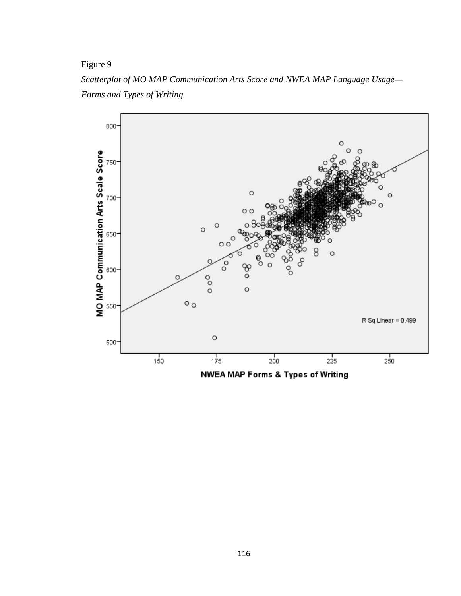*Scatterplot of MO MAP Communication Arts Score and NWEA MAP Language Usage— Forms and Types of Writing* 

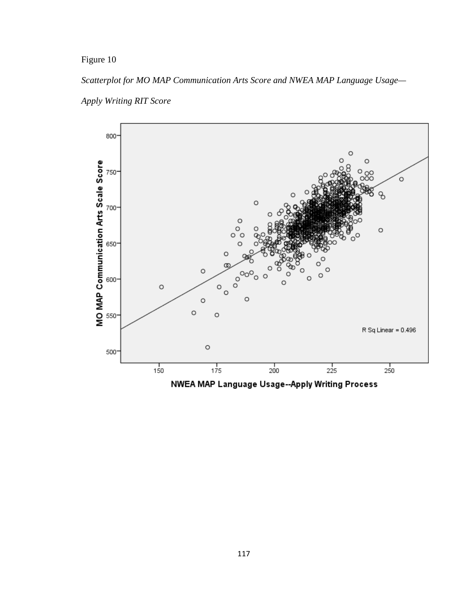*Scatterplot for MO MAP Communication Arts Score and NWEA MAP Language Usage—*





NWEA MAP Language Usage--Apply Writing Process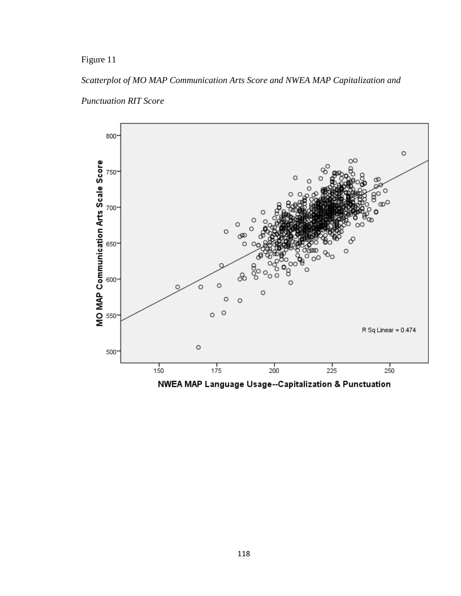#### *Scatterplot of MO MAP Communication Arts Score and NWEA MAP Capitalization and*





NWEA MAP Language Usage--Capitalization & Punctuation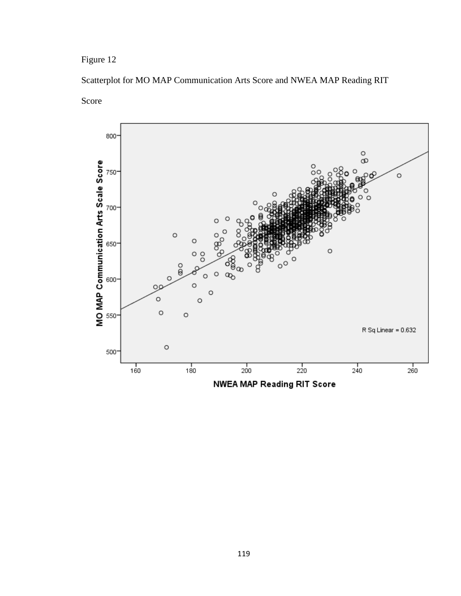# Scatterplot for MO MAP Communication Arts Score and NWEA MAP Reading RIT

Score



NWEA MAP Reading RIT Score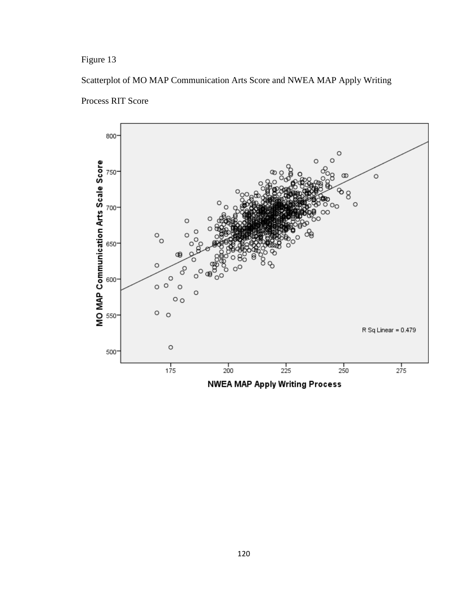Figure 13

Scatterplot of MO MAP Communication Arts Score and NWEA MAP Apply Writing



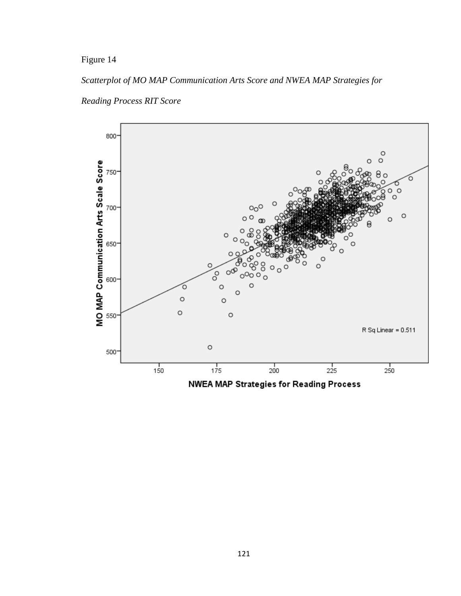## *Scatterplot of MO MAP Communication Arts Score and NWEA MAP Strategies for*



*Reading Process RIT Score* 

NWEA MAP Strategies for Reading Process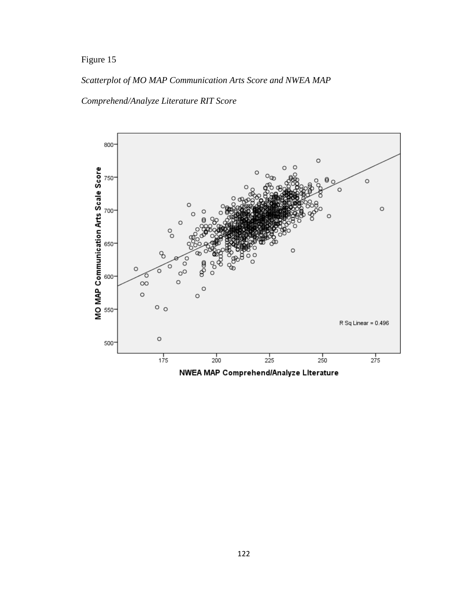# *Scatterplot of MO MAP Communication Arts Score and NWEA MAP*

## *Comprehend/Analyze Literature RIT Score*

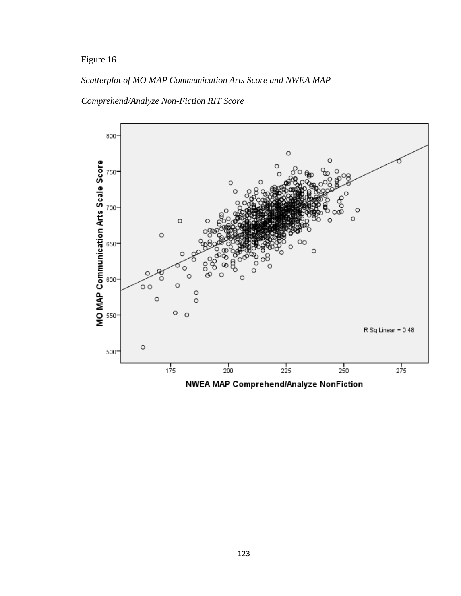## *Scatterplot of MO MAP Communication Arts Score and NWEA MAP*

#### *Comprehend/Analyze Non-Fiction RIT Score*



NWEA MAP Comprehend/Analyze NonFiction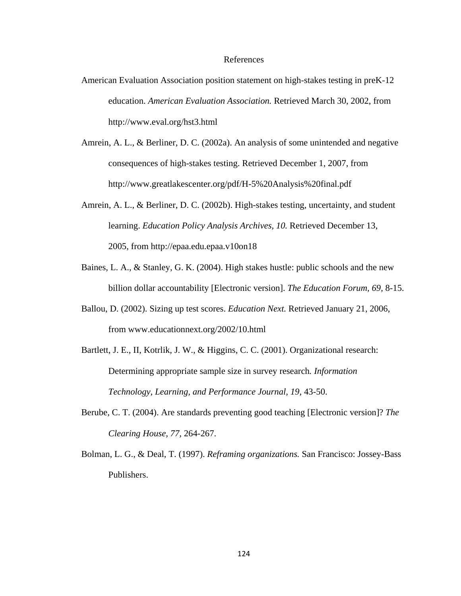#### References

- American Evaluation Association position statement on high-stakes testing in preK-12 education. *American Evaluation Association.* Retrieved March 30, 2002, from http://www.eval.org/hst3.html
- Amrein, A. L., & Berliner, D. C. (2002a). An analysis of some unintended and negative consequences of high-stakes testing. Retrieved December 1, 2007, from http://www.greatlakescenter.org/pdf/H-5%20Analysis%20final.pdf
- Amrein, A. L., & Berliner, D. C. (2002b). High-stakes testing, uncertainty, and student learning. *Education Policy Analysis Archives, 10.* Retrieved December 13, 2005, from http://epaa.edu.epaa.v10on18
- Baines, L. A., & Stanley, G. K. (2004). High stakes hustle: public schools and the new billion dollar accountability [Electronic version]. *The Education Forum, 69,* 8-15.
- Ballou, D. (2002). Sizing up test scores. *Education Next.* Retrieved January 21, 2006, from www.educationnext.org/2002/10.html
- Bartlett, J. E., II, Kotrlik, J. W., & Higgins, C. C. (2001). Organizational research: Determining appropriate sample size in survey research*. Information Technology, Learning, and Performance Journal, 19,* 43-50.
- Berube, C. T. (2004). Are standards preventing good teaching [Electronic version]? *The Clearing House, 77,* 264-267.
- Bolman, L. G., & Deal, T. (1997). *Reframing organizations.* San Francisco: Jossey-Bass Publishers.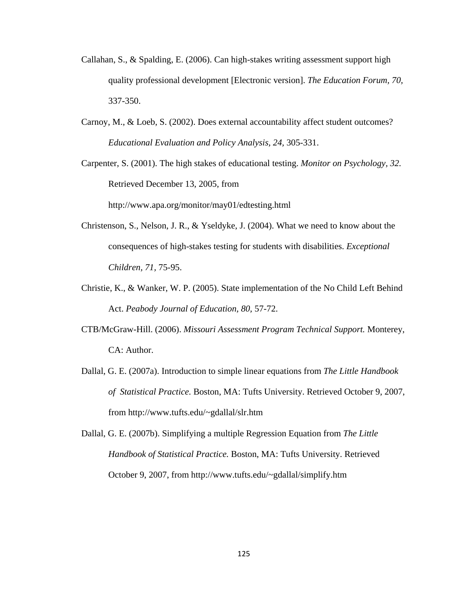- Callahan, S., & Spalding, E. (2006). Can high-stakes writing assessment support high quality professional development [Electronic version]. *The Education Forum, 70,* 337-350.
- Carnoy, M., & Loeb, S. (2002). Does external accountability affect student outcomes? *Educational Evaluation and Policy Analysis, 24,* 305-331.

Carpenter, S. (2001). The high stakes of educational testing. *Monitor on Psychology, 32.*  Retrieved December 13, 2005, from http://www.apa.org/monitor/may01/edtesting.html

- Christenson, S., Nelson, J. R., & Yseldyke, J. (2004). What we need to know about the consequences of high-stakes testing for students with disabilities. *Exceptional Children, 71,* 75-95.
- Christie, K., & Wanker, W. P. (2005). State implementation of the No Child Left Behind Act. *Peabody Journal of Education, 80,* 57-72.
- CTB/McGraw-Hill. (2006). *Missouri Assessment Program Technical Support.* Monterey, CA: Author.
- Dallal, G. E. (2007a). Introduction to simple linear equations from *The Little Handbook of Statistical Practice.* Boston, MA: Tufts University. Retrieved October 9, 2007, from http://www.tufts.edu/~gdallal/slr.htm

Dallal, G. E. (2007b). Simplifying a multiple Regression Equation from *The Little Handbook of Statistical Practice.* Boston, MA: Tufts University. Retrieved October 9, 2007, from http://www.tufts.edu/~gdallal/simplify.htm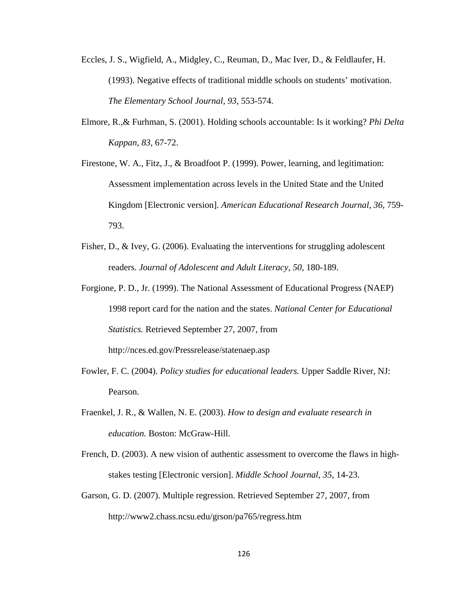- Eccles, J. S., Wigfield, A., Midgley, C., Reuman, D., Mac Iver, D., & Feldlaufer, H. (1993). Negative effects of traditional middle schools on students' motivation. *The Elementary School Journal, 93,* 553-574.
- Elmore, R.,& Furhman, S. (2001). Holding schools accountable: Is it working? *Phi Delta Kappan, 83,* 67-72.
- Firestone, W. A., Fitz, J., & Broadfoot P. (1999). Power, learning, and legitimation: Assessment implementation across levels in the United State and the United Kingdom [Electronic version]. *American Educational Research Journal, 36,* 759- 793.
- Fisher, D., & Ivey, G. (2006). Evaluating the interventions for struggling adolescent readers. *Journal of Adolescent and Adult Literacy, 50,* 180-189.
- Forgione, P. D., Jr. (1999). The National Assessment of Educational Progress (NAEP) 1998 report card for the nation and the states. *National Center for Educational Statistics.* Retrieved September 27, 2007, from http://nces.ed.gov/Pressrelease/statenaep.asp
- Fowler, F. C. (2004). *Policy studies for educational leaders.* Upper Saddle River, NJ: Pearson.
- Fraenkel, J. R., & Wallen, N. E. (2003). *How to design and evaluate research in education.* Boston: McGraw-Hill.
- French, D. (2003). A new vision of authentic assessment to overcome the flaws in highstakes testing [Electronic version]. *Middle School Journal, 35,* 14-23.
- Garson, G. D. (2007). Multiple regression. Retrieved September 27, 2007, from http://www2.chass.ncsu.edu/grson/pa765/regress.htm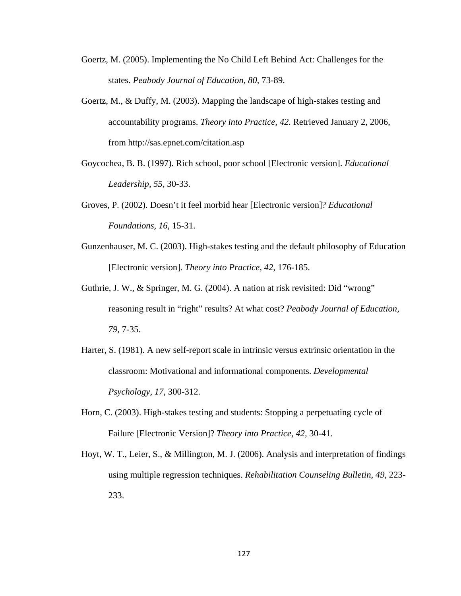- Goertz, M. (2005). Implementing the No Child Left Behind Act: Challenges for the states. *Peabody Journal of Education, 80,* 73-89.
- Goertz, M., & Duffy, M. (2003). Mapping the landscape of high-stakes testing and accountability programs. *Theory into Practice, 42.* Retrieved January 2, 2006, from http://sas.epnet.com/citation.asp
- Goycochea, B. B. (1997). Rich school, poor school [Electronic version]. *Educational Leadership, 55,* 30-33.
- Groves, P. (2002). Doesn't it feel morbid hear [Electronic version]? *Educational Foundations, 16,* 15-31.
- Gunzenhauser, M. C. (2003). High-stakes testing and the default philosophy of Education [Electronic version]. *Theory into Practice, 42,* 176-185.
- Guthrie, J. W., & Springer, M. G. (2004). A nation at risk revisited: Did "wrong" reasoning result in "right" results? At what cost? *Peabody Journal of Education, 79,* 7-35.
- Harter, S. (1981). A new self-report scale in intrinsic versus extrinsic orientation in the classroom: Motivational and informational components. *Developmental Psychology, 17,* 300-312.
- Horn, C. (2003). High-stakes testing and students: Stopping a perpetuating cycle of Failure [Electronic Version]? *Theory into Practice, 42,* 30-41.
- Hoyt, W. T., Leier, S., & Millington, M. J. (2006). Analysis and interpretation of findings using multiple regression techniques. *Rehabilitation Counseling Bulletin, 49,* 223- 233.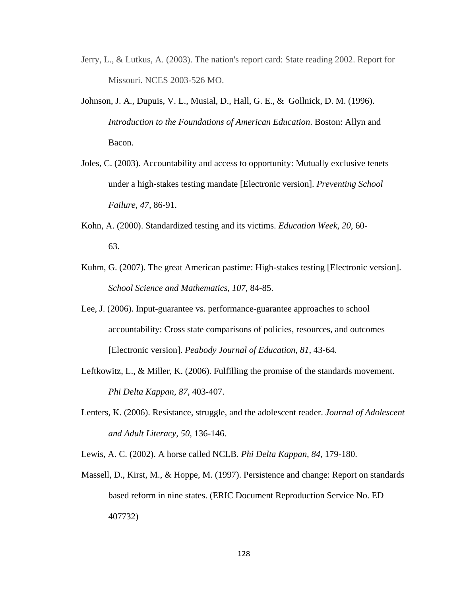- Jerry, L., & Lutkus, A. (2003). The nation's report card: State reading 2002. Report for Missouri. NCES 2003-526 MO.
- Johnson, J. A., Dupuis, V. L., Musial, D., Hall, G. E., & Gollnick, D. M. (1996). *Introduction to the Foundations of American Education*. Boston: Allyn and Bacon.
- Joles, C. (2003). Accountability and access to opportunity: Mutually exclusive tenets under a high-stakes testing mandate [Electronic version]. *Preventing School Failure, 47,* 86-91.
- Kohn, A. (2000). Standardized testing and its victims. *Education Week, 20,* 60- 63.
- Kuhm, G. (2007). The great American pastime: High-stakes testing [Electronic version]. *School Science and Mathematics, 107,* 84-85.
- Lee, J. (2006). Input-guarantee vs. performance-guarantee approaches to school accountability: Cross state comparisons of policies, resources, and outcomes [Electronic version]. *Peabody Journal of Education, 81,* 43-64.
- Leftkowitz, L., & Miller, K. (2006). Fulfilling the promise of the standards movement. *Phi Delta Kappan, 87,* 403-407.
- Lenters, K. (2006). Resistance, struggle, and the adolescent reader. *Journal of Adolescent and Adult Literacy, 50,* 136-146.
- Lewis, A. C. (2002). A horse called NCLB. *Phi Delta Kappan, 84,* 179-180.
- Massell, D., Kirst, M., & Hoppe, M. (1997). Persistence and change: Report on standards based reform in nine states. (ERIC Document Reproduction Service No. ED 407732)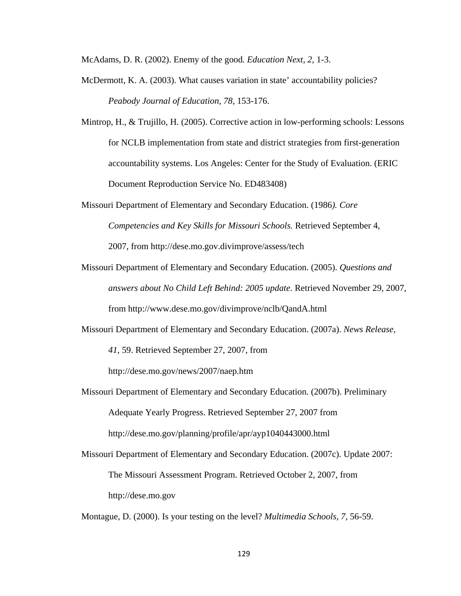McAdams, D. R. (2002). Enemy of the good*. Education Next*, *2,* 1-3.

- McDermott, K. A. (2003). What causes variation in state' accountability policies? *Peabody Journal of Education, 78,* 153-176.
- Mintrop, H., & Trujillo, H. (2005). Corrective action in low-performing schools: Lessons for NCLB implementation from state and district strategies from first-generation accountability systems. Los Angeles: Center for the Study of Evaluation. (ERIC Document Reproduction Service No. ED483408)
- Missouri Department of Elementary and Secondary Education. (1986*). Core Competencies and Key Skills for Missouri Schools.* Retrieved September 4, 2007, from http://dese.mo.gov.divimprove/assess/tech
- Missouri Department of Elementary and Secondary Education. (2005). *Questions and answers about No Child Left Behind: 2005 update.* Retrieved November 29, 2007, from http://www.dese.mo.gov/divimprove/nclb/QandA.html
- Missouri Department of Elementary and Secondary Education. (2007a). *News Release, 41,* 59. Retrieved September 27, 2007, from

http://dese.mo.gov/news/2007/naep.htm

- Missouri Department of Elementary and Secondary Education. (2007b). Preliminary Adequate Yearly Progress. Retrieved September 27, 2007 from http://dese.mo.gov/planning/profile/apr/ayp1040443000.html
- Missouri Department of Elementary and Secondary Education. (2007c). Update 2007: The Missouri Assessment Program. Retrieved October 2, 2007, from http://dese.mo.gov

Montague, D. (2000). Is your testing on the level? *Multimedia Schools, 7,* 56-59.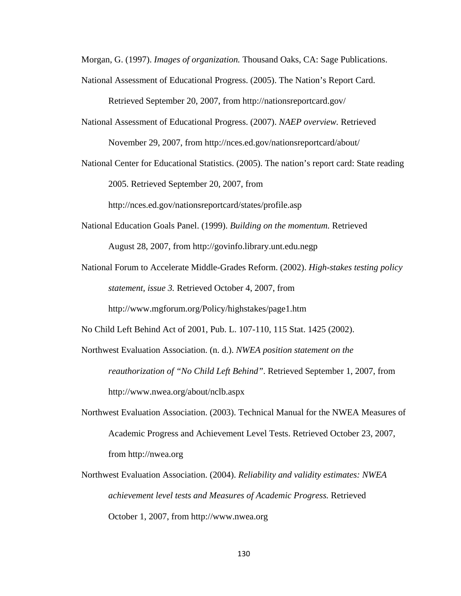Morgan, G. (1997). *Images of organization.* Thousand Oaks, CA: Sage Publications.

National Assessment of Educational Progress. (2005). The Nation's Report Card.

Retrieved September 20, 2007, from http://nationsreportcard.gov/

- National Assessment of Educational Progress. (2007). *NAEP overview.* Retrieved November 29, 2007, from http://nces.ed.gov/nationsreportcard/about/
- National Center for Educational Statistics. (2005). The nation's report card: State reading 2005. Retrieved September 20, 2007, from

http://nces.ed.gov/nationsreportcard/states/profile.asp

- National Education Goals Panel. (1999). *Building on the momentum.* Retrieved August 28, 2007, from http://govinfo.library.unt.edu.negp
- National Forum to Accelerate Middle-Grades Reform. (2002). *High-stakes testing policy statement, issue 3.* Retrieved October 4, 2007, from http://www.mgforum.org/Policy/highstakes/page1.htm
- No Child Left Behind Act of 2001, Pub. L. 107-110, 115 Stat. 1425 (2002).
- Northwest Evaluation Association. (n. d.). *NWEA position statement on the reauthorization of "No Child Left Behind"*. Retrieved September 1, 2007, from http://www.nwea.org/about/nclb.aspx
- Northwest Evaluation Association. (2003). Technical Manual for the NWEA Measures of Academic Progress and Achievement Level Tests. Retrieved October 23, 2007, from http://nwea.org
- Northwest Evaluation Association. (2004). *Reliability and validity estimates: NWEA achievement level tests and Measures of Academic Progress.* Retrieved October 1, 2007, from http://www.nwea.org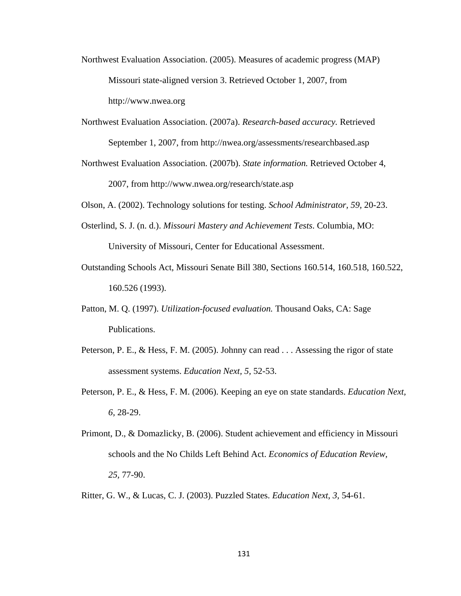- Northwest Evaluation Association. (2005). Measures of academic progress (MAP) Missouri state-aligned version 3. Retrieved October 1, 2007, from http://www.nwea.org
- Northwest Evaluation Association. (2007a). *Research-based accuracy.* Retrieved September 1, 2007, from http://nwea.org/assessments/researchbased.asp
- Northwest Evaluation Association. (2007b). *State information.* Retrieved October 4, 2007, from http://www.nwea.org/research/state.asp

Olson, A. (2002). Technology solutions for testing. *School Administrator, 59,* 20-23.

- Osterlind, S. J. (n. d.). *Missouri Mastery and Achievement Tests*. Columbia, MO: University of Missouri, Center for Educational Assessment.
- Outstanding Schools Act, Missouri Senate Bill 380, Sections 160.514, 160.518, 160.522, 160.526 (1993).
- Patton, M. Q. (1997). *Utilization-focused evaluation.* Thousand Oaks, CA: Sage Publications.
- Peterson, P. E., & Hess, F. M. (2005). Johnny can read . . . Assessing the rigor of state assessment systems. *Education Next, 5,* 52-53.
- Peterson, P. E., & Hess, F. M. (2006). Keeping an eye on state standards. *Education Next, 6,* 28-29.
- Primont, D., & Domazlicky, B. (2006). Student achievement and efficiency in Missouri schools and the No Childs Left Behind Act. *Economics of Education Review, 25,* 77-90.
- Ritter, G. W., & Lucas, C. J. (2003). Puzzled States. *Education Next*, *3,* 54-61.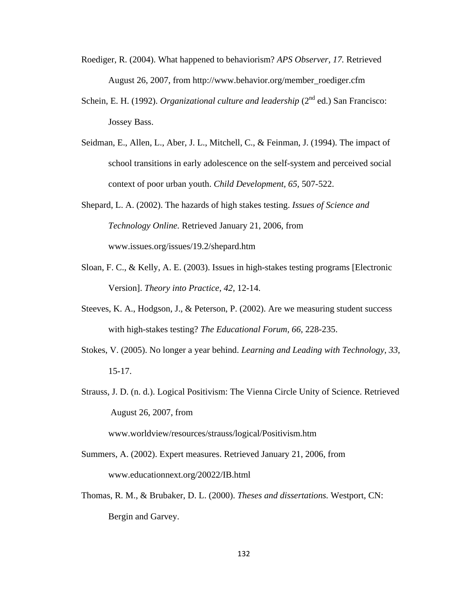- Roediger, R. (2004). What happened to behaviorism? *APS Observer, 17.* Retrieved August 26, 2007, from http://www.behavior.org/member\_roediger.cfm
- Schein, E. H. (1992). *Organizational culture and leadership* (2<sup>nd</sup> ed.) San Francisco: Jossey Bass.
- Seidman, E., Allen, L., Aber, J. L., Mitchell, C., & Feinman, J. (1994). The impact of school transitions in early adolescence on the self-system and perceived social context of poor urban youth. *Child Development, 65,* 507-522.
- Shepard, L. A. (2002). The hazards of high stakes testing. *Issues of Science and Technology Online.* Retrieved January 21, 2006, from www.issues.org/issues/19.2/shepard.htm
- Sloan, F. C., & Kelly, A. E. (2003). Issues in high-stakes testing programs [Electronic Version]. *Theory into Practice, 42,* 12-14.
- Steeves, K. A., Hodgson, J., & Peterson, P. (2002). Are we measuring student success with high-stakes testing? *The Educational Forum, 66,* 228-235.
- Stokes, V. (2005). No longer a year behind. *Learning and Leading with Technology, 33,* 15-17.
- Strauss, J. D. (n. d.). Logical Positivism: The Vienna Circle Unity of Science. Retrieved August 26, 2007, from

www.worldview/resources/strauss/logical/Positivism.htm

- Summers, A. (2002). Expert measures. Retrieved January 21, 2006, from www.educationnext.org/20022/IB.html
- Thomas, R. M., & Brubaker, D. L. (2000). *Theses and dissertations.* Westport, CN: Bergin and Garvey.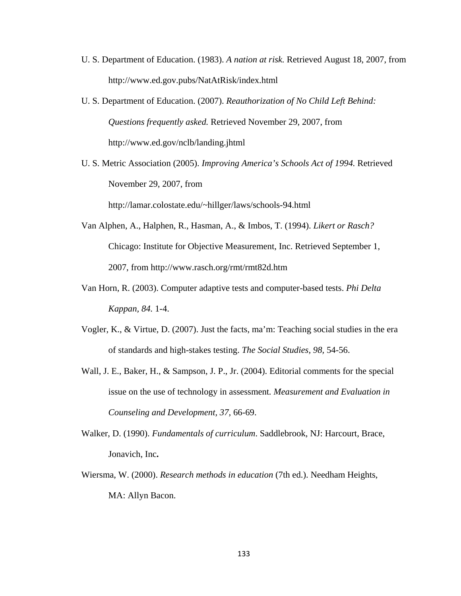- U. S. Department of Education. (1983). *A nation at risk.* Retrieved August 18, 2007, from http://www.ed.gov.pubs/NatAtRisk/index.html
- U. S. Department of Education. (2007). *Reauthorization of No Child Left Behind: Questions frequently asked.* Retrieved November 29, 2007, from http://www.ed.gov/nclb/landing.jhtml
- U. S. Metric Association (2005). *Improving America's Schools Act of 1994.* Retrieved November 29, 2007, from

http://lamar.colostate.edu/~hillger/laws/schools-94.html

- Van Alphen, A., Halphen, R., Hasman, A., & Imbos, T. (1994). *Likert or Rasch?* Chicago: Institute for Objective Measurement, Inc. Retrieved September 1, 2007, from http://www.rasch.org/rmt/rmt82d.htm
- Van Horn, R. (2003). Computer adaptive tests and computer-based tests. *Phi Delta Kappan, 84.* 1-4.
- Vogler, K., & Virtue, D. (2007). Just the facts, ma'm: Teaching social studies in the era of standards and high-stakes testing. *The Social Studies, 98,* 54-56.
- Wall, J. E., Baker, H., & Sampson, J. P., Jr. (2004). Editorial comments for the special issue on the use of technology in assessment*. Measurement and Evaluation in Counseling and Development, 37,* 66-69.
- Walker, D. (1990). *Fundamentals of curriculum*. Saddlebrook, NJ: Harcourt, Brace, Jonavich, Inc**.**
- Wiersma, W. (2000). *Research methods in education* (7th ed.). Needham Heights, MA: Allyn Bacon.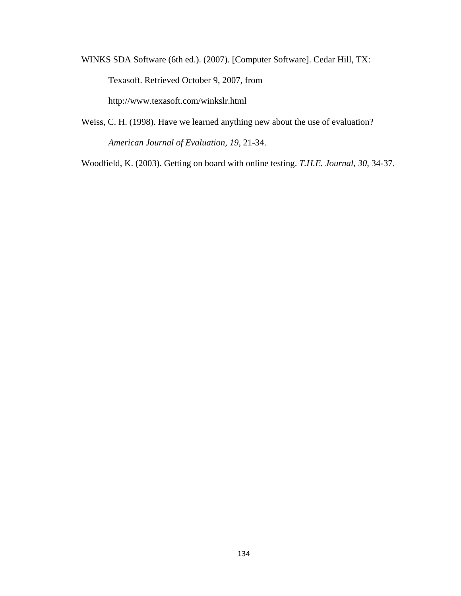WINKS SDA Software (6th ed.). (2007). [Computer Software]. Cedar Hill, TX: Texasoft. Retrieved October 9, 2007, from http://www.texasoft.com/winkslr.html

Weiss, C. H. (1998). Have we learned anything new about the use of evaluation? *American Journal of Evaluation, 19,* 21-34.

Woodfield, K. (2003). Getting on board with online testing. *T.H.E. Journal, 30,* 34-37.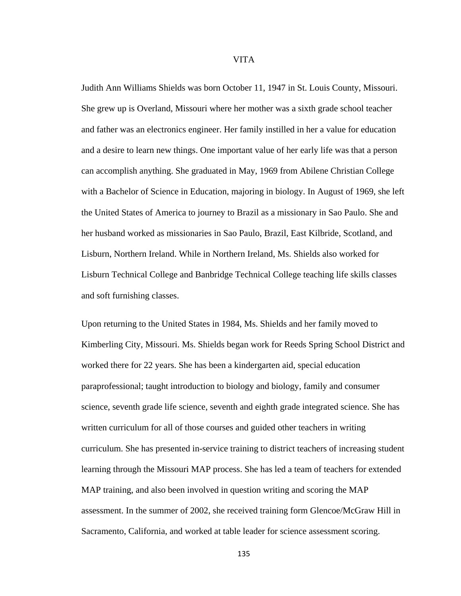VITA

Judith Ann Williams Shields was born October 11, 1947 in St. Louis County, Missouri. She grew up is Overland, Missouri where her mother was a sixth grade school teacher and father was an electronics engineer. Her family instilled in her a value for education and a desire to learn new things. One important value of her early life was that a person can accomplish anything. She graduated in May, 1969 from Abilene Christian College with a Bachelor of Science in Education, majoring in biology. In August of 1969, she left the United States of America to journey to Brazil as a missionary in Sao Paulo. She and her husband worked as missionaries in Sao Paulo, Brazil, East Kilbride, Scotland, and Lisburn, Northern Ireland. While in Northern Ireland, Ms. Shields also worked for Lisburn Technical College and Banbridge Technical College teaching life skills classes and soft furnishing classes.

Upon returning to the United States in 1984, Ms. Shields and her family moved to Kimberling City, Missouri. Ms. Shields began work for Reeds Spring School District and worked there for 22 years. She has been a kindergarten aid, special education paraprofessional; taught introduction to biology and biology, family and consumer science, seventh grade life science, seventh and eighth grade integrated science. She has written curriculum for all of those courses and guided other teachers in writing curriculum. She has presented in-service training to district teachers of increasing student learning through the Missouri MAP process. She has led a team of teachers for extended MAP training, and also been involved in question writing and scoring the MAP assessment. In the summer of 2002, she received training form Glencoe/McGraw Hill in Sacramento, California, and worked at table leader for science assessment scoring.

135